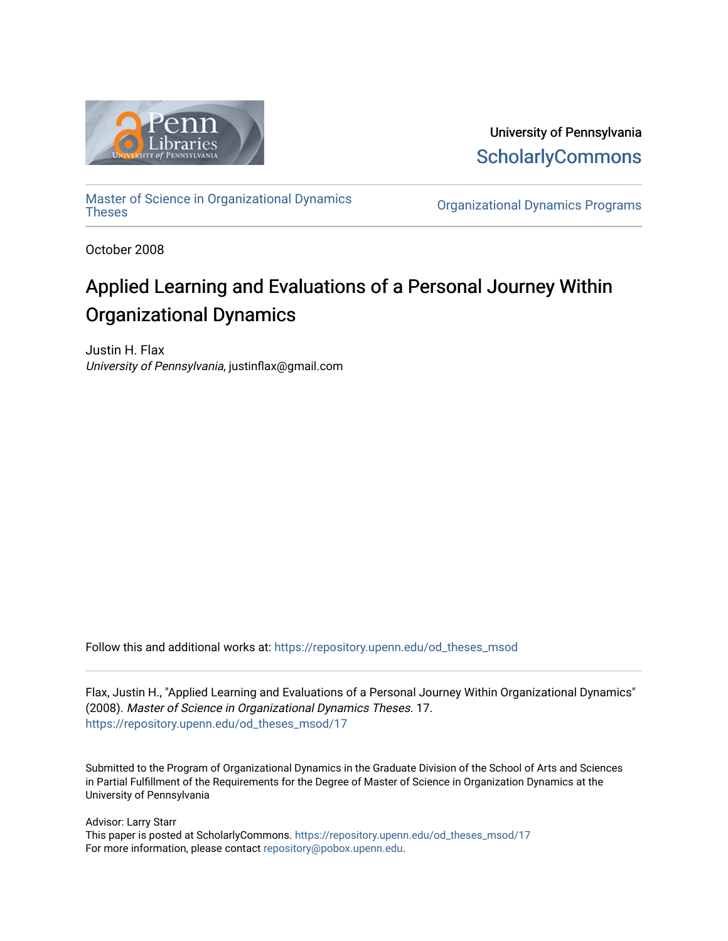

University of Pennsylvania **ScholarlyCommons** 

[Master of Science in Organizational Dynamics](https://repository.upenn.edu/od_theses_msod)

**Organizational Dynamics Programs** 

October 2008

# Applied Learning and Evaluations of a Personal Journey Within Organizational Dynamics

Justin H. Flax University of Pennsylvania, justinflax@gmail.com

Follow this and additional works at: [https://repository.upenn.edu/od\\_theses\\_msod](https://repository.upenn.edu/od_theses_msod?utm_source=repository.upenn.edu%2Fod_theses_msod%2F17&utm_medium=PDF&utm_campaign=PDFCoverPages) 

Flax, Justin H., "Applied Learning and Evaluations of a Personal Journey Within Organizational Dynamics" (2008). Master of Science in Organizational Dynamics Theses. 17. [https://repository.upenn.edu/od\\_theses\\_msod/17](https://repository.upenn.edu/od_theses_msod/17?utm_source=repository.upenn.edu%2Fod_theses_msod%2F17&utm_medium=PDF&utm_campaign=PDFCoverPages)

Submitted to the Program of Organizational Dynamics in the Graduate Division of the School of Arts and Sciences in Partial Fulfillment of the Requirements for the Degree of Master of Science in Organization Dynamics at the University of Pennsylvania

Advisor: Larry Starr

This paper is posted at ScholarlyCommons. [https://repository.upenn.edu/od\\_theses\\_msod/17](https://repository.upenn.edu/od_theses_msod/17)  For more information, please contact [repository@pobox.upenn.edu.](mailto:repository@pobox.upenn.edu)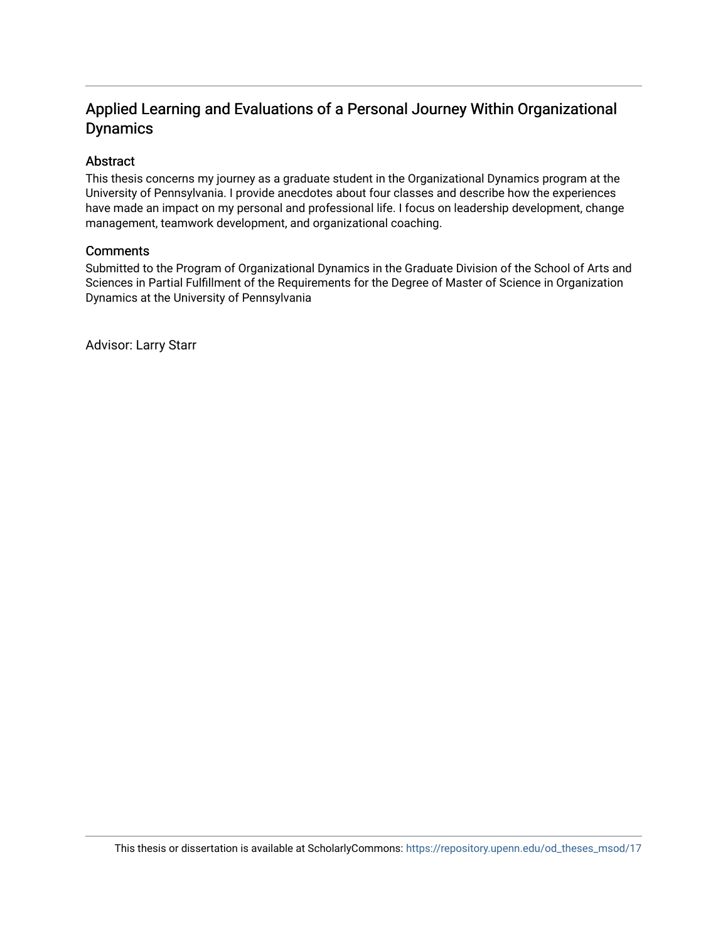# Applied Learning and Evaluations of a Personal Journey Within Organizational Dynamics

### Abstract

This thesis concerns my journey as a graduate student in the Organizational Dynamics program at the University of Pennsylvania. I provide anecdotes about four classes and describe how the experiences have made an impact on my personal and professional life. I focus on leadership development, change management, teamwork development, and organizational coaching.

#### **Comments**

Submitted to the Program of Organizational Dynamics in the Graduate Division of the School of Arts and Sciences in Partial Fulfillment of the Requirements for the Degree of Master of Science in Organization Dynamics at the University of Pennsylvania

Advisor: Larry Starr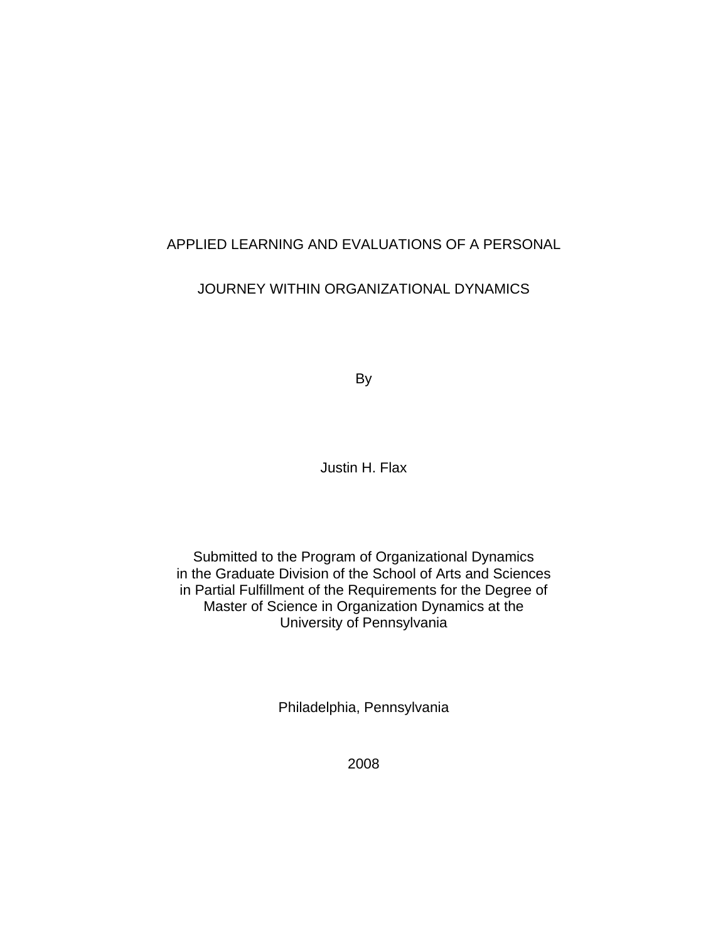# APPLIED LEARNING AND EVALUATIONS OF A PERSONAL

# JOURNEY WITHIN ORGANIZATIONAL DYNAMICS

By

Justin H. Flax

Submitted to the Program of Organizational Dynamics in the Graduate Division of the School of Arts and Sciences in Partial Fulfillment of the Requirements for the Degree of Master of Science in Organization Dynamics at the University of Pennsylvania

Philadelphia, Pennsylvania

2008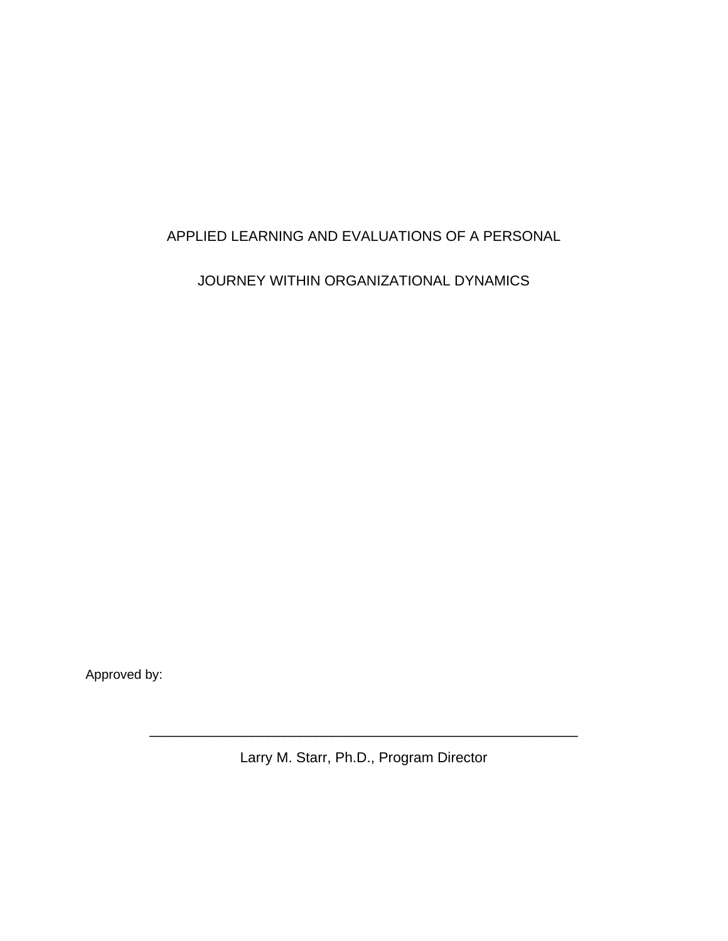# APPLIED LEARNING AND EVALUATIONS OF A PERSONAL

JOURNEY WITHIN ORGANIZATIONAL DYNAMICS

Approved by:

Larry M. Starr, Ph.D., Program Director

\_\_\_\_\_\_\_\_\_\_\_\_\_\_\_\_\_\_\_\_\_\_\_\_\_\_\_\_\_\_\_\_\_\_\_\_\_\_\_\_\_\_\_\_\_\_\_\_\_\_\_\_\_\_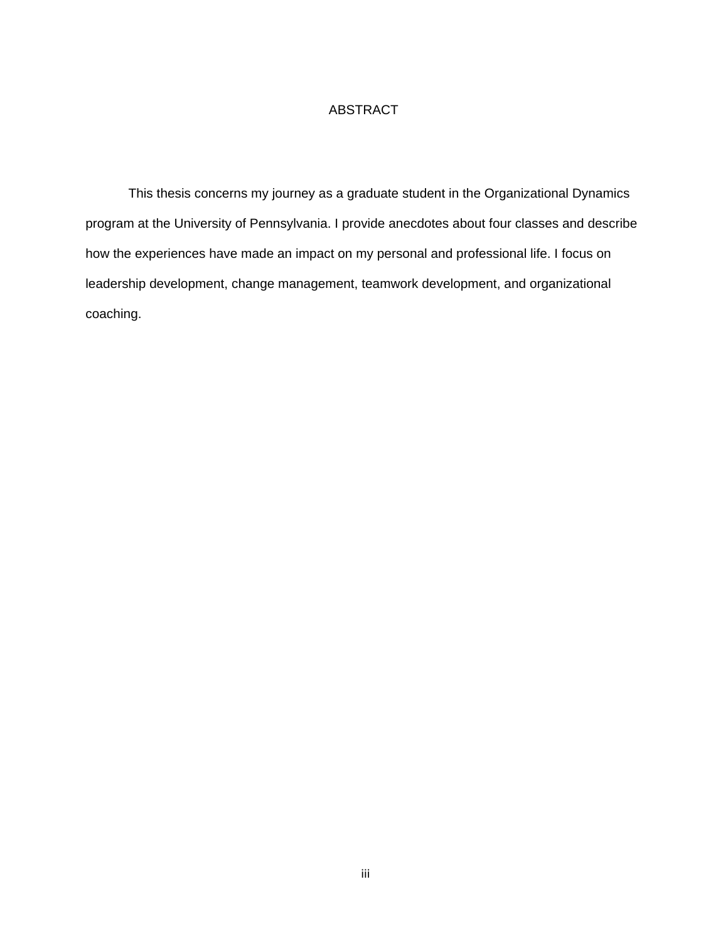### ABSTRACT

This thesis concerns my journey as a graduate student in the Organizational Dynamics program at the University of Pennsylvania. I provide anecdotes about four classes and describe how the experiences have made an impact on my personal and professional life. I focus on leadership development, change management, teamwork development, and organizational coaching.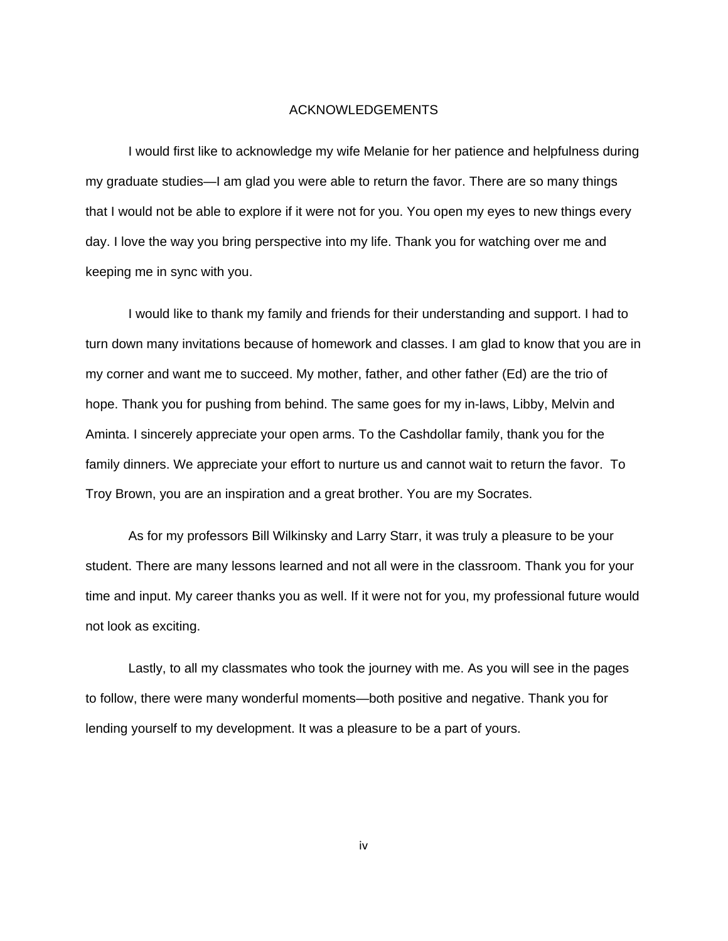#### ACKNOWLEDGEMENTS

I would first like to acknowledge my wife Melanie for her patience and helpfulness during my graduate studies—I am glad you were able to return the favor. There are so many things that I would not be able to explore if it were not for you. You open my eyes to new things every day. I love the way you bring perspective into my life. Thank you for watching over me and keeping me in sync with you.

I would like to thank my family and friends for their understanding and support. I had to turn down many invitations because of homework and classes. I am glad to know that you are in my corner and want me to succeed. My mother, father, and other father (Ed) are the trio of hope. Thank you for pushing from behind. The same goes for my in-laws, Libby, Melvin and Aminta. I sincerely appreciate your open arms. To the Cashdollar family, thank you for the family dinners. We appreciate your effort to nurture us and cannot wait to return the favor. To Troy Brown, you are an inspiration and a great brother. You are my Socrates.

As for my professors Bill Wilkinsky and Larry Starr, it was truly a pleasure to be your student. There are many lessons learned and not all were in the classroom. Thank you for your time and input. My career thanks you as well. If it were not for you, my professional future would not look as exciting.

Lastly, to all my classmates who took the journey with me. As you will see in the pages to follow, there were many wonderful moments—both positive and negative. Thank you for lending yourself to my development. It was a pleasure to be a part of yours.

iv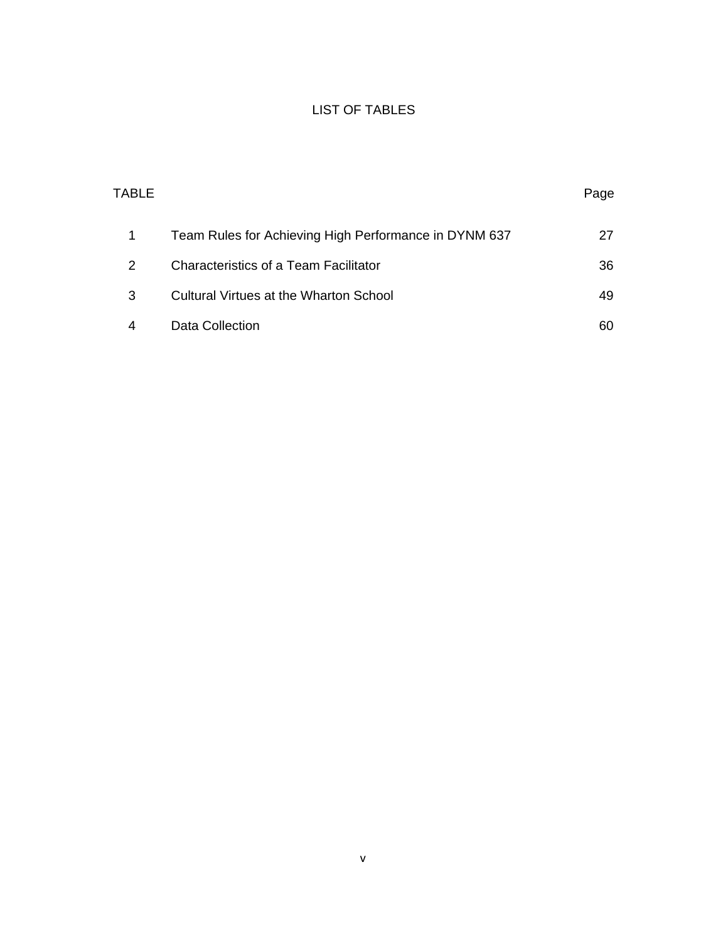### LIST OF TABLES

|   | TABLE                                                 | Page |
|---|-------------------------------------------------------|------|
| 1 | Team Rules for Achieving High Performance in DYNM 637 | 27   |
| 2 | <b>Characteristics of a Team Facilitator</b>          | 36   |
| 3 | Cultural Virtues at the Wharton School                | 49   |
| 4 | Data Collection                                       | 60   |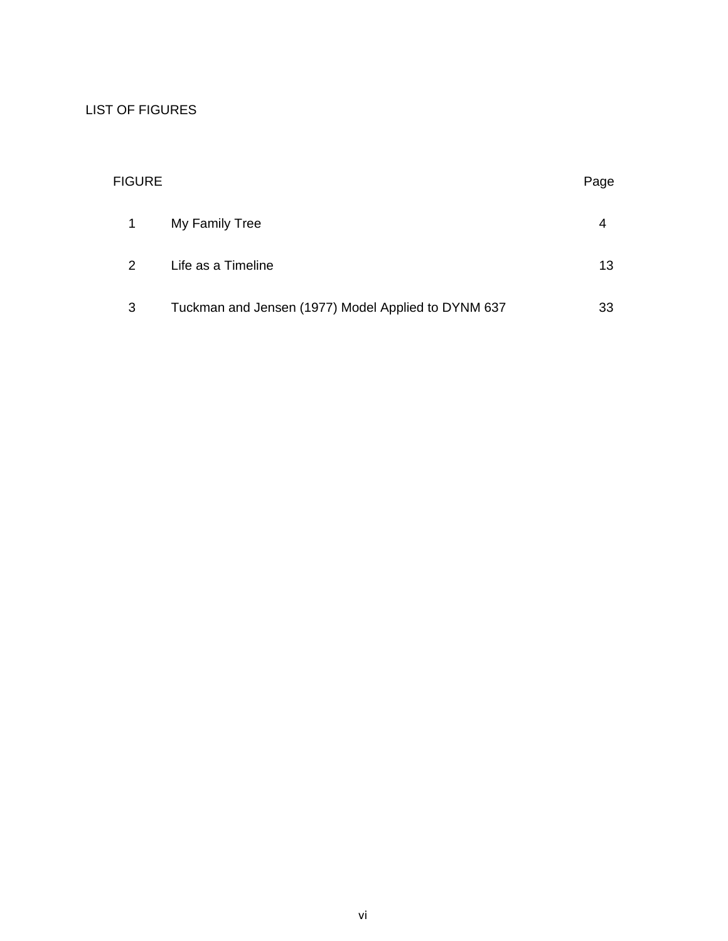### LIST OF FIGURES

| <b>FIGURE</b> |                                                     |    |
|---------------|-----------------------------------------------------|----|
| 1             | My Family Tree                                      | 4  |
| 2             | Life as a Timeline                                  | 13 |
| 3             | Tuckman and Jensen (1977) Model Applied to DYNM 637 | 33 |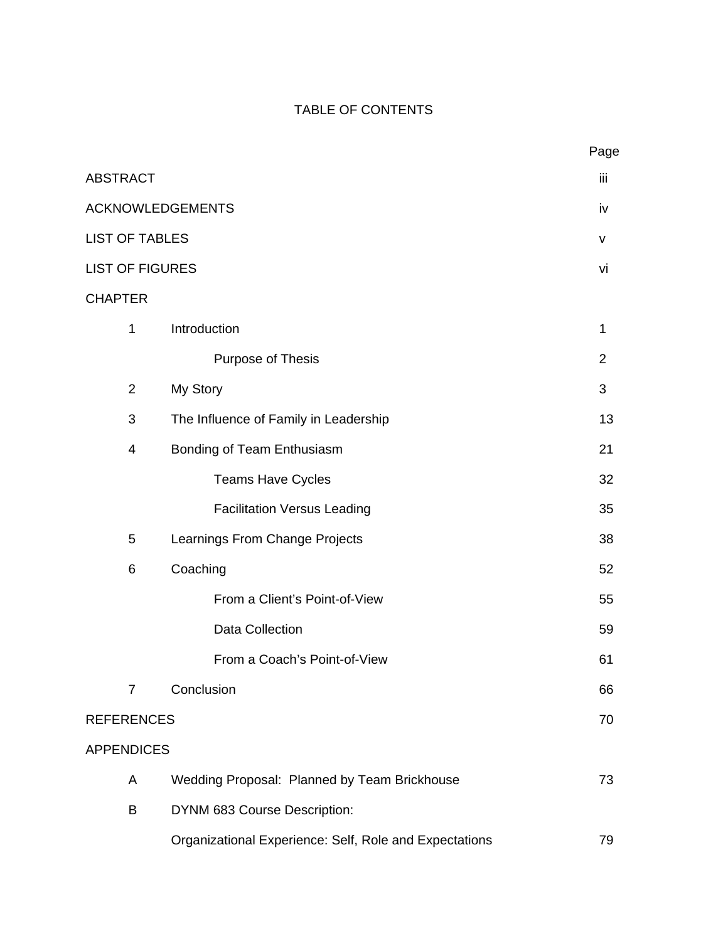# TABLE OF CONTENTS

|                        |                                                        | Page           |
|------------------------|--------------------------------------------------------|----------------|
| <b>ABSTRACT</b>        |                                                        | iii            |
|                        | <b>ACKNOWLEDGEMENTS</b>                                | iv             |
| <b>LIST OF TABLES</b>  |                                                        | v              |
| <b>LIST OF FIGURES</b> |                                                        | vi             |
| <b>CHAPTER</b>         |                                                        |                |
| 1                      | Introduction                                           | 1              |
|                        | Purpose of Thesis                                      | $\overline{2}$ |
| $\overline{2}$         | My Story                                               | 3              |
| 3                      | The Influence of Family in Leadership                  | 13             |
| $\overline{4}$         | Bonding of Team Enthusiasm                             | 21             |
|                        | <b>Teams Have Cycles</b>                               | 32             |
|                        | <b>Facilitation Versus Leading</b>                     | 35             |
| 5                      | Learnings From Change Projects                         | 38             |
| $6\phantom{1}6$        | Coaching                                               | 52             |
|                        | From a Client's Point-of-View                          | 55             |
|                        | <b>Data Collection</b>                                 | 59             |
|                        | From a Coach's Point-of-View                           | 61             |
| $\overline{7}$         | Conclusion                                             | 66             |
| <b>REFERENCES</b>      |                                                        | 70             |
| <b>APPENDICES</b>      |                                                        |                |
| A                      | Wedding Proposal: Planned by Team Brickhouse           | 73             |
| B                      | DYNM 683 Course Description:                           |                |
|                        | Organizational Experience: Self, Role and Expectations | 79             |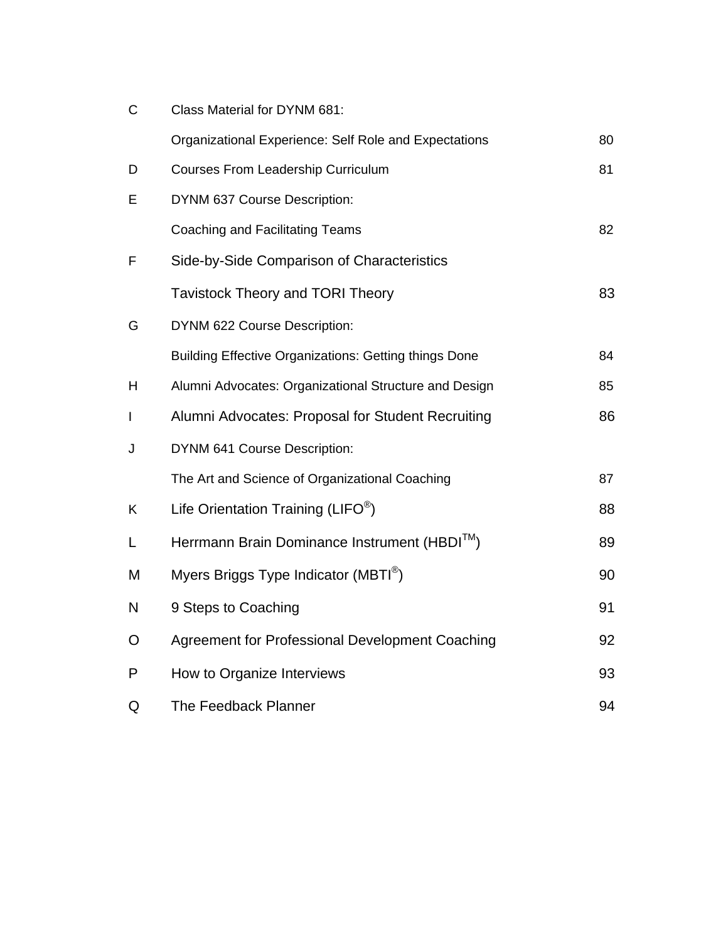| C | Class Material for DYNM 681:                                 |    |
|---|--------------------------------------------------------------|----|
|   | Organizational Experience: Self Role and Expectations        | 80 |
| D | <b>Courses From Leadership Curriculum</b>                    | 81 |
| Е | DYNM 637 Course Description:                                 |    |
|   | Coaching and Facilitating Teams                              | 82 |
| F | Side-by-Side Comparison of Characteristics                   |    |
|   | <b>Tavistock Theory and TORI Theory</b>                      | 83 |
| G | DYNM 622 Course Description:                                 |    |
|   | <b>Building Effective Organizations: Getting things Done</b> | 84 |
| H | Alumni Advocates: Organizational Structure and Design        | 85 |
| L | Alumni Advocates: Proposal for Student Recruiting            | 86 |
| J | DYNM 641 Course Description:                                 |    |
|   | The Art and Science of Organizational Coaching               | 87 |
| K | Life Orientation Training ( $LIFO^{\circledcirc}$ )          | 88 |
| L | Herrmann Brain Dominance Instrument (HBDI™)                  | 89 |
| M | Myers Briggs Type Indicator (MBTI <sup>®</sup> )             | 90 |
| N | 9 Steps to Coaching                                          | 91 |
| O | Agreement for Professional Development Coaching              | 92 |
| P | How to Organize Interviews                                   | 93 |
| Q | <b>The Feedback Planner</b>                                  | 94 |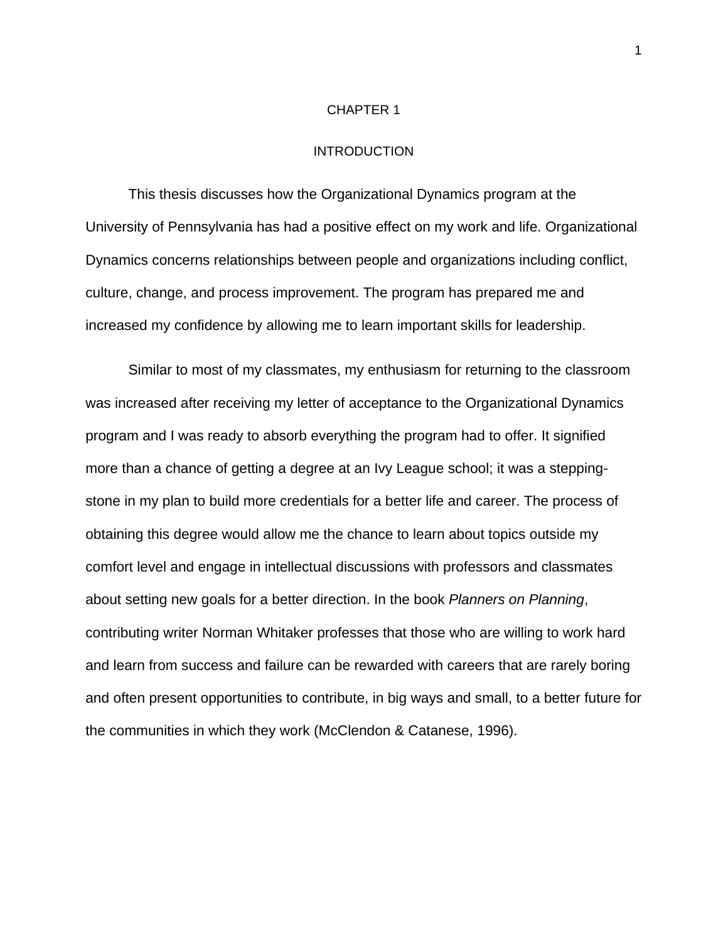#### CHAPTER 1

#### INTRODUCTION

This thesis discusses how the Organizational Dynamics program at the University of Pennsylvania has had a positive effect on my work and life. Organizational Dynamics concerns relationships between people and organizations including conflict, culture, change, and process improvement. The program has prepared me and increased my confidence by allowing me to learn important skills for leadership.

 Similar to most of my classmates, my enthusiasm for returning to the classroom was increased after receiving my letter of acceptance to the Organizational Dynamics program and I was ready to absorb everything the program had to offer. It signified more than a chance of getting a degree at an Ivy League school; it was a steppingstone in my plan to build more credentials for a better life and career. The process of obtaining this degree would allow me the chance to learn about topics outside my comfort level and engage in intellectual discussions with professors and classmates about setting new goals for a better direction. In the book *Planners on Planning*, contributing writer Norman Whitaker professes that those who are willing to work hard and learn from success and failure can be rewarded with careers that are rarely boring and often present opportunities to contribute, in big ways and small, to a better future for the communities in which they work (McClendon & Catanese, 1996).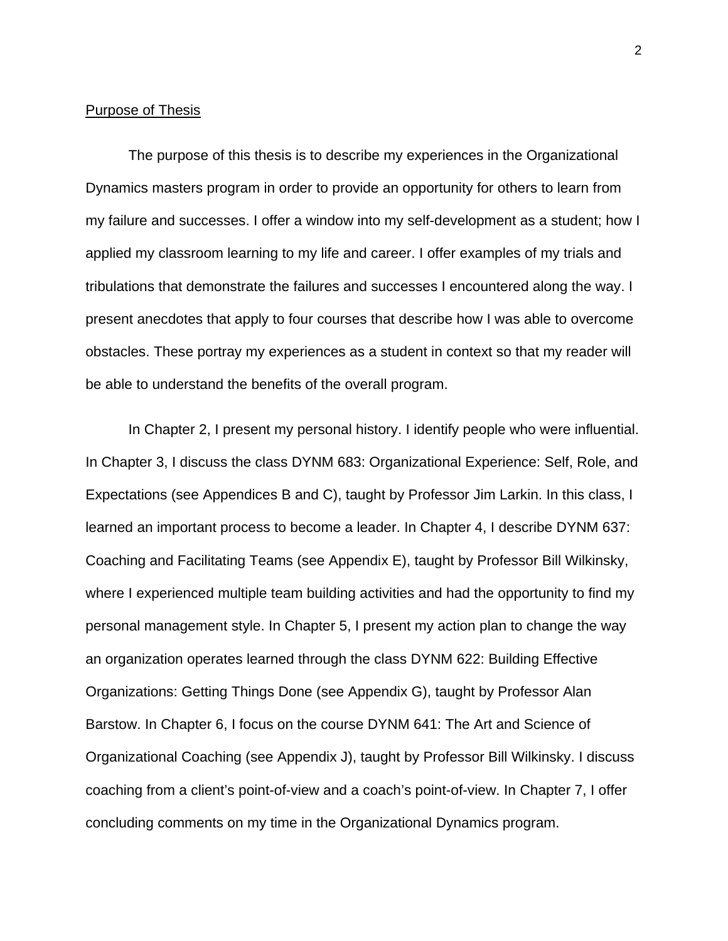#### Purpose of Thesis

 The purpose of this thesis is to describe my experiences in the Organizational Dynamics masters program in order to provide an opportunity for others to learn from my failure and successes. I offer a window into my self-development as a student; how I applied my classroom learning to my life and career. I offer examples of my trials and tribulations that demonstrate the failures and successes I encountered along the way. I present anecdotes that apply to four courses that describe how I was able to overcome obstacles. These portray my experiences as a student in context so that my reader will be able to understand the benefits of the overall program.

 In Chapter 2, I present my personal history. I identify people who were influential. In Chapter 3, I discuss the class DYNM 683: Organizational Experience: Self, Role, and Expectations (see Appendices B and C), taught by Professor Jim Larkin. In this class, I learned an important process to become a leader. In Chapter 4, I describe DYNM 637: Coaching and Facilitating Teams (see Appendix E), taught by Professor Bill Wilkinsky, where I experienced multiple team building activities and had the opportunity to find my personal management style. In Chapter 5, I present my action plan to change the way an organization operates learned through the class DYNM 622: Building Effective Organizations: Getting Things Done (see Appendix G), taught by Professor Alan Barstow. In Chapter 6, I focus on the course DYNM 641: The Art and Science of Organizational Coaching (see Appendix J), taught by Professor Bill Wilkinsky. I discuss coaching from a client's point-of-view and a coach's point-of-view. In Chapter 7, I offer concluding comments on my time in the Organizational Dynamics program.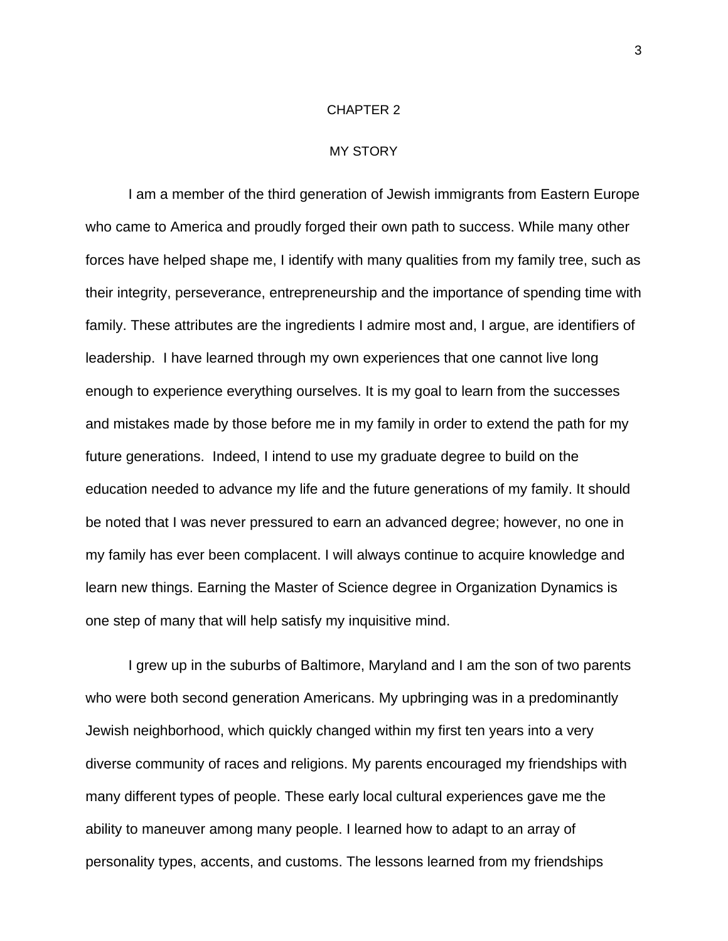#### CHAPTER 2

#### MY STORY

I am a member of the third generation of Jewish immigrants from Eastern Europe who came to America and proudly forged their own path to success. While many other forces have helped shape me, I identify with many qualities from my family tree, such as their integrity, perseverance, entrepreneurship and the importance of spending time with family. These attributes are the ingredients I admire most and, I argue, are identifiers of leadership. I have learned through my own experiences that one cannot live long enough to experience everything ourselves. It is my goal to learn from the successes and mistakes made by those before me in my family in order to extend the path for my future generations. Indeed, I intend to use my graduate degree to build on the education needed to advance my life and the future generations of my family. It should be noted that I was never pressured to earn an advanced degree; however, no one in my family has ever been complacent. I will always continue to acquire knowledge and learn new things. Earning the Master of Science degree in Organization Dynamics is one step of many that will help satisfy my inquisitive mind.

I grew up in the suburbs of Baltimore, Maryland and I am the son of two parents who were both second generation Americans. My upbringing was in a predominantly Jewish neighborhood, which quickly changed within my first ten years into a very diverse community of races and religions. My parents encouraged my friendships with many different types of people. These early local cultural experiences gave me the ability to maneuver among many people. I learned how to adapt to an array of personality types, accents, and customs. The lessons learned from my friendships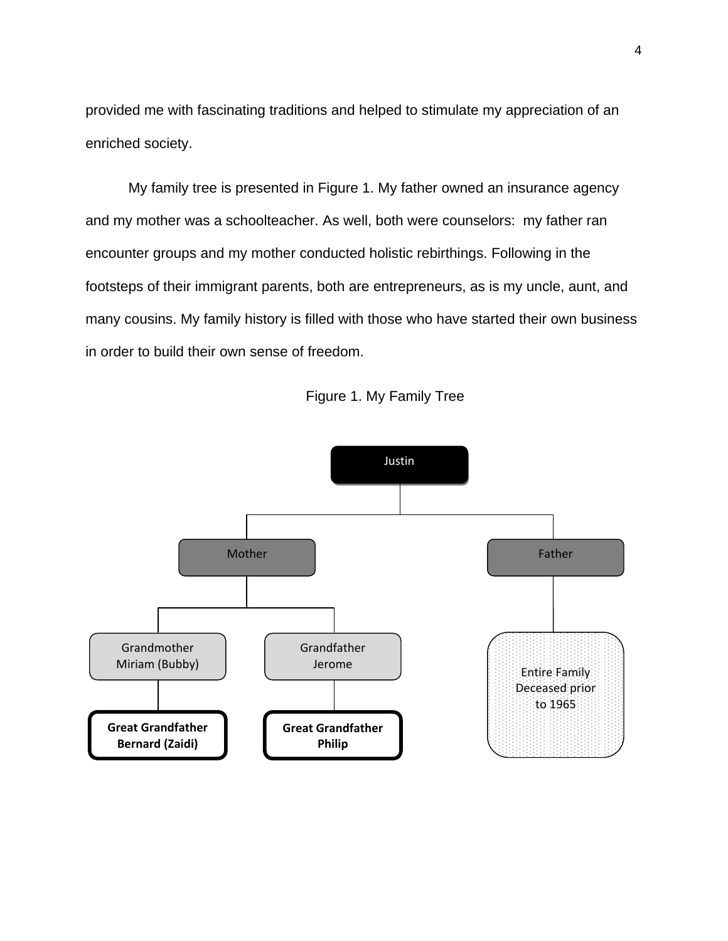provided me with fascinating traditions and helped to stimulate my appreciation of an enriched society.

My family tree is presented in Figure 1. My father owned an insurance agency and my mother was a schoolteacher. As well, both were counselors: my father ran encounter groups and my mother conducted holistic rebirthings. Following in the footsteps of their immigrant parents, both are entrepreneurs, as is my uncle, aunt, and many cousins. My family history is filled with those who have started their own business in order to build their own sense of freedom.



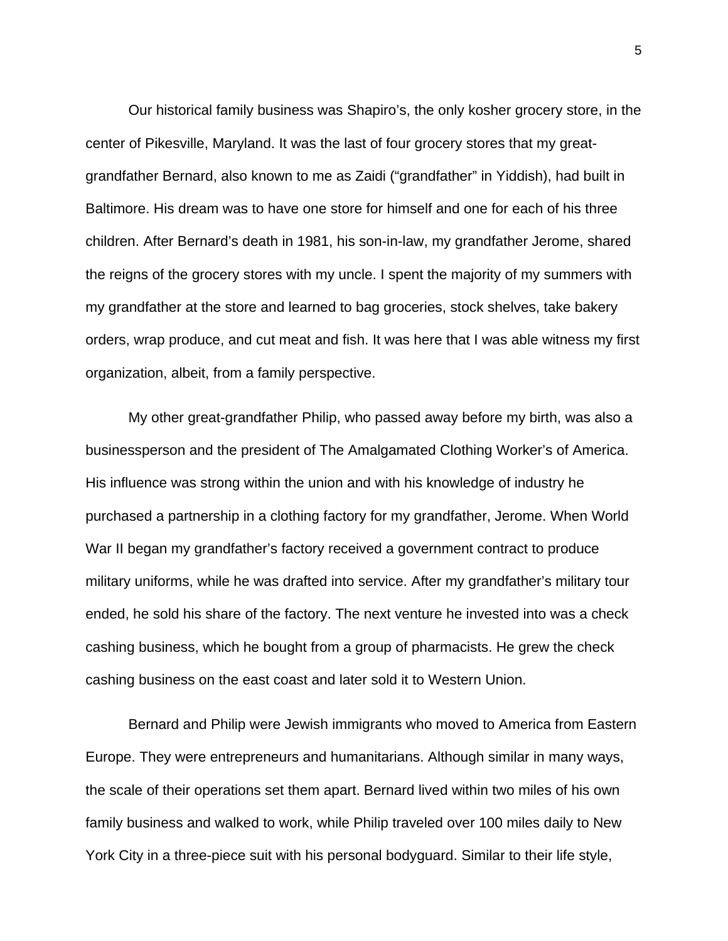Our historical family business was Shapiro's, the only kosher grocery store, in the center of Pikesville, Maryland. It was the last of four grocery stores that my greatgrandfather Bernard, also known to me as Zaidi ("grandfather" in Yiddish), had built in Baltimore. His dream was to have one store for himself and one for each of his three children. After Bernard's death in 1981, his son-in-law, my grandfather Jerome, shared the reigns of the grocery stores with my uncle. I spent the majority of my summers with my grandfather at the store and learned to bag groceries, stock shelves, take bakery orders, wrap produce, and cut meat and fish. It was here that I was able witness my first organization, albeit, from a family perspective.

My other great-grandfather Philip, who passed away before my birth, was also a businessperson and the president of The Amalgamated Clothing Worker's of America. His influence was strong within the union and with his knowledge of industry he purchased a partnership in a clothing factory for my grandfather, Jerome. When World War II began my grandfather's factory received a government contract to produce military uniforms, while he was drafted into service. After my grandfather's military tour ended, he sold his share of the factory. The next venture he invested into was a check cashing business, which he bought from a group of pharmacists. He grew the check cashing business on the east coast and later sold it to Western Union.

Bernard and Philip were Jewish immigrants who moved to America from Eastern Europe. They were entrepreneurs and humanitarians. Although similar in many ways, the scale of their operations set them apart. Bernard lived within two miles of his own family business and walked to work, while Philip traveled over 100 miles daily to New York City in a three-piece suit with his personal bodyguard. Similar to their life style,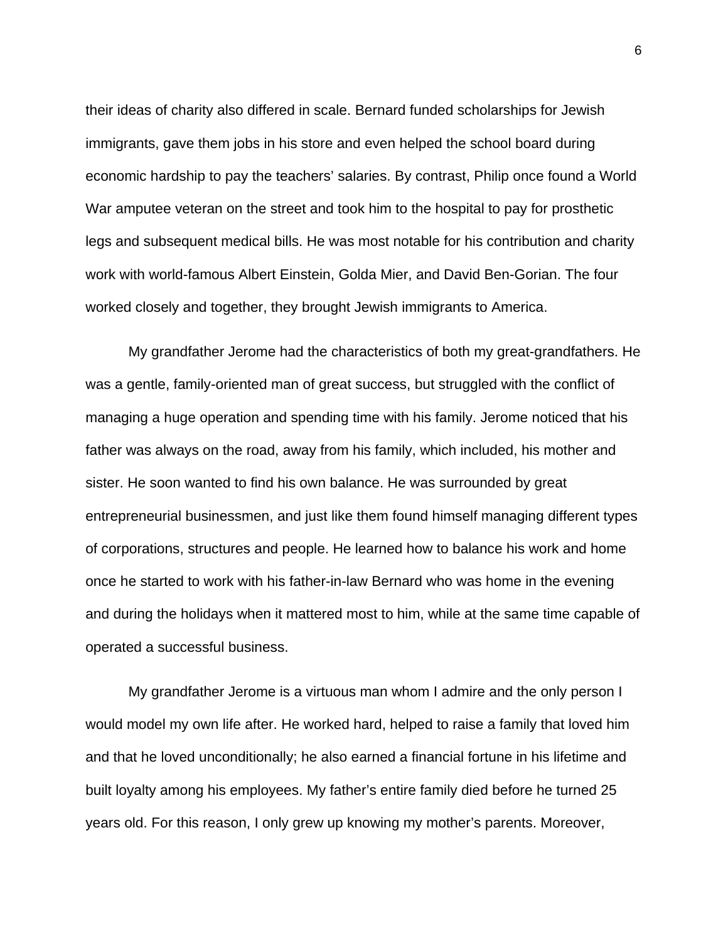their ideas of charity also differed in scale. Bernard funded scholarships for Jewish immigrants, gave them jobs in his store and even helped the school board during economic hardship to pay the teachers' salaries. By contrast, Philip once found a World War amputee veteran on the street and took him to the hospital to pay for prosthetic legs and subsequent medical bills. He was most notable for his contribution and charity work with world-famous Albert Einstein, Golda Mier, and David Ben-Gorian. The four worked closely and together, they brought Jewish immigrants to America.

My grandfather Jerome had the characteristics of both my great-grandfathers. He was a gentle, family-oriented man of great success, but struggled with the conflict of managing a huge operation and spending time with his family. Jerome noticed that his father was always on the road, away from his family, which included, his mother and sister. He soon wanted to find his own balance. He was surrounded by great entrepreneurial businessmen, and just like them found himself managing different types of corporations, structures and people. He learned how to balance his work and home once he started to work with his father-in-law Bernard who was home in the evening and during the holidays when it mattered most to him, while at the same time capable of operated a successful business.

My grandfather Jerome is a virtuous man whom I admire and the only person I would model my own life after. He worked hard, helped to raise a family that loved him and that he loved unconditionally; he also earned a financial fortune in his lifetime and built loyalty among his employees. My father's entire family died before he turned 25 years old. For this reason, I only grew up knowing my mother's parents. Moreover,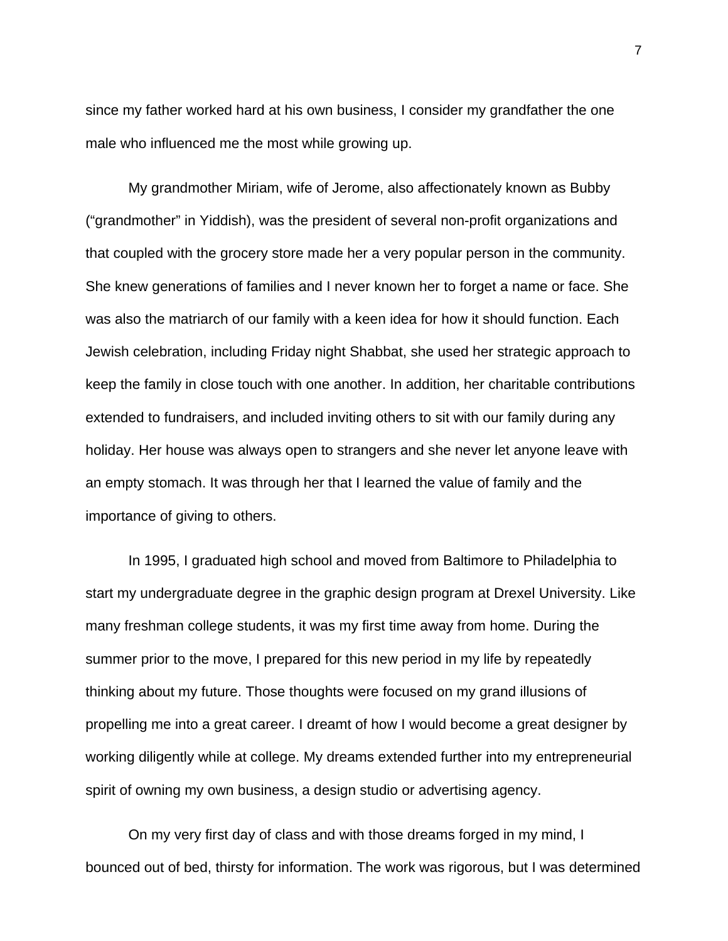since my father worked hard at his own business, I consider my grandfather the one male who influenced me the most while growing up.

My grandmother Miriam, wife of Jerome, also affectionately known as Bubby ("grandmother" in Yiddish), was the president of several non-profit organizations and that coupled with the grocery store made her a very popular person in the community. She knew generations of families and I never known her to forget a name or face. She was also the matriarch of our family with a keen idea for how it should function. Each Jewish celebration, including Friday night Shabbat, she used her strategic approach to keep the family in close touch with one another. In addition, her charitable contributions extended to fundraisers, and included inviting others to sit with our family during any holiday. Her house was always open to strangers and she never let anyone leave with an empty stomach. It was through her that I learned the value of family and the importance of giving to others.

In 1995, I graduated high school and moved from Baltimore to Philadelphia to start my undergraduate degree in the graphic design program at Drexel University. Like many freshman college students, it was my first time away from home. During the summer prior to the move, I prepared for this new period in my life by repeatedly thinking about my future. Those thoughts were focused on my grand illusions of propelling me into a great career. I dreamt of how I would become a great designer by working diligently while at college. My dreams extended further into my entrepreneurial spirit of owning my own business, a design studio or advertising agency.

On my very first day of class and with those dreams forged in my mind, I bounced out of bed, thirsty for information. The work was rigorous, but I was determined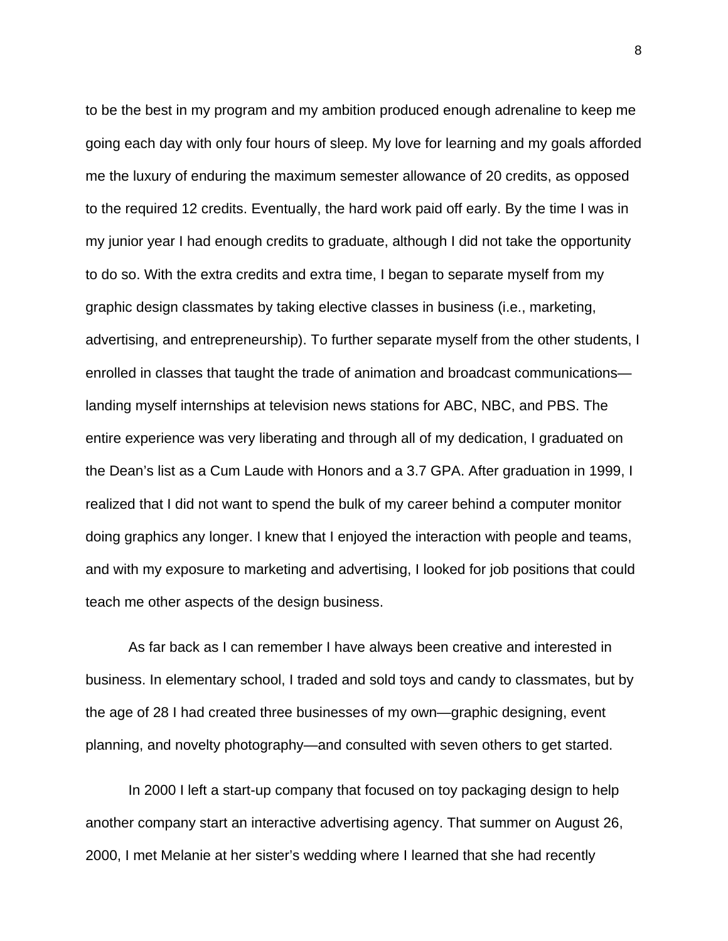to be the best in my program and my ambition produced enough adrenaline to keep me going each day with only four hours of sleep. My love for learning and my goals afforded me the luxury of enduring the maximum semester allowance of 20 credits, as opposed to the required 12 credits. Eventually, the hard work paid off early. By the time I was in my junior year I had enough credits to graduate, although I did not take the opportunity to do so. With the extra credits and extra time, I began to separate myself from my graphic design classmates by taking elective classes in business (i.e., marketing, advertising, and entrepreneurship). To further separate myself from the other students, I enrolled in classes that taught the trade of animation and broadcast communications landing myself internships at television news stations for ABC, NBC, and PBS. The entire experience was very liberating and through all of my dedication, I graduated on the Dean's list as a Cum Laude with Honors and a 3.7 GPA. After graduation in 1999, I realized that I did not want to spend the bulk of my career behind a computer monitor doing graphics any longer. I knew that I enjoyed the interaction with people and teams, and with my exposure to marketing and advertising, I looked for job positions that could teach me other aspects of the design business.

As far back as I can remember I have always been creative and interested in business. In elementary school, I traded and sold toys and candy to classmates, but by the age of 28 I had created three businesses of my own—graphic designing, event planning, and novelty photography—and consulted with seven others to get started.

In 2000 I left a start-up company that focused on toy packaging design to help another company start an interactive advertising agency. That summer on August 26, 2000, I met Melanie at her sister's wedding where I learned that she had recently

8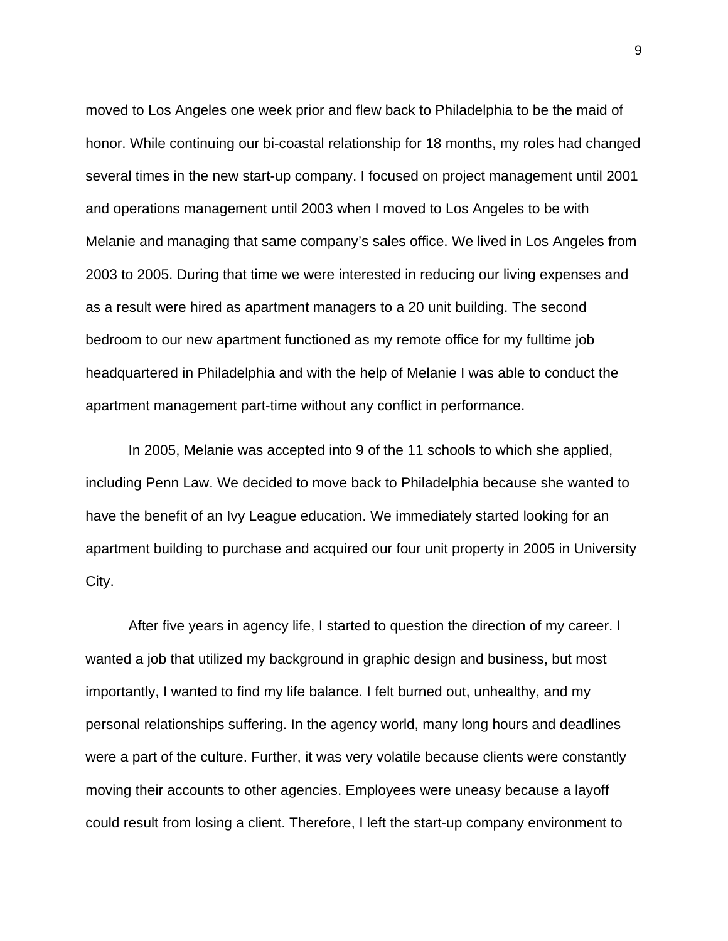moved to Los Angeles one week prior and flew back to Philadelphia to be the maid of honor. While continuing our bi-coastal relationship for 18 months, my roles had changed several times in the new start-up company. I focused on project management until 2001 and operations management until 2003 when I moved to Los Angeles to be with Melanie and managing that same company's sales office. We lived in Los Angeles from 2003 to 2005. During that time we were interested in reducing our living expenses and as a result were hired as apartment managers to a 20 unit building. The second bedroom to our new apartment functioned as my remote office for my fulltime job headquartered in Philadelphia and with the help of Melanie I was able to conduct the apartment management part-time without any conflict in performance.

In 2005, Melanie was accepted into 9 of the 11 schools to which she applied, including Penn Law. We decided to move back to Philadelphia because she wanted to have the benefit of an Ivy League education. We immediately started looking for an apartment building to purchase and acquired our four unit property in 2005 in University City.

After five years in agency life, I started to question the direction of my career. I wanted a job that utilized my background in graphic design and business, but most importantly, I wanted to find my life balance. I felt burned out, unhealthy, and my personal relationships suffering. In the agency world, many long hours and deadlines were a part of the culture. Further, it was very volatile because clients were constantly moving their accounts to other agencies. Employees were uneasy because a layoff could result from losing a client. Therefore, I left the start-up company environment to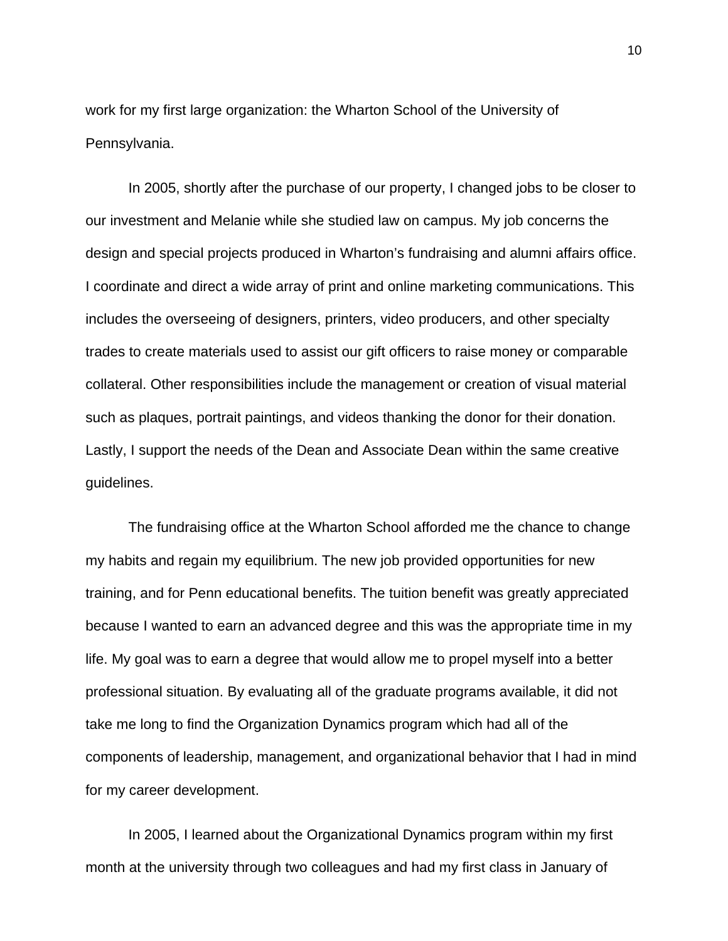work for my first large organization: the Wharton School of the University of Pennsylvania.

In 2005, shortly after the purchase of our property, I changed jobs to be closer to our investment and Melanie while she studied law on campus. My job concerns the design and special projects produced in Wharton's fundraising and alumni affairs office. I coordinate and direct a wide array of print and online marketing communications. This includes the overseeing of designers, printers, video producers, and other specialty trades to create materials used to assist our gift officers to raise money or comparable collateral. Other responsibilities include the management or creation of visual material such as plaques, portrait paintings, and videos thanking the donor for their donation. Lastly, I support the needs of the Dean and Associate Dean within the same creative guidelines.

The fundraising office at the Wharton School afforded me the chance to change my habits and regain my equilibrium. The new job provided opportunities for new training, and for Penn educational benefits. The tuition benefit was greatly appreciated because I wanted to earn an advanced degree and this was the appropriate time in my life. My goal was to earn a degree that would allow me to propel myself into a better professional situation. By evaluating all of the graduate programs available, it did not take me long to find the Organization Dynamics program which had all of the components of leadership, management, and organizational behavior that I had in mind for my career development.

In 2005, I learned about the Organizational Dynamics program within my first month at the university through two colleagues and had my first class in January of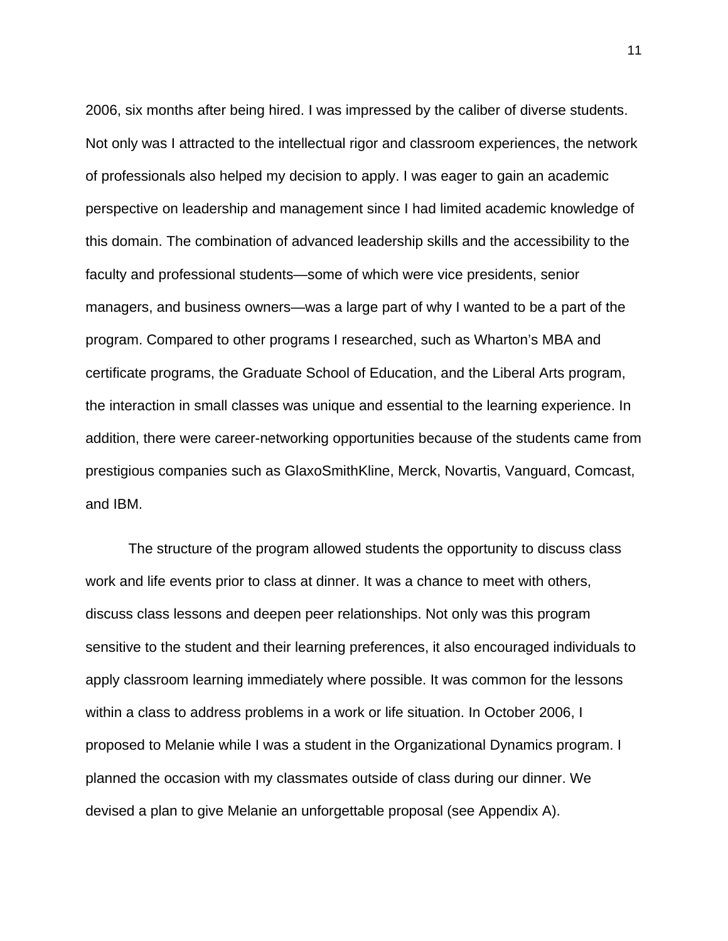2006, six months after being hired. I was impressed by the caliber of diverse students. Not only was I attracted to the intellectual rigor and classroom experiences, the network of professionals also helped my decision to apply. I was eager to gain an academic perspective on leadership and management since I had limited academic knowledge of this domain. The combination of advanced leadership skills and the accessibility to the faculty and professional students—some of which were vice presidents, senior managers, and business owners—was a large part of why I wanted to be a part of the program. Compared to other programs I researched, such as Wharton's MBA and certificate programs, the Graduate School of Education, and the Liberal Arts program, the interaction in small classes was unique and essential to the learning experience. In addition, there were career-networking opportunities because of the students came from prestigious companies such as GlaxoSmithKline, Merck, Novartis, Vanguard, Comcast, and IBM.

The structure of the program allowed students the opportunity to discuss class work and life events prior to class at dinner. It was a chance to meet with others, discuss class lessons and deepen peer relationships. Not only was this program sensitive to the student and their learning preferences, it also encouraged individuals to apply classroom learning immediately where possible. It was common for the lessons within a class to address problems in a work or life situation. In October 2006, I proposed to Melanie while I was a student in the Organizational Dynamics program. I planned the occasion with my classmates outside of class during our dinner. We devised a plan to give Melanie an unforgettable proposal (see Appendix A).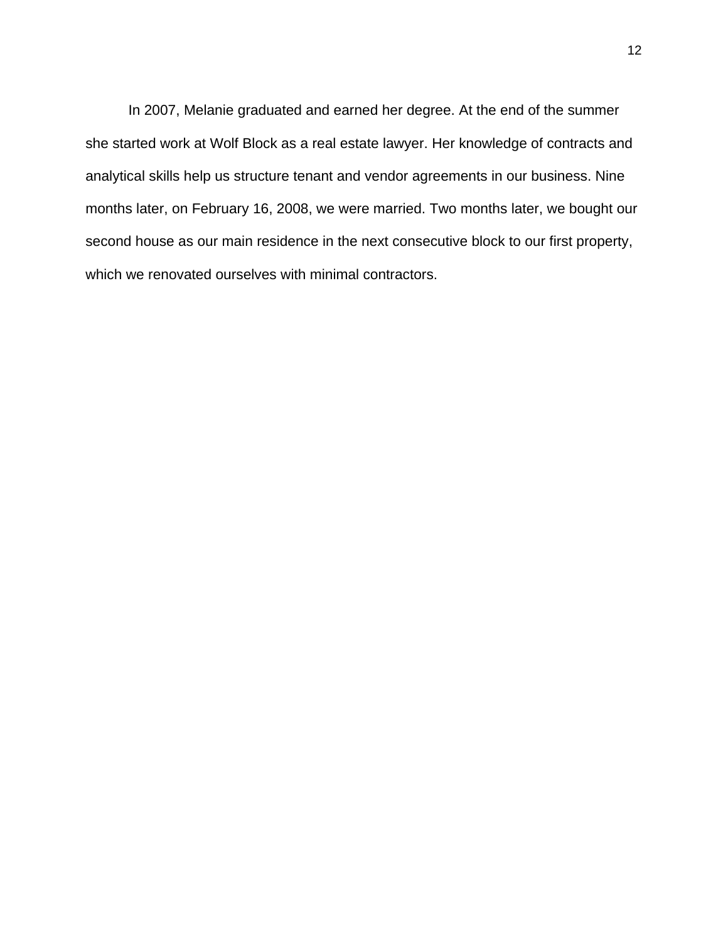In 2007, Melanie graduated and earned her degree. At the end of the summer she started work at Wolf Block as a real estate lawyer. Her knowledge of contracts and analytical skills help us structure tenant and vendor agreements in our business. Nine months later, on February 16, 2008, we were married. Two months later, we bought our second house as our main residence in the next consecutive block to our first property, which we renovated ourselves with minimal contractors.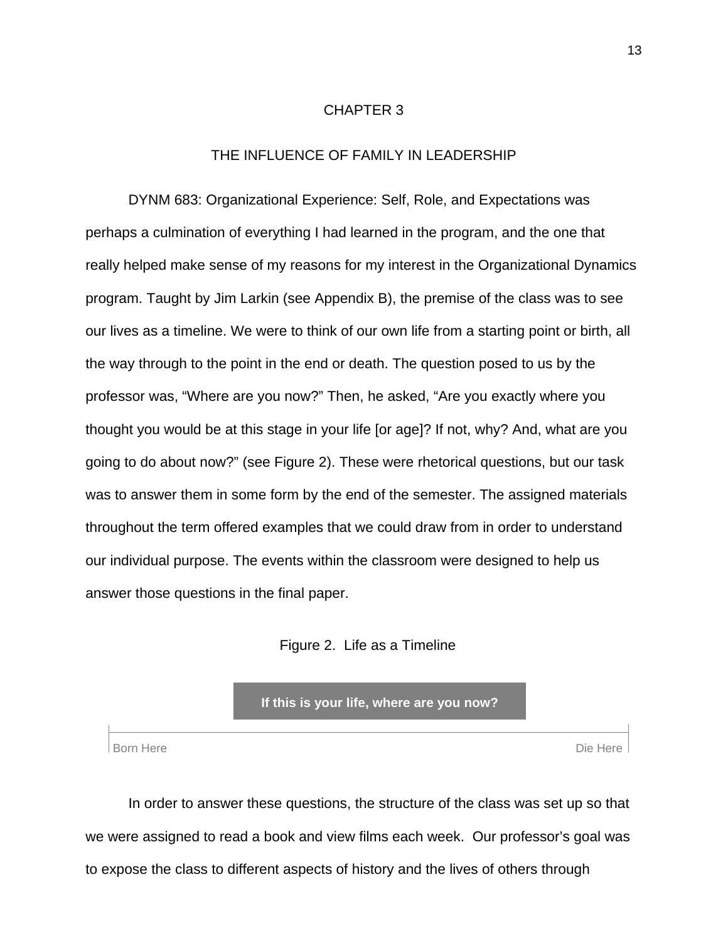#### CHAPTER 3

### THE INFLUENCE OF FAMILY IN LEADERSHIP

 DYNM 683: Organizational Experience: Self, Role, and Expectations was perhaps a culmination of everything I had learned in the program, and the one that really helped make sense of my reasons for my interest in the Organizational Dynamics program. Taught by Jim Larkin (see Appendix B), the premise of the class was to see our lives as a timeline. We were to think of our own life from a starting point or birth, all the way through to the point in the end or death. The question posed to us by the professor was, "Where are you now?" Then, he asked, "Are you exactly where you thought you would be at this stage in your life [or age]? If not, why? And, what are you going to do about now?" (see Figure 2). These were rhetorical questions, but our task was to answer them in some form by the end of the semester. The assigned materials throughout the term offered examples that we could draw from in order to understand our individual purpose. The events within the classroom were designed to help us answer those questions in the final paper.

#### Figure 2. Life as a Timeline

**If this is your life, where are you now?** 

Born Here Die Here Die Here Die Here Die Here Die Here Die Here Die Here Die Here Die Here Die Here Die Here D

 In order to answer these questions, the structure of the class was set up so that we were assigned to read a book and view films each week. Our professor's goal was to expose the class to different aspects of history and the lives of others through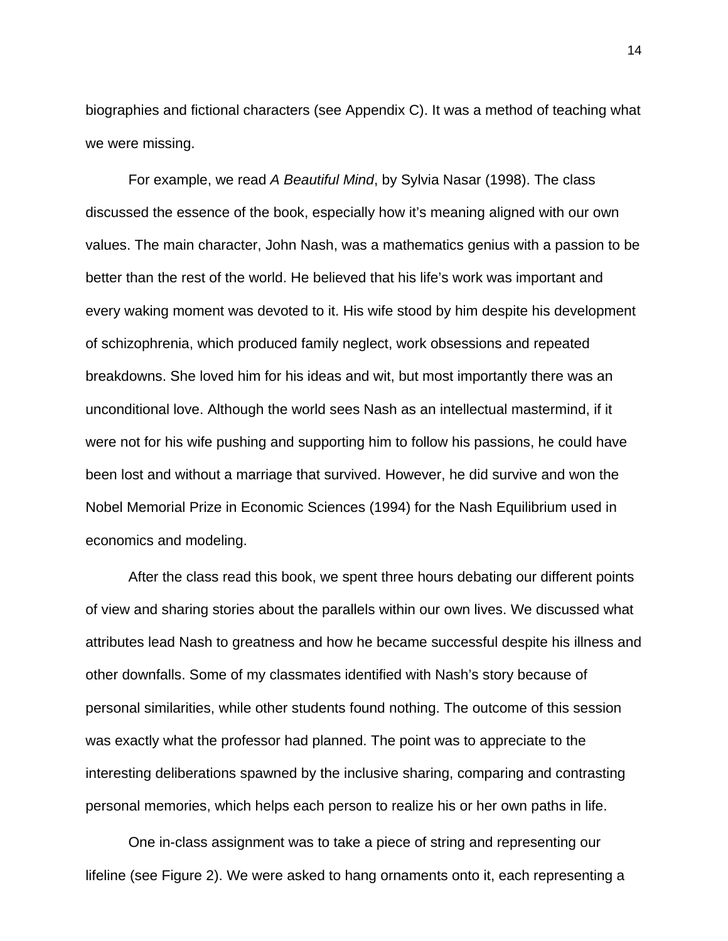biographies and fictional characters (see Appendix C). It was a method of teaching what we were missing.

For example, we read *A Beautiful Mind*, by Sylvia Nasar (1998). The class discussed the essence of the book, especially how it's meaning aligned with our own values. The main character, John Nash, was a mathematics genius with a passion to be better than the rest of the world. He believed that his life's work was important and every waking moment was devoted to it. His wife stood by him despite his development of schizophrenia, which produced family neglect, work obsessions and repeated breakdowns. She loved him for his ideas and wit, but most importantly there was an unconditional love. Although the world sees Nash as an intellectual mastermind, if it were not for his wife pushing and supporting him to follow his passions, he could have been lost and without a marriage that survived. However, he did survive and won the Nobel Memorial Prize in Economic Sciences (1994) for the Nash Equilibrium used in economics and modeling.

After the class read this book, we spent three hours debating our different points of view and sharing stories about the parallels within our own lives. We discussed what attributes lead Nash to greatness and how he became successful despite his illness and other downfalls. Some of my classmates identified with Nash's story because of personal similarities, while other students found nothing. The outcome of this session was exactly what the professor had planned. The point was to appreciate to the interesting deliberations spawned by the inclusive sharing, comparing and contrasting personal memories, which helps each person to realize his or her own paths in life.

 One in-class assignment was to take a piece of string and representing our lifeline (see Figure 2). We were asked to hang ornaments onto it, each representing a

14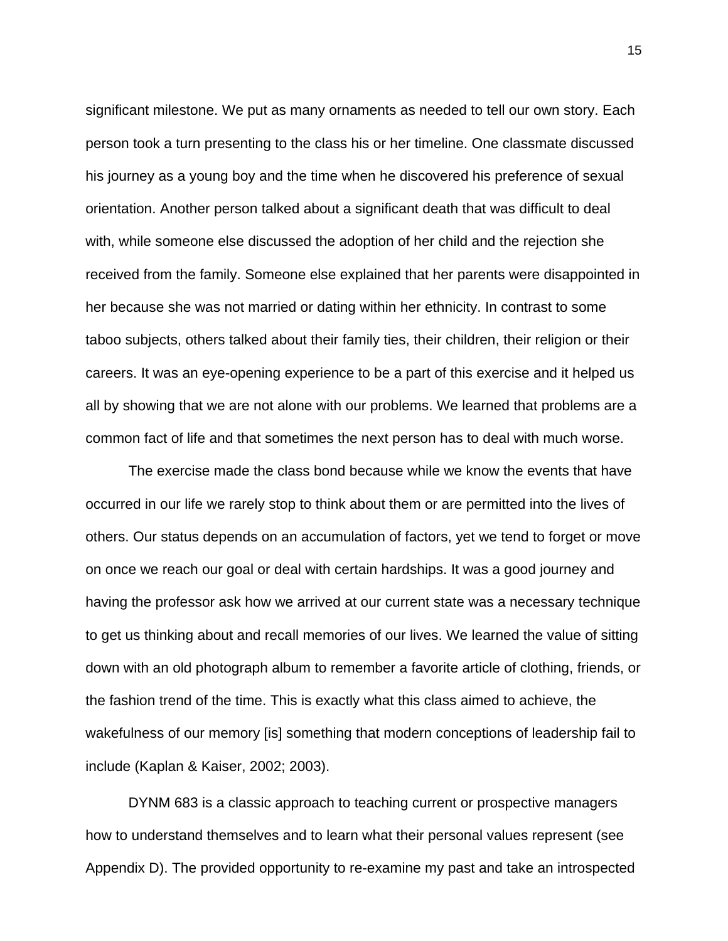significant milestone. We put as many ornaments as needed to tell our own story. Each person took a turn presenting to the class his or her timeline. One classmate discussed his journey as a young boy and the time when he discovered his preference of sexual orientation. Another person talked about a significant death that was difficult to deal with, while someone else discussed the adoption of her child and the rejection she received from the family. Someone else explained that her parents were disappointed in her because she was not married or dating within her ethnicity. In contrast to some taboo subjects, others talked about their family ties, their children, their religion or their careers. It was an eye-opening experience to be a part of this exercise and it helped us all by showing that we are not alone with our problems. We learned that problems are a common fact of life and that sometimes the next person has to deal with much worse.

 The exercise made the class bond because while we know the events that have occurred in our life we rarely stop to think about them or are permitted into the lives of others. Our status depends on an accumulation of factors, yet we tend to forget or move on once we reach our goal or deal with certain hardships. It was a good journey and having the professor ask how we arrived at our current state was a necessary technique to get us thinking about and recall memories of our lives. We learned the value of sitting down with an old photograph album to remember a favorite article of clothing, friends, or the fashion trend of the time. This is exactly what this class aimed to achieve, the wakefulness of our memory [is] something that modern conceptions of leadership fail to include (Kaplan & Kaiser, 2002; 2003).

 DYNM 683 is a classic approach to teaching current or prospective managers how to understand themselves and to learn what their personal values represent (see Appendix D). The provided opportunity to re-examine my past and take an introspected

15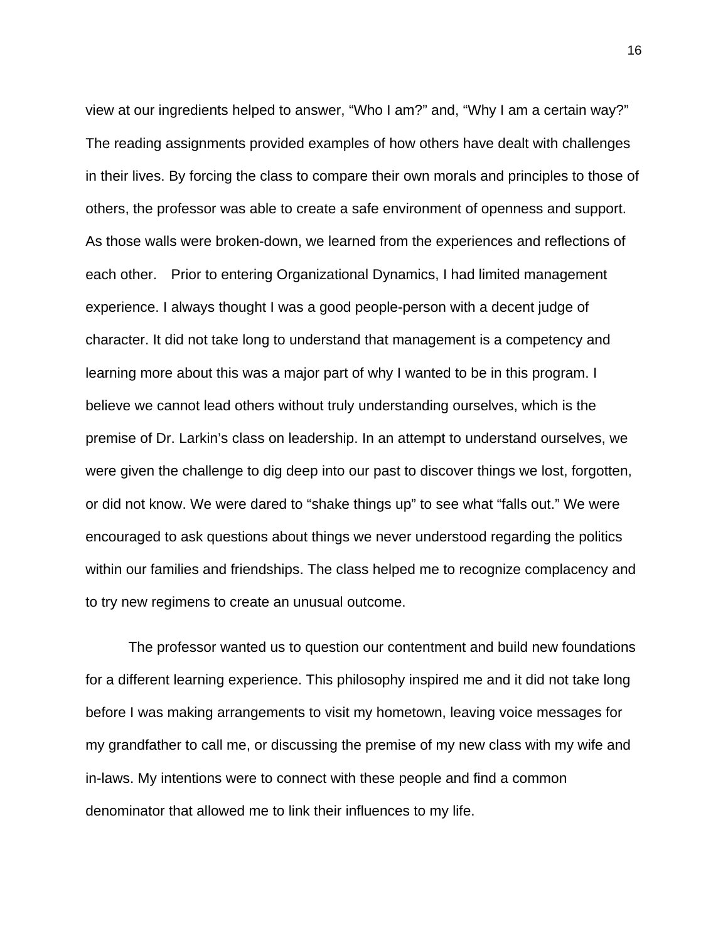view at our ingredients helped to answer, "Who I am?" and, "Why I am a certain way?" The reading assignments provided examples of how others have dealt with challenges in their lives. By forcing the class to compare their own morals and principles to those of others, the professor was able to create a safe environment of openness and support. As those walls were broken-down, we learned from the experiences and reflections of each other. Prior to entering Organizational Dynamics, I had limited management experience. I always thought I was a good people-person with a decent judge of character. It did not take long to understand that management is a competency and learning more about this was a major part of why I wanted to be in this program. I believe we cannot lead others without truly understanding ourselves, which is the premise of Dr. Larkin's class on leadership. In an attempt to understand ourselves, we were given the challenge to dig deep into our past to discover things we lost, forgotten, or did not know. We were dared to "shake things up" to see what "falls out." We were encouraged to ask questions about things we never understood regarding the politics within our families and friendships. The class helped me to recognize complacency and to try new regimens to create an unusual outcome.

 The professor wanted us to question our contentment and build new foundations for a different learning experience. This philosophy inspired me and it did not take long before I was making arrangements to visit my hometown, leaving voice messages for my grandfather to call me, or discussing the premise of my new class with my wife and in-laws. My intentions were to connect with these people and find a common denominator that allowed me to link their influences to my life.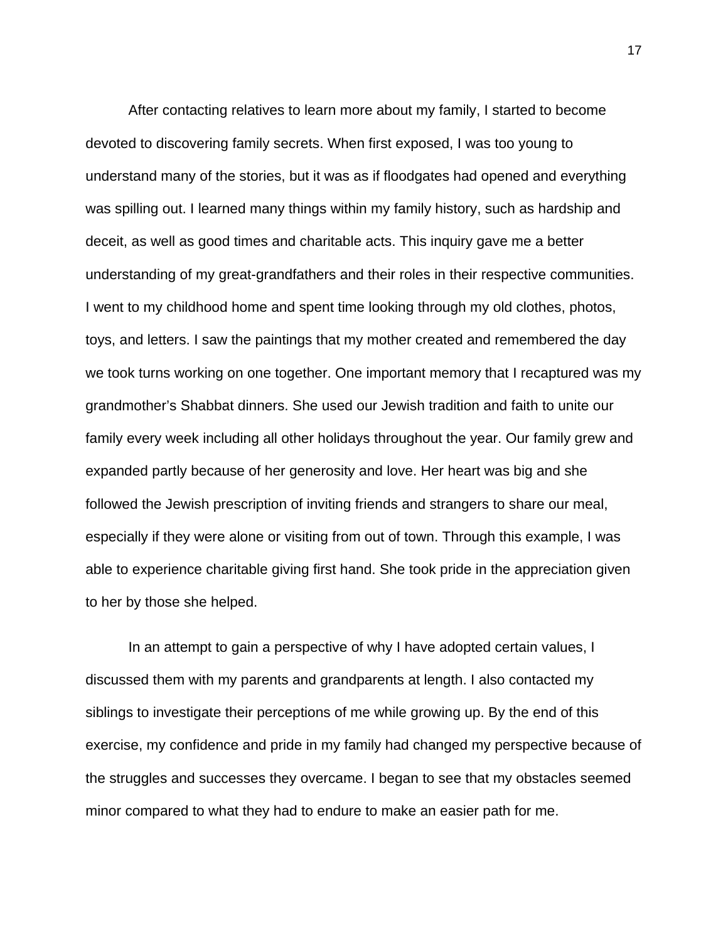After contacting relatives to learn more about my family, I started to become devoted to discovering family secrets. When first exposed, I was too young to understand many of the stories, but it was as if floodgates had opened and everything was spilling out. I learned many things within my family history, such as hardship and deceit, as well as good times and charitable acts. This inquiry gave me a better understanding of my great-grandfathers and their roles in their respective communities. I went to my childhood home and spent time looking through my old clothes, photos, toys, and letters. I saw the paintings that my mother created and remembered the day we took turns working on one together. One important memory that I recaptured was my grandmother's Shabbat dinners. She used our Jewish tradition and faith to unite our family every week including all other holidays throughout the year. Our family grew and expanded partly because of her generosity and love. Her heart was big and she followed the Jewish prescription of inviting friends and strangers to share our meal, especially if they were alone or visiting from out of town. Through this example, I was able to experience charitable giving first hand. She took pride in the appreciation given to her by those she helped.

 In an attempt to gain a perspective of why I have adopted certain values, I discussed them with my parents and grandparents at length. I also contacted my siblings to investigate their perceptions of me while growing up. By the end of this exercise, my confidence and pride in my family had changed my perspective because of the struggles and successes they overcame. I began to see that my obstacles seemed minor compared to what they had to endure to make an easier path for me.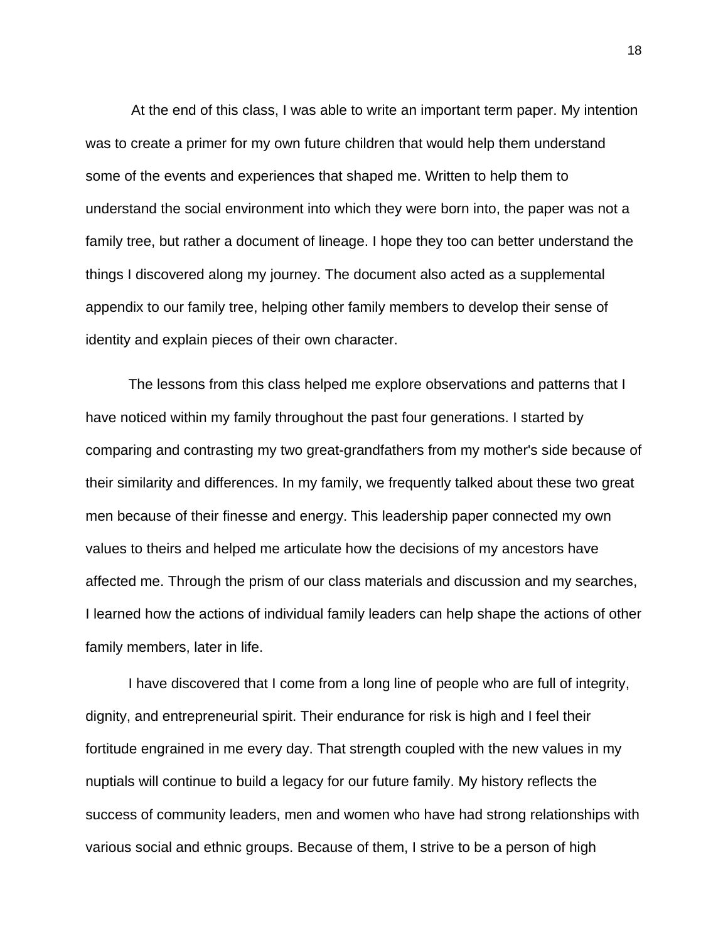At the end of this class, I was able to write an important term paper. My intention was to create a primer for my own future children that would help them understand some of the events and experiences that shaped me. Written to help them to understand the social environment into which they were born into, the paper was not a family tree, but rather a document of lineage. I hope they too can better understand the things I discovered along my journey. The document also acted as a supplemental appendix to our family tree, helping other family members to develop their sense of identity and explain pieces of their own character.

 The lessons from this class helped me explore observations and patterns that I have noticed within my family throughout the past four generations. I started by comparing and contrasting my two great-grandfathers from my mother's side because of their similarity and differences. In my family, we frequently talked about these two great men because of their finesse and energy. This leadership paper connected my own values to theirs and helped me articulate how the decisions of my ancestors have affected me. Through the prism of our class materials and discussion and my searches, I learned how the actions of individual family leaders can help shape the actions of other family members, later in life.

 I have discovered that I come from a long line of people who are full of integrity, dignity, and entrepreneurial spirit. Their endurance for risk is high and I feel their fortitude engrained in me every day. That strength coupled with the new values in my nuptials will continue to build a legacy for our future family. My history reflects the success of community leaders, men and women who have had strong relationships with various social and ethnic groups. Because of them, I strive to be a person of high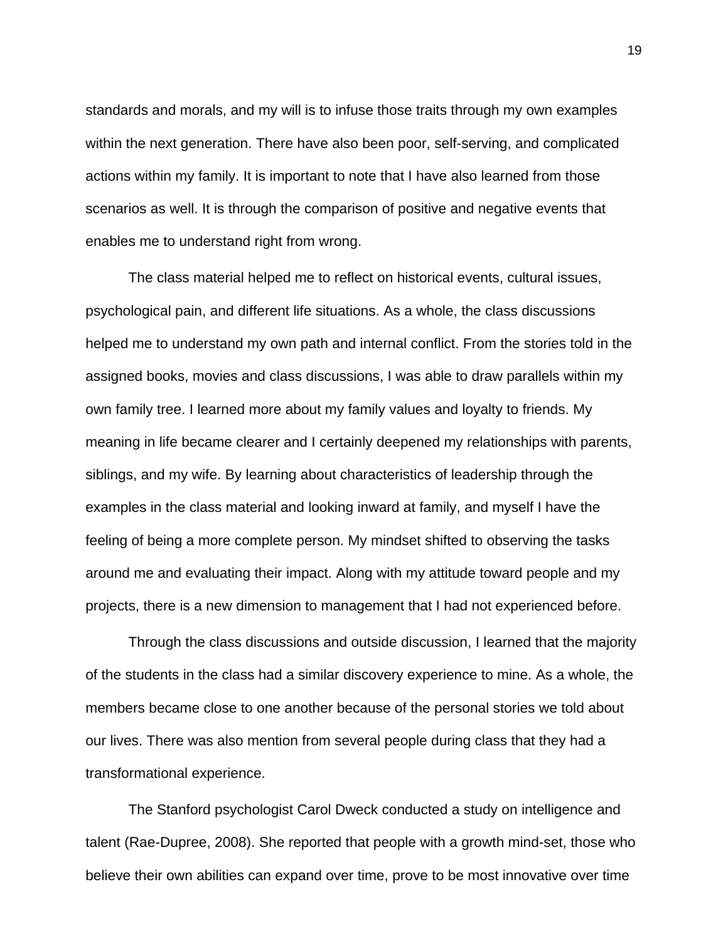standards and morals, and my will is to infuse those traits through my own examples within the next generation. There have also been poor, self-serving, and complicated actions within my family. It is important to note that I have also learned from those scenarios as well. It is through the comparison of positive and negative events that enables me to understand right from wrong.

 The class material helped me to reflect on historical events, cultural issues, psychological pain, and different life situations. As a whole, the class discussions helped me to understand my own path and internal conflict. From the stories told in the assigned books, movies and class discussions, I was able to draw parallels within my own family tree. I learned more about my family values and loyalty to friends. My meaning in life became clearer and I certainly deepened my relationships with parents, siblings, and my wife. By learning about characteristics of leadership through the examples in the class material and looking inward at family, and myself I have the feeling of being a more complete person. My mindset shifted to observing the tasks around me and evaluating their impact. Along with my attitude toward people and my projects, there is a new dimension to management that I had not experienced before.

 Through the class discussions and outside discussion, I learned that the majority of the students in the class had a similar discovery experience to mine. As a whole, the members became close to one another because of the personal stories we told about our lives. There was also mention from several people during class that they had a transformational experience.

 The Stanford psychologist Carol Dweck conducted a study on intelligence and talent (Rae-Dupree, 2008). She reported that people with a growth mind-set, those who believe their own abilities can expand over time, prove to be most innovative over time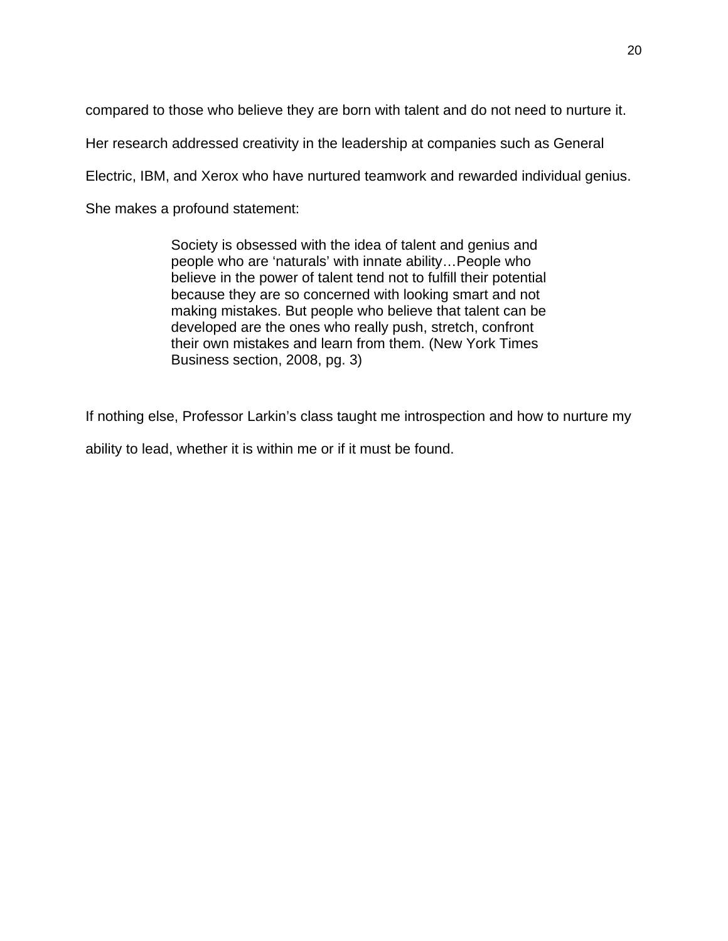compared to those who believe they are born with talent and do not need to nurture it.

Her research addressed creativity in the leadership at companies such as General

Electric, IBM, and Xerox who have nurtured teamwork and rewarded individual genius.

She makes a profound statement:

Society is obsessed with the idea of talent and genius and people who are 'naturals' with innate ability…People who believe in the power of talent tend not to fulfill their potential because they are so concerned with looking smart and not making mistakes. But people who believe that talent can be developed are the ones who really push, stretch, confront their own mistakes and learn from them. (New York Times Business section, 2008, pg. 3)

If nothing else, Professor Larkin's class taught me introspection and how to nurture my

ability to lead, whether it is within me or if it must be found.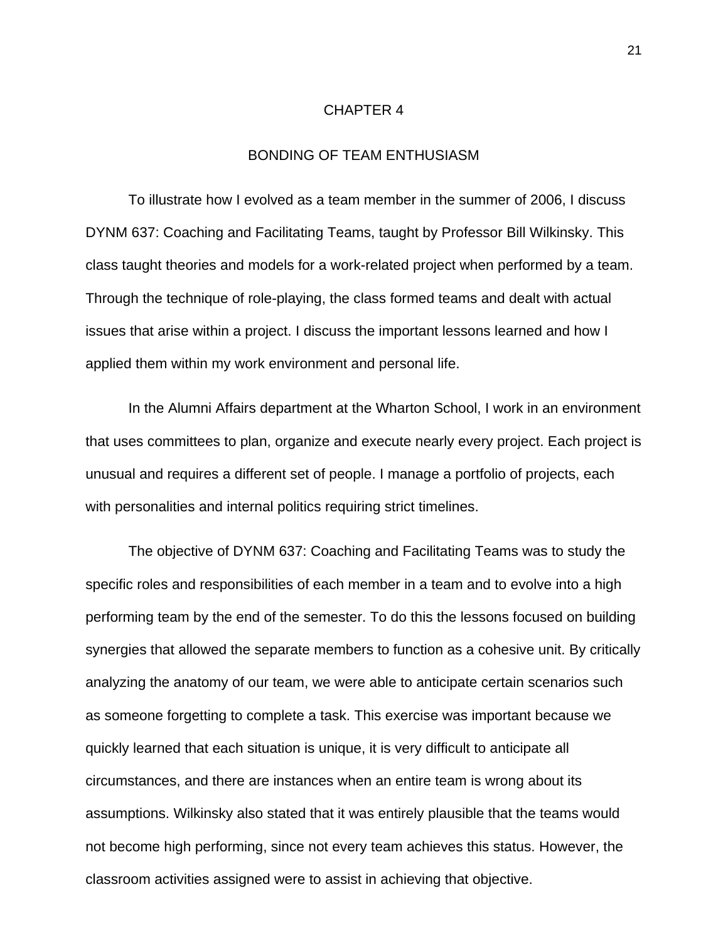#### CHAPTER 4

### BONDING OF TEAM ENTHUSIASM

 To illustrate how I evolved as a team member in the summer of 2006, I discuss DYNM 637: Coaching and Facilitating Teams, taught by Professor Bill Wilkinsky. This class taught theories and models for a work-related project when performed by a team. Through the technique of role-playing, the class formed teams and dealt with actual issues that arise within a project. I discuss the important lessons learned and how I applied them within my work environment and personal life.

 In the Alumni Affairs department at the Wharton School, I work in an environment that uses committees to plan, organize and execute nearly every project. Each project is unusual and requires a different set of people. I manage a portfolio of projects, each with personalities and internal politics requiring strict timelines.

The objective of DYNM 637: Coaching and Facilitating Teams was to study the specific roles and responsibilities of each member in a team and to evolve into a high performing team by the end of the semester. To do this the lessons focused on building synergies that allowed the separate members to function as a cohesive unit. By critically analyzing the anatomy of our team, we were able to anticipate certain scenarios such as someone forgetting to complete a task. This exercise was important because we quickly learned that each situation is unique, it is very difficult to anticipate all circumstances, and there are instances when an entire team is wrong about its assumptions. Wilkinsky also stated that it was entirely plausible that the teams would not become high performing, since not every team achieves this status. However, the classroom activities assigned were to assist in achieving that objective.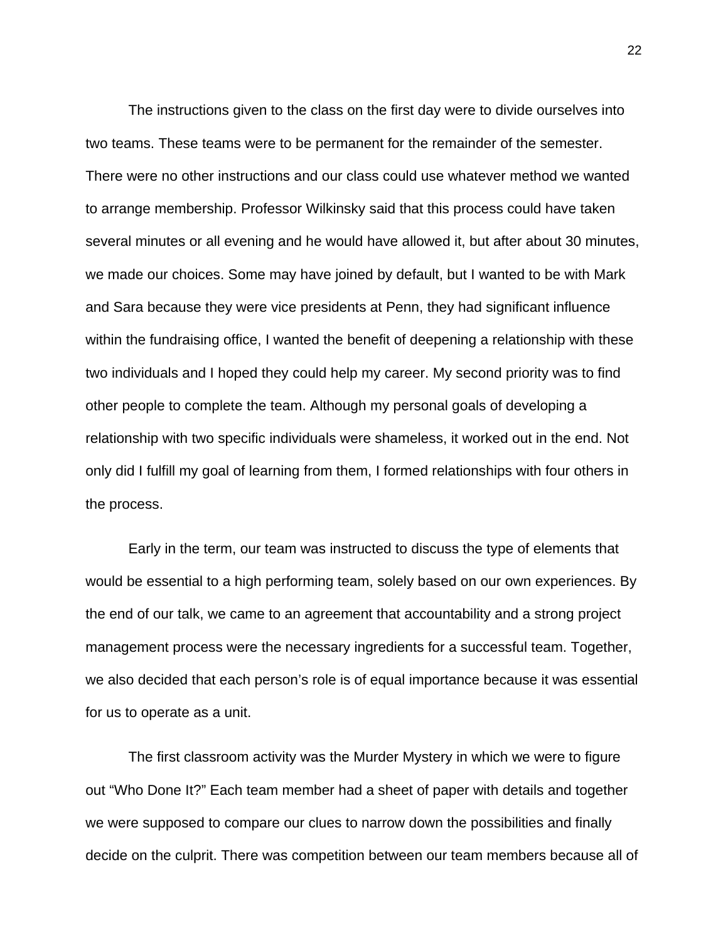The instructions given to the class on the first day were to divide ourselves into two teams. These teams were to be permanent for the remainder of the semester. There were no other instructions and our class could use whatever method we wanted to arrange membership. Professor Wilkinsky said that this process could have taken several minutes or all evening and he would have allowed it, but after about 30 minutes, we made our choices. Some may have joined by default, but I wanted to be with Mark and Sara because they were vice presidents at Penn, they had significant influence within the fundraising office, I wanted the benefit of deepening a relationship with these two individuals and I hoped they could help my career. My second priority was to find other people to complete the team. Although my personal goals of developing a relationship with two specific individuals were shameless, it worked out in the end. Not only did I fulfill my goal of learning from them, I formed relationships with four others in the process.

 Early in the term, our team was instructed to discuss the type of elements that would be essential to a high performing team, solely based on our own experiences. By the end of our talk, we came to an agreement that accountability and a strong project management process were the necessary ingredients for a successful team. Together, we also decided that each person's role is of equal importance because it was essential for us to operate as a unit.

 The first classroom activity was the Murder Mystery in which we were to figure out "Who Done It?" Each team member had a sheet of paper with details and together we were supposed to compare our clues to narrow down the possibilities and finally decide on the culprit. There was competition between our team members because all of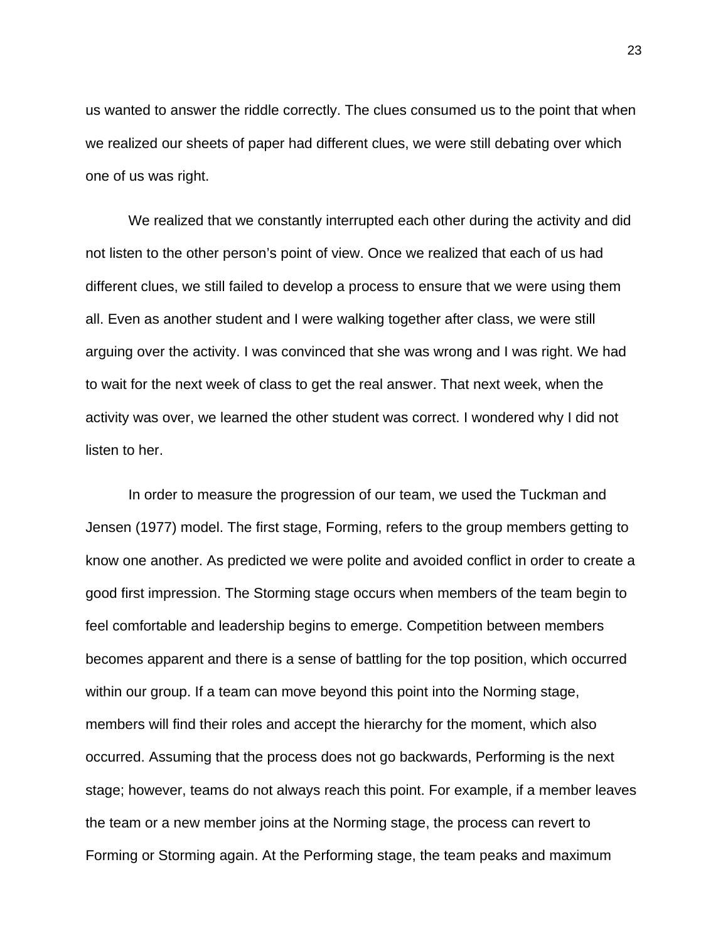us wanted to answer the riddle correctly. The clues consumed us to the point that when we realized our sheets of paper had different clues, we were still debating over which one of us was right.

 We realized that we constantly interrupted each other during the activity and did not listen to the other person's point of view. Once we realized that each of us had different clues, we still failed to develop a process to ensure that we were using them all. Even as another student and I were walking together after class, we were still arguing over the activity. I was convinced that she was wrong and I was right. We had to wait for the next week of class to get the real answer. That next week, when the activity was over, we learned the other student was correct. I wondered why I did not listen to her.

 In order to measure the progression of our team, we used the Tuckman and Jensen (1977) model. The first stage, Forming, refers to the group members getting to know one another. As predicted we were polite and avoided conflict in order to create a good first impression. The Storming stage occurs when members of the team begin to feel comfortable and leadership begins to emerge. Competition between members becomes apparent and there is a sense of battling for the top position, which occurred within our group. If a team can move beyond this point into the Norming stage, members will find their roles and accept the hierarchy for the moment, which also occurred. Assuming that the process does not go backwards, Performing is the next stage; however, teams do not always reach this point. For example, if a member leaves the team or a new member joins at the Norming stage, the process can revert to Forming or Storming again. At the Performing stage, the team peaks and maximum

23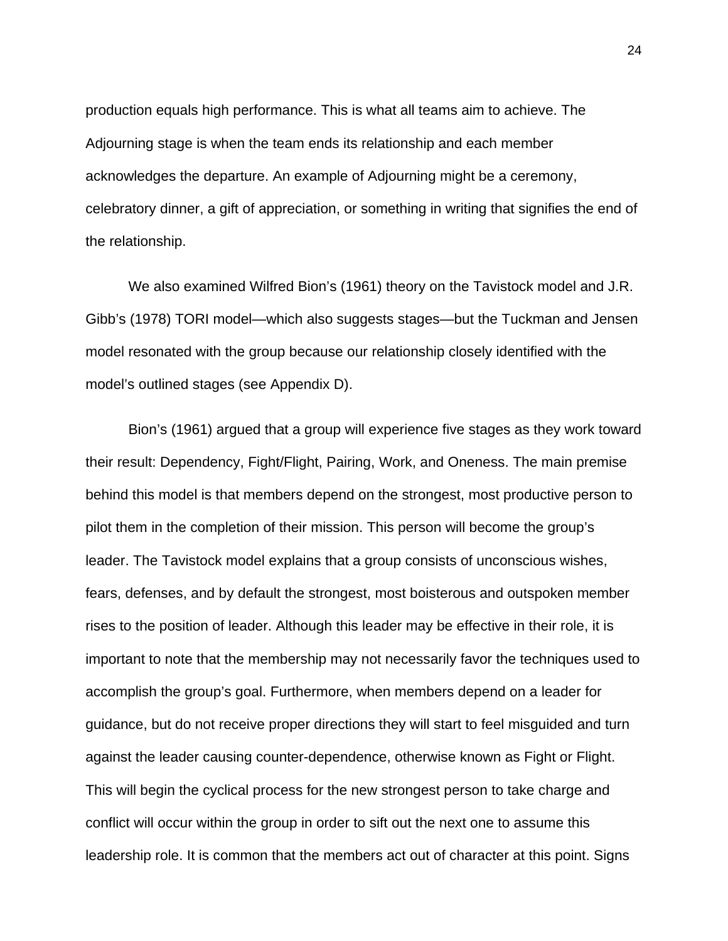production equals high performance. This is what all teams aim to achieve. The Adjourning stage is when the team ends its relationship and each member acknowledges the departure. An example of Adjourning might be a ceremony, celebratory dinner, a gift of appreciation, or something in writing that signifies the end of the relationship.

 We also examined Wilfred Bion's (1961) theory on the Tavistock model and J.R. Gibb's (1978) TORI model—which also suggests stages—but the Tuckman and Jensen model resonated with the group because our relationship closely identified with the model's outlined stages (see Appendix D).

 Bion's (1961) argued that a group will experience five stages as they work toward their result: Dependency, Fight/Flight, Pairing, Work, and Oneness. The main premise behind this model is that members depend on the strongest, most productive person to pilot them in the completion of their mission. This person will become the group's leader. The Tavistock model explains that a group consists of unconscious wishes, fears, defenses, and by default the strongest, most boisterous and outspoken member rises to the position of leader. Although this leader may be effective in their role, it is important to note that the membership may not necessarily favor the techniques used to accomplish the group's goal. Furthermore, when members depend on a leader for guidance, but do not receive proper directions they will start to feel misguided and turn against the leader causing counter-dependence, otherwise known as Fight or Flight. This will begin the cyclical process for the new strongest person to take charge and conflict will occur within the group in order to sift out the next one to assume this leadership role. It is common that the members act out of character at this point. Signs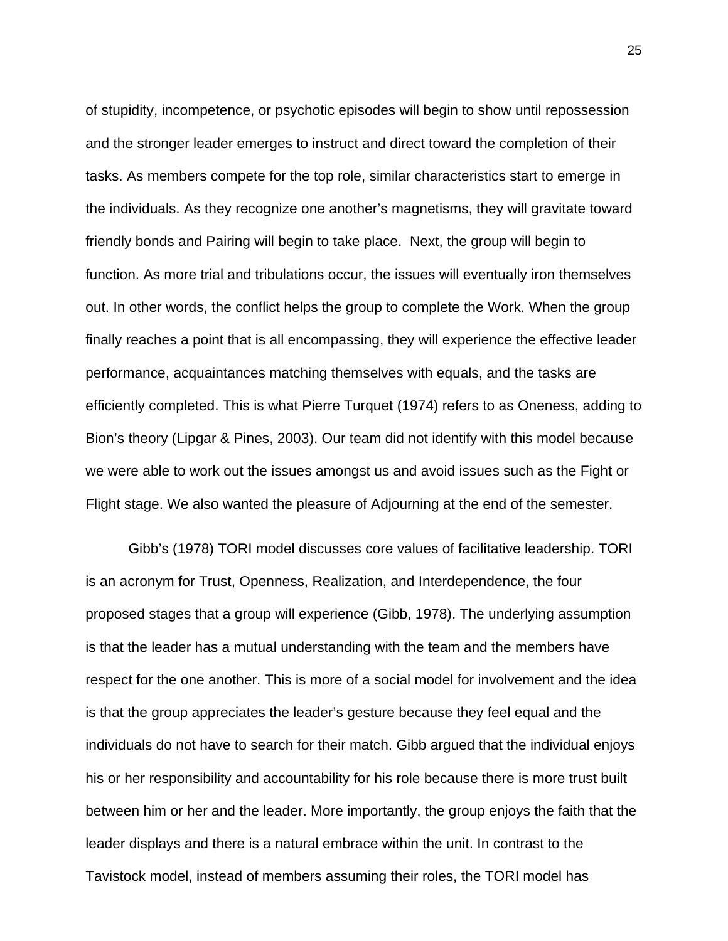of stupidity, incompetence, or psychotic episodes will begin to show until repossession and the stronger leader emerges to instruct and direct toward the completion of their tasks. As members compete for the top role, similar characteristics start to emerge in the individuals. As they recognize one another's magnetisms, they will gravitate toward friendly bonds and Pairing will begin to take place. Next, the group will begin to function. As more trial and tribulations occur, the issues will eventually iron themselves out. In other words, the conflict helps the group to complete the Work. When the group finally reaches a point that is all encompassing, they will experience the effective leader performance, acquaintances matching themselves with equals, and the tasks are efficiently completed. This is what Pierre Turquet (1974) refers to as Oneness, adding to Bion's theory (Lipgar & Pines, 2003). Our team did not identify with this model because we were able to work out the issues amongst us and avoid issues such as the Fight or Flight stage. We also wanted the pleasure of Adjourning at the end of the semester.

Gibb's (1978) TORI model discusses core values of facilitative leadership. TORI is an acronym for Trust, Openness, Realization, and Interdependence, the four proposed stages that a group will experience (Gibb, 1978). The underlying assumption is that the leader has a mutual understanding with the team and the members have respect for the one another. This is more of a social model for involvement and the idea is that the group appreciates the leader's gesture because they feel equal and the individuals do not have to search for their match. Gibb argued that the individual enjoys his or her responsibility and accountability for his role because there is more trust built between him or her and the leader. More importantly, the group enjoys the faith that the leader displays and there is a natural embrace within the unit. In contrast to the Tavistock model, instead of members assuming their roles, the TORI model has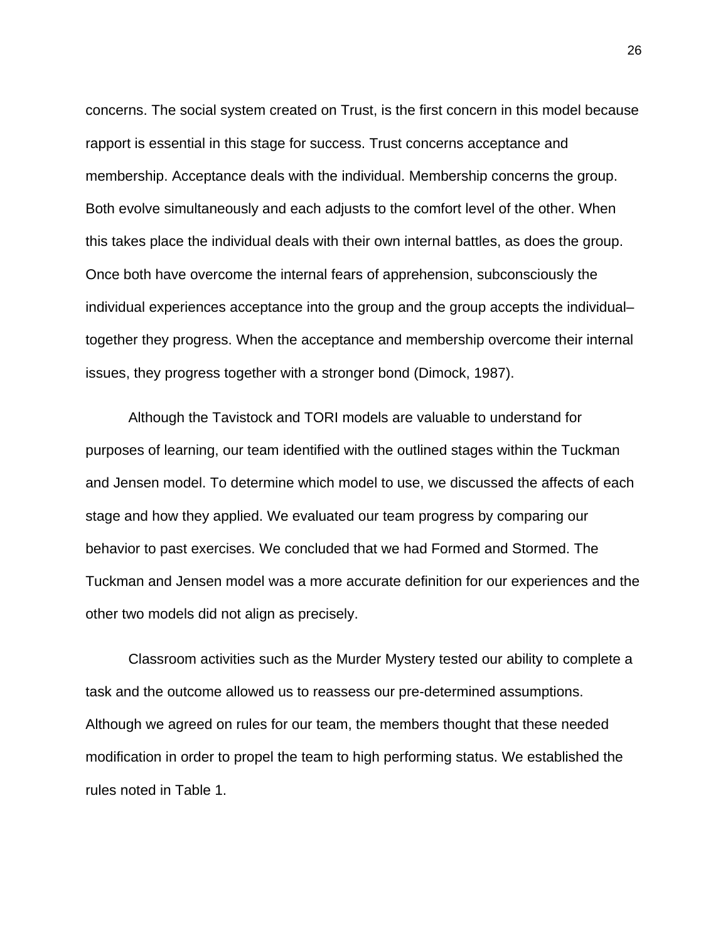concerns. The social system created on Trust, is the first concern in this model because rapport is essential in this stage for success. Trust concerns acceptance and membership. Acceptance deals with the individual. Membership concerns the group. Both evolve simultaneously and each adjusts to the comfort level of the other. When this takes place the individual deals with their own internal battles, as does the group. Once both have overcome the internal fears of apprehension, subconsciously the individual experiences acceptance into the group and the group accepts the individual– together they progress. When the acceptance and membership overcome their internal issues, they progress together with a stronger bond (Dimock, 1987).

 Although the Tavistock and TORI models are valuable to understand for purposes of learning, our team identified with the outlined stages within the Tuckman and Jensen model. To determine which model to use, we discussed the affects of each stage and how they applied. We evaluated our team progress by comparing our behavior to past exercises. We concluded that we had Formed and Stormed. The Tuckman and Jensen model was a more accurate definition for our experiences and the other two models did not align as precisely.

 Classroom activities such as the Murder Mystery tested our ability to complete a task and the outcome allowed us to reassess our pre-determined assumptions. Although we agreed on rules for our team, the members thought that these needed modification in order to propel the team to high performing status. We established the rules noted in Table 1.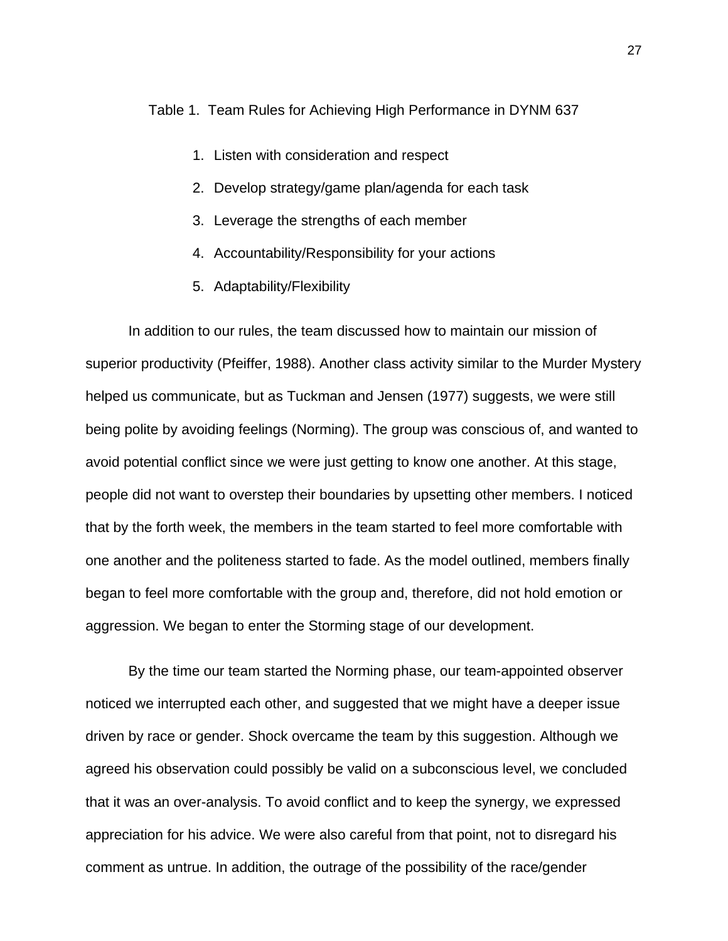Table 1. Team Rules for Achieving High Performance in DYNM 637

- 1. Listen with consideration and respect
- 2. Develop strategy/game plan/agenda for each task
- 3. Leverage the strengths of each member
- 4. Accountability/Responsibility for your actions
- 5. Adaptability/Flexibility

 In addition to our rules, the team discussed how to maintain our mission of superior productivity (Pfeiffer, 1988). Another class activity similar to the Murder Mystery helped us communicate, but as Tuckman and Jensen (1977) suggests, we were still being polite by avoiding feelings (Norming). The group was conscious of, and wanted to avoid potential conflict since we were just getting to know one another. At this stage, people did not want to overstep their boundaries by upsetting other members. I noticed that by the forth week, the members in the team started to feel more comfortable with one another and the politeness started to fade. As the model outlined, members finally began to feel more comfortable with the group and, therefore, did not hold emotion or aggression. We began to enter the Storming stage of our development.

 By the time our team started the Norming phase, our team-appointed observer noticed we interrupted each other, and suggested that we might have a deeper issue driven by race or gender. Shock overcame the team by this suggestion. Although we agreed his observation could possibly be valid on a subconscious level, we concluded that it was an over-analysis. To avoid conflict and to keep the synergy, we expressed appreciation for his advice. We were also careful from that point, not to disregard his comment as untrue. In addition, the outrage of the possibility of the race/gender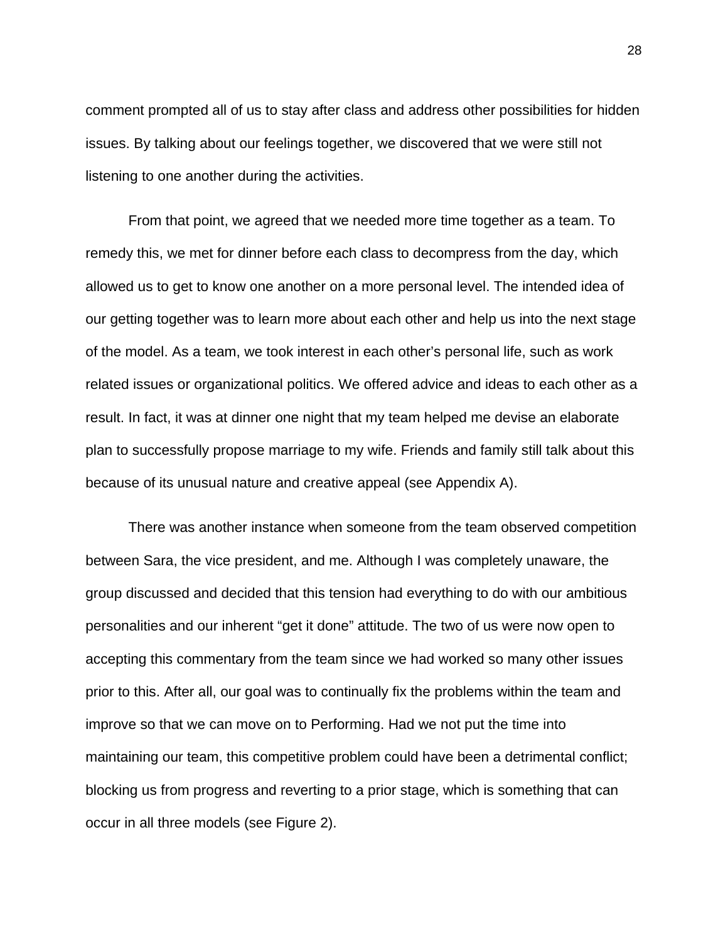comment prompted all of us to stay after class and address other possibilities for hidden issues. By talking about our feelings together, we discovered that we were still not listening to one another during the activities.

 From that point, we agreed that we needed more time together as a team. To remedy this, we met for dinner before each class to decompress from the day, which allowed us to get to know one another on a more personal level. The intended idea of our getting together was to learn more about each other and help us into the next stage of the model. As a team, we took interest in each other's personal life, such as work related issues or organizational politics. We offered advice and ideas to each other as a result. In fact, it was at dinner one night that my team helped me devise an elaborate plan to successfully propose marriage to my wife. Friends and family still talk about this because of its unusual nature and creative appeal (see Appendix A).

 There was another instance when someone from the team observed competition between Sara, the vice president, and me. Although I was completely unaware, the group discussed and decided that this tension had everything to do with our ambitious personalities and our inherent "get it done" attitude. The two of us were now open to accepting this commentary from the team since we had worked so many other issues prior to this. After all, our goal was to continually fix the problems within the team and improve so that we can move on to Performing. Had we not put the time into maintaining our team, this competitive problem could have been a detrimental conflict; blocking us from progress and reverting to a prior stage, which is something that can occur in all three models (see Figure 2).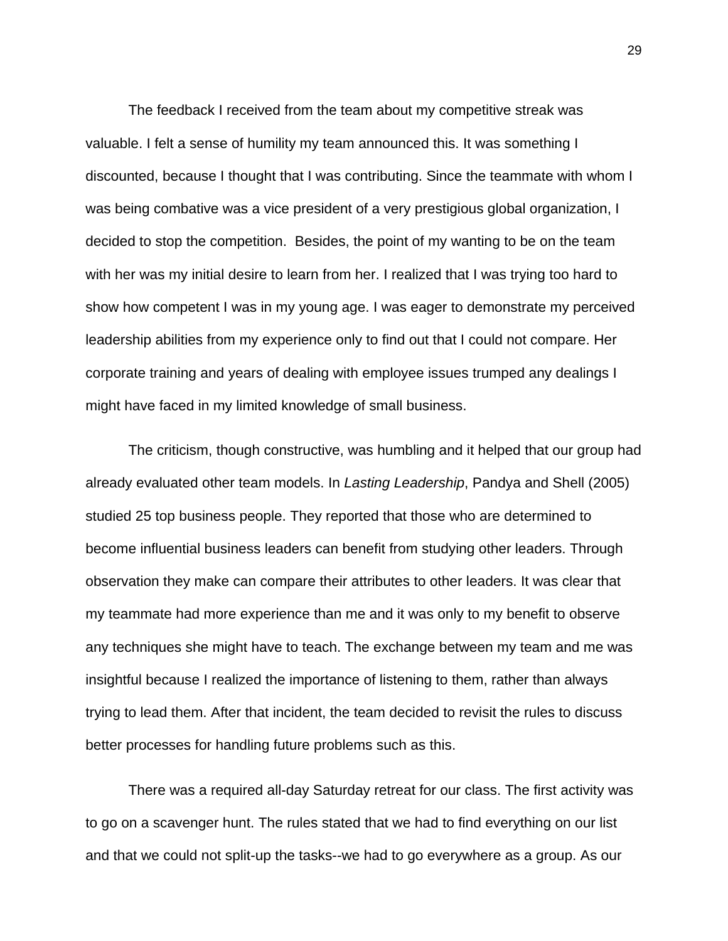The feedback I received from the team about my competitive streak was valuable. I felt a sense of humility my team announced this. It was something I discounted, because I thought that I was contributing. Since the teammate with whom I was being combative was a vice president of a very prestigious global organization, I decided to stop the competition. Besides, the point of my wanting to be on the team with her was my initial desire to learn from her. I realized that I was trying too hard to show how competent I was in my young age. I was eager to demonstrate my perceived leadership abilities from my experience only to find out that I could not compare. Her corporate training and years of dealing with employee issues trumped any dealings I might have faced in my limited knowledge of small business.

 The criticism, though constructive, was humbling and it helped that our group had already evaluated other team models. In *Lasting Leadership*, Pandya and Shell (2005) studied 25 top business people. They reported that those who are determined to become influential business leaders can benefit from studying other leaders. Through observation they make can compare their attributes to other leaders. It was clear that my teammate had more experience than me and it was only to my benefit to observe any techniques she might have to teach. The exchange between my team and me was insightful because I realized the importance of listening to them, rather than always trying to lead them. After that incident, the team decided to revisit the rules to discuss better processes for handling future problems such as this.

 There was a required all-day Saturday retreat for our class. The first activity was to go on a scavenger hunt. The rules stated that we had to find everything on our list and that we could not split-up the tasks--we had to go everywhere as a group. As our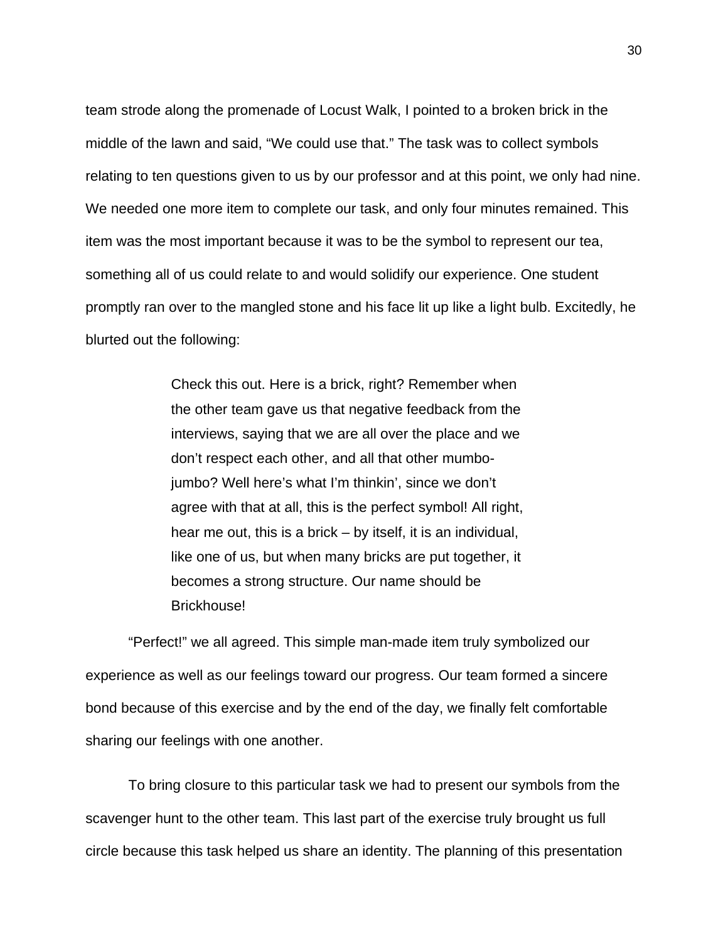team strode along the promenade of Locust Walk, I pointed to a broken brick in the middle of the lawn and said, "We could use that." The task was to collect symbols relating to ten questions given to us by our professor and at this point, we only had nine. We needed one more item to complete our task, and only four minutes remained. This item was the most important because it was to be the symbol to represent our tea, something all of us could relate to and would solidify our experience. One student promptly ran over to the mangled stone and his face lit up like a light bulb. Excitedly, he blurted out the following:

> Check this out. Here is a brick, right? Remember when the other team gave us that negative feedback from the interviews, saying that we are all over the place and we don't respect each other, and all that other mumbojumbo? Well here's what I'm thinkin', since we don't agree with that at all, this is the perfect symbol! All right, hear me out, this is a brick – by itself, it is an individual, like one of us, but when many bricks are put together, it becomes a strong structure. Our name should be Brickhouse!

 "Perfect!" we all agreed. This simple man-made item truly symbolized our experience as well as our feelings toward our progress. Our team formed a sincere bond because of this exercise and by the end of the day, we finally felt comfortable sharing our feelings with one another.

 To bring closure to this particular task we had to present our symbols from the scavenger hunt to the other team. This last part of the exercise truly brought us full circle because this task helped us share an identity. The planning of this presentation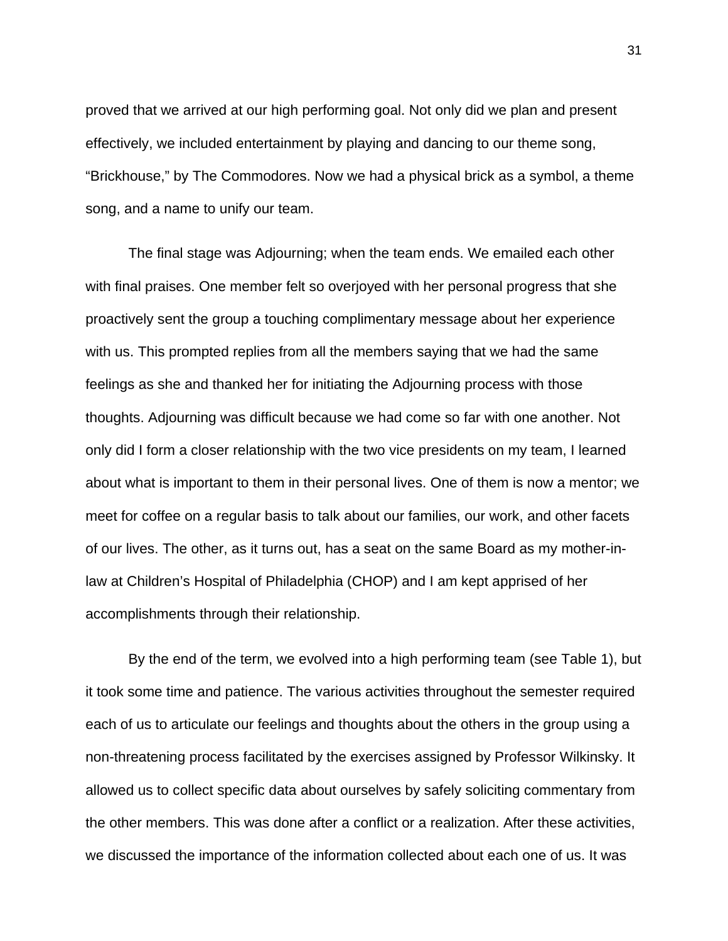proved that we arrived at our high performing goal. Not only did we plan and present effectively, we included entertainment by playing and dancing to our theme song, "Brickhouse," by The Commodores. Now we had a physical brick as a symbol, a theme song, and a name to unify our team.

 The final stage was Adjourning; when the team ends. We emailed each other with final praises. One member felt so overjoyed with her personal progress that she proactively sent the group a touching complimentary message about her experience with us. This prompted replies from all the members saying that we had the same feelings as she and thanked her for initiating the Adjourning process with those thoughts. Adjourning was difficult because we had come so far with one another. Not only did I form a closer relationship with the two vice presidents on my team, I learned about what is important to them in their personal lives. One of them is now a mentor; we meet for coffee on a regular basis to talk about our families, our work, and other facets of our lives. The other, as it turns out, has a seat on the same Board as my mother-inlaw at Children's Hospital of Philadelphia (CHOP) and I am kept apprised of her accomplishments through their relationship.

 By the end of the term, we evolved into a high performing team (see Table 1), but it took some time and patience. The various activities throughout the semester required each of us to articulate our feelings and thoughts about the others in the group using a non-threatening process facilitated by the exercises assigned by Professor Wilkinsky. It allowed us to collect specific data about ourselves by safely soliciting commentary from the other members. This was done after a conflict or a realization. After these activities, we discussed the importance of the information collected about each one of us. It was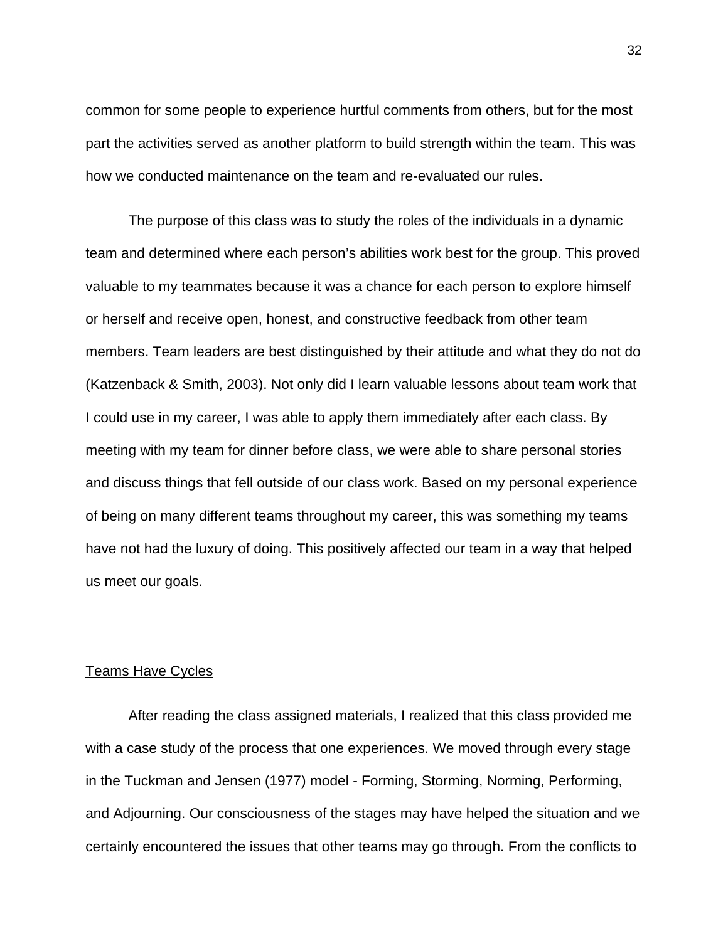common for some people to experience hurtful comments from others, but for the most part the activities served as another platform to build strength within the team. This was how we conducted maintenance on the team and re-evaluated our rules.

 The purpose of this class was to study the roles of the individuals in a dynamic team and determined where each person's abilities work best for the group. This proved valuable to my teammates because it was a chance for each person to explore himself or herself and receive open, honest, and constructive feedback from other team members. Team leaders are best distinguished by their attitude and what they do not do (Katzenback & Smith, 2003). Not only did I learn valuable lessons about team work that I could use in my career, I was able to apply them immediately after each class. By meeting with my team for dinner before class, we were able to share personal stories and discuss things that fell outside of our class work. Based on my personal experience of being on many different teams throughout my career, this was something my teams have not had the luxury of doing. This positively affected our team in a way that helped us meet our goals.

### Teams Have Cycles

 After reading the class assigned materials, I realized that this class provided me with a case study of the process that one experiences. We moved through every stage in the Tuckman and Jensen (1977) model - Forming, Storming, Norming, Performing, and Adjourning. Our consciousness of the stages may have helped the situation and we certainly encountered the issues that other teams may go through. From the conflicts to

32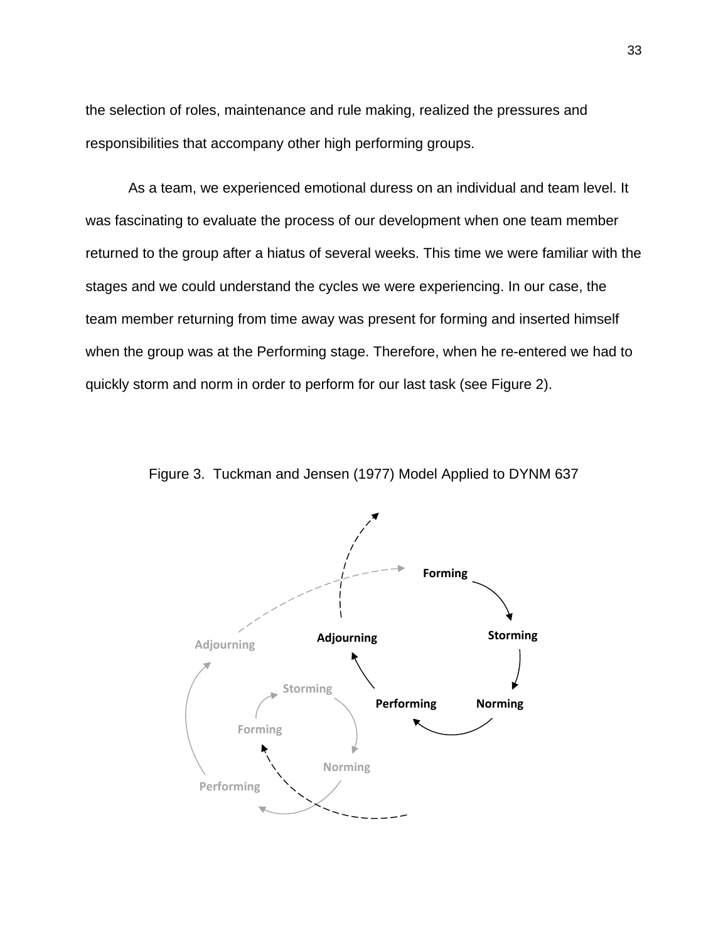the selection of roles, maintenance and rule making, realized the pressures and responsibilities that accompany other high performing groups.

 As a team, we experienced emotional duress on an individual and team level. It was fascinating to evaluate the process of our development when one team member returned to the group after a hiatus of several weeks. This time we were familiar with the stages and we could understand the cycles we were experiencing. In our case, the team member returning from time away was present for forming and inserted himself when the group was at the Performing stage. Therefore, when he re-entered we had to quickly storm and norm in order to perform for our last task (see Figure 2).



Figure 3. Tuckman and Jensen (1977) Model Applied to DYNM 637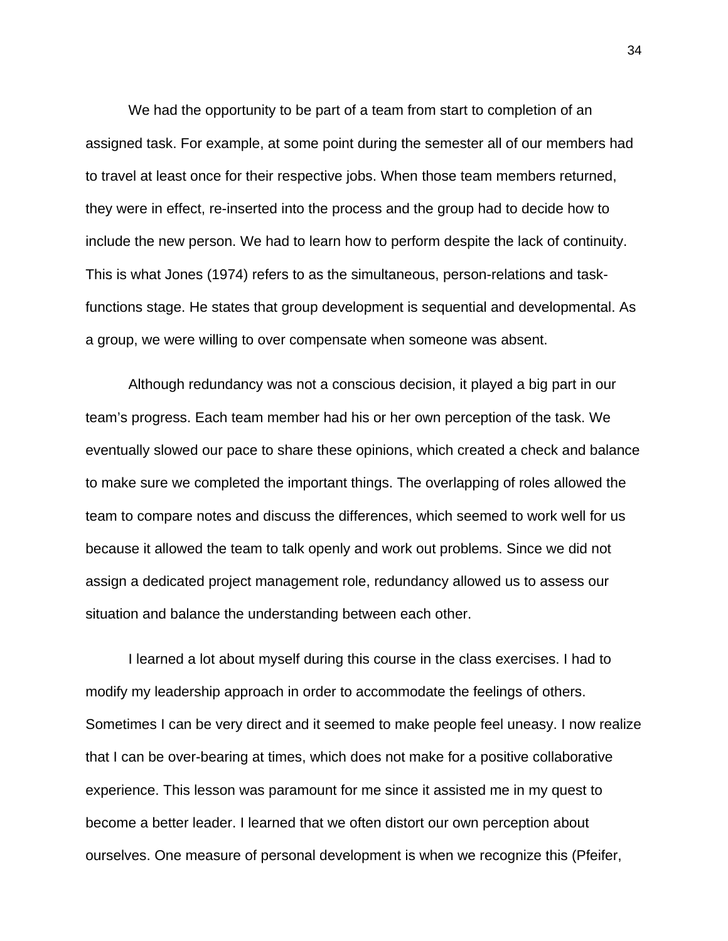We had the opportunity to be part of a team from start to completion of an assigned task. For example, at some point during the semester all of our members had to travel at least once for their respective jobs. When those team members returned, they were in effect, re-inserted into the process and the group had to decide how to include the new person. We had to learn how to perform despite the lack of continuity. This is what Jones (1974) refers to as the simultaneous, person-relations and taskfunctions stage. He states that group development is sequential and developmental. As a group, we were willing to over compensate when someone was absent.

 Although redundancy was not a conscious decision, it played a big part in our team's progress. Each team member had his or her own perception of the task. We eventually slowed our pace to share these opinions, which created a check and balance to make sure we completed the important things. The overlapping of roles allowed the team to compare notes and discuss the differences, which seemed to work well for us because it allowed the team to talk openly and work out problems. Since we did not assign a dedicated project management role, redundancy allowed us to assess our situation and balance the understanding between each other.

 I learned a lot about myself during this course in the class exercises. I had to modify my leadership approach in order to accommodate the feelings of others. Sometimes I can be very direct and it seemed to make people feel uneasy. I now realize that I can be over-bearing at times, which does not make for a positive collaborative experience. This lesson was paramount for me since it assisted me in my quest to become a better leader. I learned that we often distort our own perception about ourselves. One measure of personal development is when we recognize this (Pfeifer,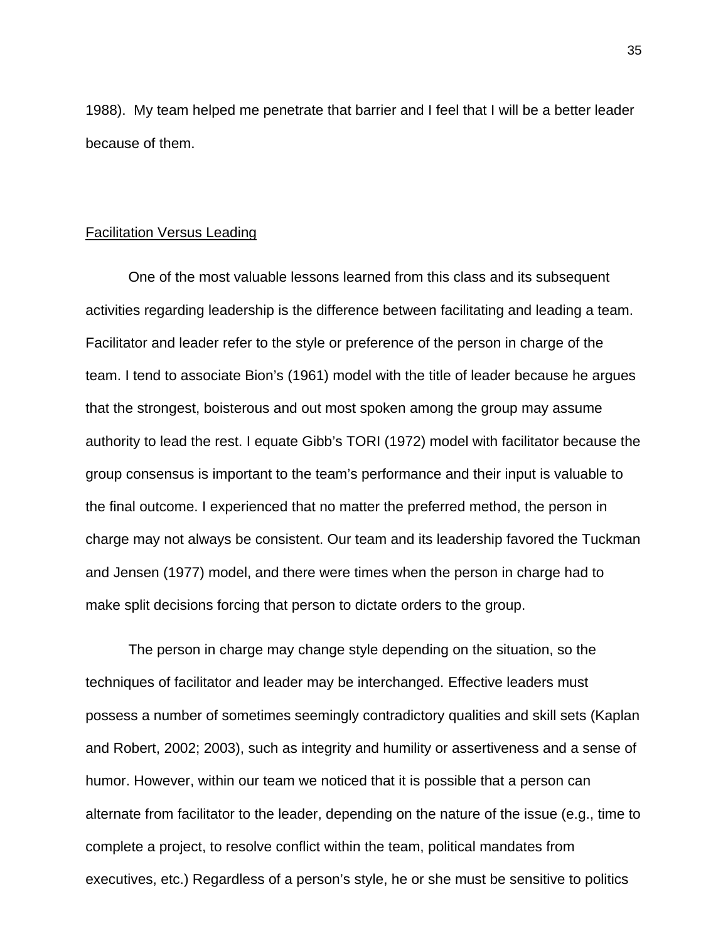1988). My team helped me penetrate that barrier and I feel that I will be a better leader because of them.

#### Facilitation Versus Leading

 One of the most valuable lessons learned from this class and its subsequent activities regarding leadership is the difference between facilitating and leading a team. Facilitator and leader refer to the style or preference of the person in charge of the team. I tend to associate Bion's (1961) model with the title of leader because he argues that the strongest, boisterous and out most spoken among the group may assume authority to lead the rest. I equate Gibb's TORI (1972) model with facilitator because the group consensus is important to the team's performance and their input is valuable to the final outcome. I experienced that no matter the preferred method, the person in charge may not always be consistent. Our team and its leadership favored the Tuckman and Jensen (1977) model, and there were times when the person in charge had to make split decisions forcing that person to dictate orders to the group.

 The person in charge may change style depending on the situation, so the techniques of facilitator and leader may be interchanged. Effective leaders must possess a number of sometimes seemingly contradictory qualities and skill sets (Kaplan and Robert, 2002; 2003), such as integrity and humility or assertiveness and a sense of humor. However, within our team we noticed that it is possible that a person can alternate from facilitator to the leader, depending on the nature of the issue (e.g., time to complete a project, to resolve conflict within the team, political mandates from executives, etc.) Regardless of a person's style, he or she must be sensitive to politics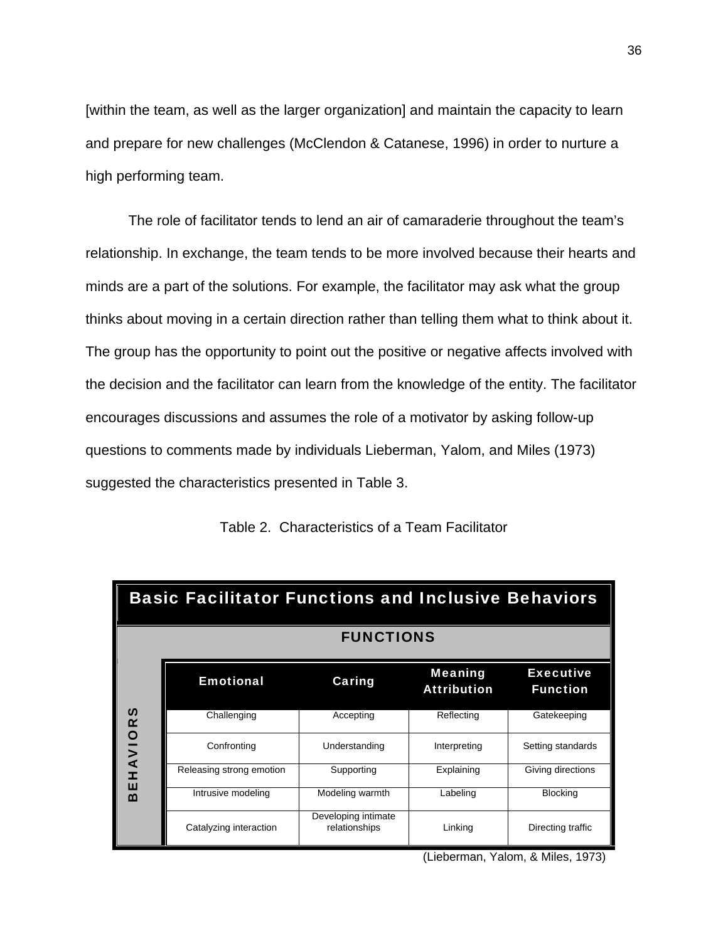[within the team, as well as the larger organization] and maintain the capacity to learn and prepare for new challenges (McClendon & Catanese, 1996) in order to nurture a high performing team.

 The role of facilitator tends to lend an air of camaraderie throughout the team's relationship. In exchange, the team tends to be more involved because their hearts and minds are a part of the solutions. For example, the facilitator may ask what the group thinks about moving in a certain direction rather than telling them what to think about it. The group has the opportunity to point out the positive or negative affects involved with the decision and the facilitator can learn from the knowledge of the entity. The facilitator encourages discussions and assumes the role of a motivator by asking follow-up questions to comments made by individuals Lieberman, Yalom, and Miles (1973) suggested the characteristics presented in Table 3.

| <b>Basic Facilitator Functions and Inclusive Behaviors</b> |                          |                                      |                                      |                                     |  |  |
|------------------------------------------------------------|--------------------------|--------------------------------------|--------------------------------------|-------------------------------------|--|--|
|                                                            | <b>FUNCTIONS</b>         |                                      |                                      |                                     |  |  |
| n<br>HAVIOR<br>ш<br>m                                      | <b>Emotional</b>         | Caring                               | <b>Meaning</b><br><b>Attribution</b> | <b>Executive</b><br><b>Function</b> |  |  |
|                                                            | Challenging              | Accepting                            | Reflecting                           | Gatekeeping                         |  |  |
|                                                            | Confronting              | Understanding                        | Interpreting                         | Setting standards                   |  |  |
|                                                            | Releasing strong emotion | Supporting                           | Explaining                           | Giving directions                   |  |  |
|                                                            | Intrusive modeling       | Modeling warmth                      | Labeling                             | <b>Blocking</b>                     |  |  |
|                                                            | Catalyzing interaction   | Developing intimate<br>relationships | Linking                              | Directing traffic                   |  |  |

Table 2. Characteristics of a Team Facilitator

(Lieberman, Yalom, & Miles, 1973)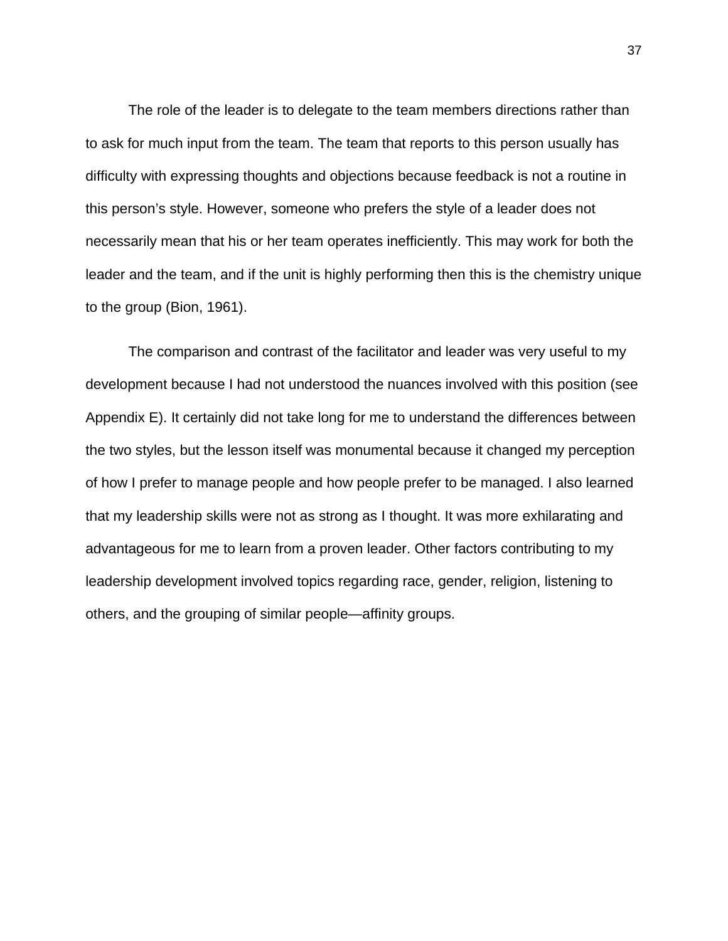The role of the leader is to delegate to the team members directions rather than to ask for much input from the team. The team that reports to this person usually has difficulty with expressing thoughts and objections because feedback is not a routine in this person's style. However, someone who prefers the style of a leader does not necessarily mean that his or her team operates inefficiently. This may work for both the leader and the team, and if the unit is highly performing then this is the chemistry unique to the group (Bion, 1961).

 The comparison and contrast of the facilitator and leader was very useful to my development because I had not understood the nuances involved with this position (see Appendix E). It certainly did not take long for me to understand the differences between the two styles, but the lesson itself was monumental because it changed my perception of how I prefer to manage people and how people prefer to be managed. I also learned that my leadership skills were not as strong as I thought. It was more exhilarating and advantageous for me to learn from a proven leader. Other factors contributing to my leadership development involved topics regarding race, gender, religion, listening to others, and the grouping of similar people—affinity groups.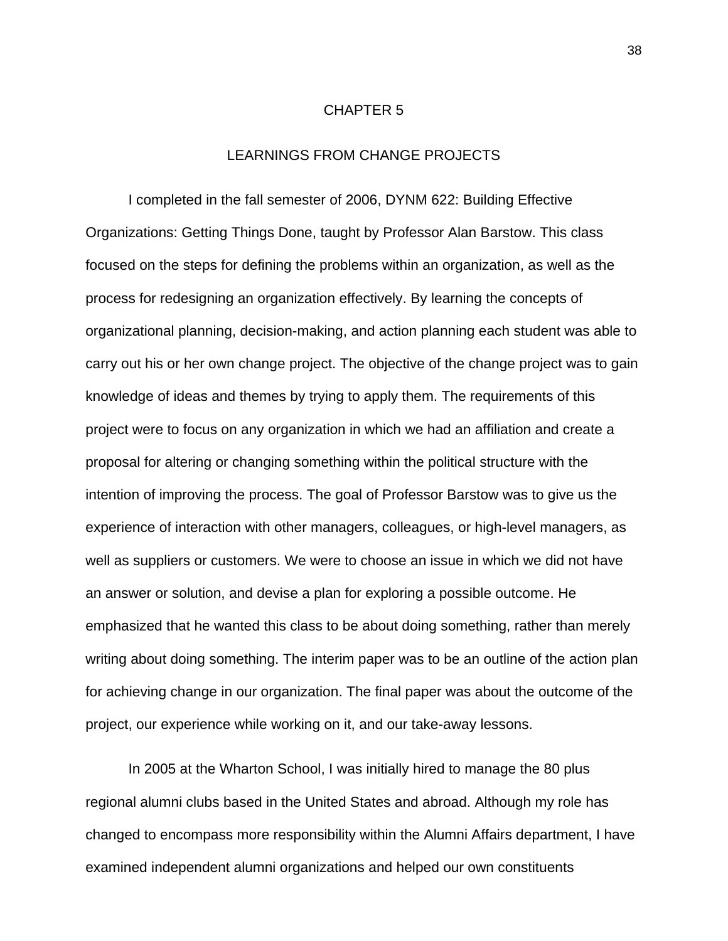#### CHAPTER 5

# LEARNINGS FROM CHANGE PROJECTS

I completed in the fall semester of 2006, DYNM 622: Building Effective Organizations: Getting Things Done, taught by Professor Alan Barstow. This class focused on the steps for defining the problems within an organization, as well as the process for redesigning an organization effectively. By learning the concepts of organizational planning, decision-making, and action planning each student was able to carry out his or her own change project. The objective of the change project was to gain knowledge of ideas and themes by trying to apply them. The requirements of this project were to focus on any organization in which we had an affiliation and create a proposal for altering or changing something within the political structure with the intention of improving the process. The goal of Professor Barstow was to give us the experience of interaction with other managers, colleagues, or high-level managers, as well as suppliers or customers. We were to choose an issue in which we did not have an answer or solution, and devise a plan for exploring a possible outcome. He emphasized that he wanted this class to be about doing something, rather than merely writing about doing something. The interim paper was to be an outline of the action plan for achieving change in our organization. The final paper was about the outcome of the project, our experience while working on it, and our take-away lessons.

 In 2005 at the Wharton School, I was initially hired to manage the 80 plus regional alumni clubs based in the United States and abroad. Although my role has changed to encompass more responsibility within the Alumni Affairs department, I have examined independent alumni organizations and helped our own constituents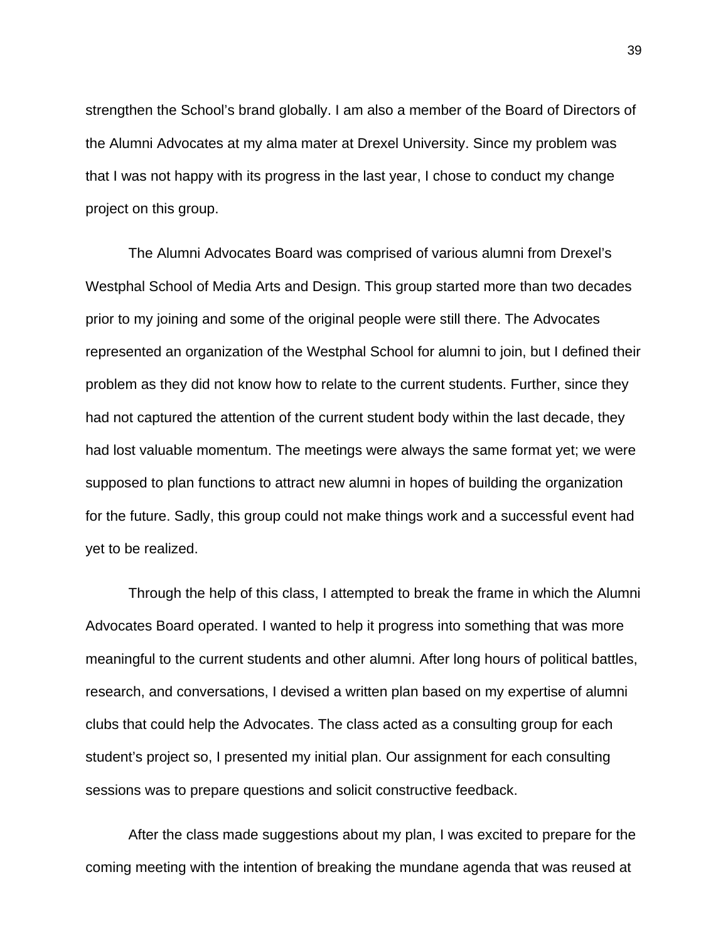strengthen the School's brand globally. I am also a member of the Board of Directors of the Alumni Advocates at my alma mater at Drexel University. Since my problem was that I was not happy with its progress in the last year, I chose to conduct my change project on this group.

The Alumni Advocates Board was comprised of various alumni from Drexel's Westphal School of Media Arts and Design. This group started more than two decades prior to my joining and some of the original people were still there. The Advocates represented an organization of the Westphal School for alumni to join, but I defined their problem as they did not know how to relate to the current students. Further, since they had not captured the attention of the current student body within the last decade, they had lost valuable momentum. The meetings were always the same format yet; we were supposed to plan functions to attract new alumni in hopes of building the organization for the future. Sadly, this group could not make things work and a successful event had yet to be realized.

 Through the help of this class, I attempted to break the frame in which the Alumni Advocates Board operated. I wanted to help it progress into something that was more meaningful to the current students and other alumni. After long hours of political battles, research, and conversations, I devised a written plan based on my expertise of alumni clubs that could help the Advocates. The class acted as a consulting group for each student's project so, I presented my initial plan. Our assignment for each consulting sessions was to prepare questions and solicit constructive feedback.

 After the class made suggestions about my plan, I was excited to prepare for the coming meeting with the intention of breaking the mundane agenda that was reused at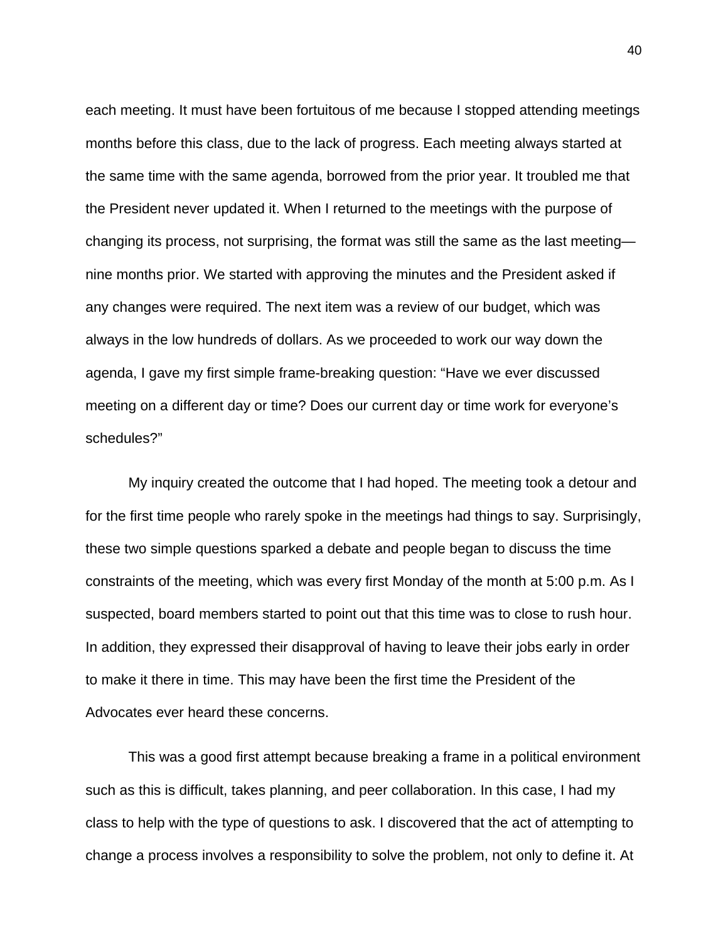each meeting. It must have been fortuitous of me because I stopped attending meetings months before this class, due to the lack of progress. Each meeting always started at the same time with the same agenda, borrowed from the prior year. It troubled me that the President never updated it. When I returned to the meetings with the purpose of changing its process, not surprising, the format was still the same as the last meeting nine months prior. We started with approving the minutes and the President asked if any changes were required. The next item was a review of our budget, which was always in the low hundreds of dollars. As we proceeded to work our way down the agenda, I gave my first simple frame-breaking question: "Have we ever discussed meeting on a different day or time? Does our current day or time work for everyone's schedules?"

 My inquiry created the outcome that I had hoped. The meeting took a detour and for the first time people who rarely spoke in the meetings had things to say. Surprisingly, these two simple questions sparked a debate and people began to discuss the time constraints of the meeting, which was every first Monday of the month at 5:00 p.m. As I suspected, board members started to point out that this time was to close to rush hour. In addition, they expressed their disapproval of having to leave their jobs early in order to make it there in time. This may have been the first time the President of the Advocates ever heard these concerns.

 This was a good first attempt because breaking a frame in a political environment such as this is difficult, takes planning, and peer collaboration. In this case, I had my class to help with the type of questions to ask. I discovered that the act of attempting to change a process involves a responsibility to solve the problem, not only to define it. At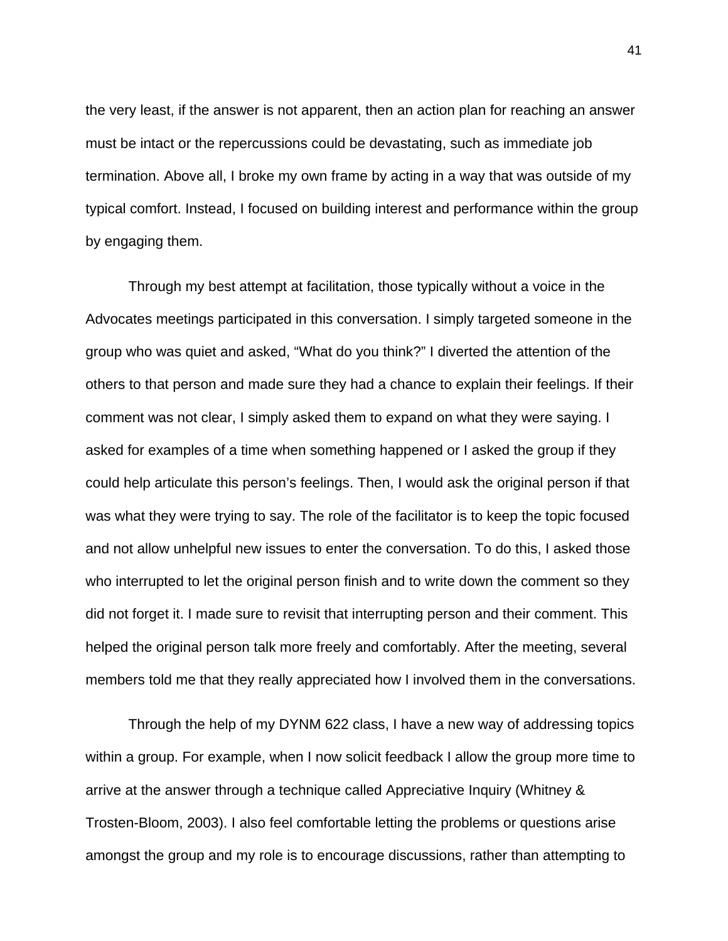the very least, if the answer is not apparent, then an action plan for reaching an answer must be intact or the repercussions could be devastating, such as immediate job termination. Above all, I broke my own frame by acting in a way that was outside of my typical comfort. Instead, I focused on building interest and performance within the group by engaging them.

 Through my best attempt at facilitation, those typically without a voice in the Advocates meetings participated in this conversation. I simply targeted someone in the group who was quiet and asked, "What do you think?" I diverted the attention of the others to that person and made sure they had a chance to explain their feelings. If their comment was not clear, I simply asked them to expand on what they were saying. I asked for examples of a time when something happened or I asked the group if they could help articulate this person's feelings. Then, I would ask the original person if that was what they were trying to say. The role of the facilitator is to keep the topic focused and not allow unhelpful new issues to enter the conversation. To do this, I asked those who interrupted to let the original person finish and to write down the comment so they did not forget it. I made sure to revisit that interrupting person and their comment. This helped the original person talk more freely and comfortably. After the meeting, several members told me that they really appreciated how I involved them in the conversations.

 Through the help of my DYNM 622 class, I have a new way of addressing topics within a group. For example, when I now solicit feedback I allow the group more time to arrive at the answer through a technique called Appreciative Inquiry (Whitney & Trosten-Bloom, 2003). I also feel comfortable letting the problems or questions arise amongst the group and my role is to encourage discussions, rather than attempting to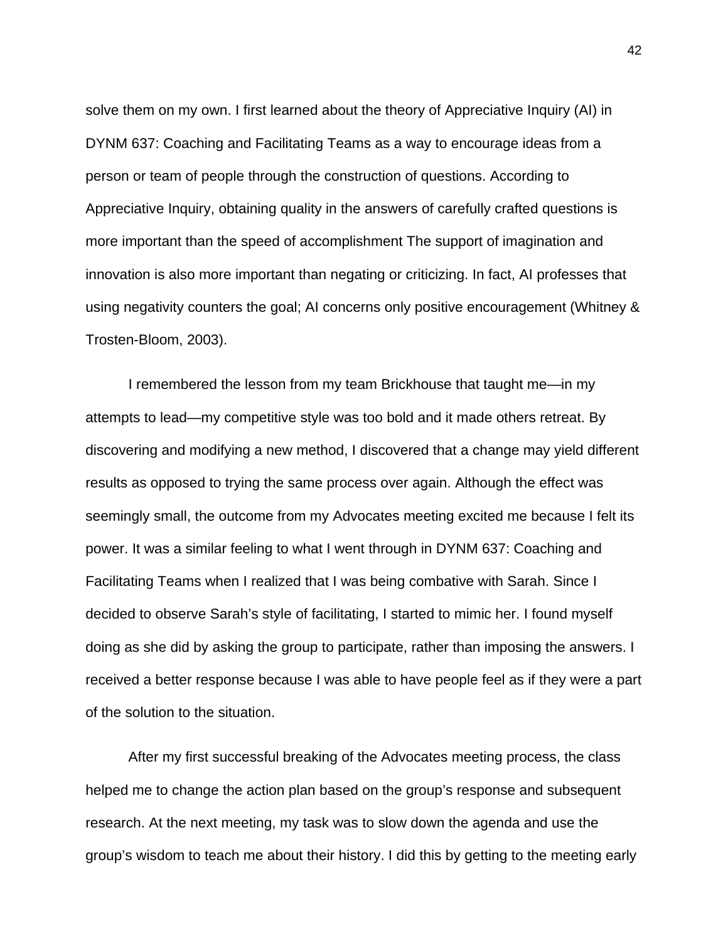solve them on my own. I first learned about the theory of Appreciative Inquiry (AI) in DYNM 637: Coaching and Facilitating Teams as a way to encourage ideas from a person or team of people through the construction of questions. According to Appreciative Inquiry, obtaining quality in the answers of carefully crafted questions is more important than the speed of accomplishment The support of imagination and innovation is also more important than negating or criticizing. In fact, AI professes that using negativity counters the goal; AI concerns only positive encouragement (Whitney & Trosten-Bloom, 2003).

 I remembered the lesson from my team Brickhouse that taught me—in my attempts to lead—my competitive style was too bold and it made others retreat. By discovering and modifying a new method, I discovered that a change may yield different results as opposed to trying the same process over again. Although the effect was seemingly small, the outcome from my Advocates meeting excited me because I felt its power. It was a similar feeling to what I went through in DYNM 637: Coaching and Facilitating Teams when I realized that I was being combative with Sarah. Since I decided to observe Sarah's style of facilitating, I started to mimic her. I found myself doing as she did by asking the group to participate, rather than imposing the answers. I received a better response because I was able to have people feel as if they were a part of the solution to the situation.

 After my first successful breaking of the Advocates meeting process, the class helped me to change the action plan based on the group's response and subsequent research. At the next meeting, my task was to slow down the agenda and use the group's wisdom to teach me about their history. I did this by getting to the meeting early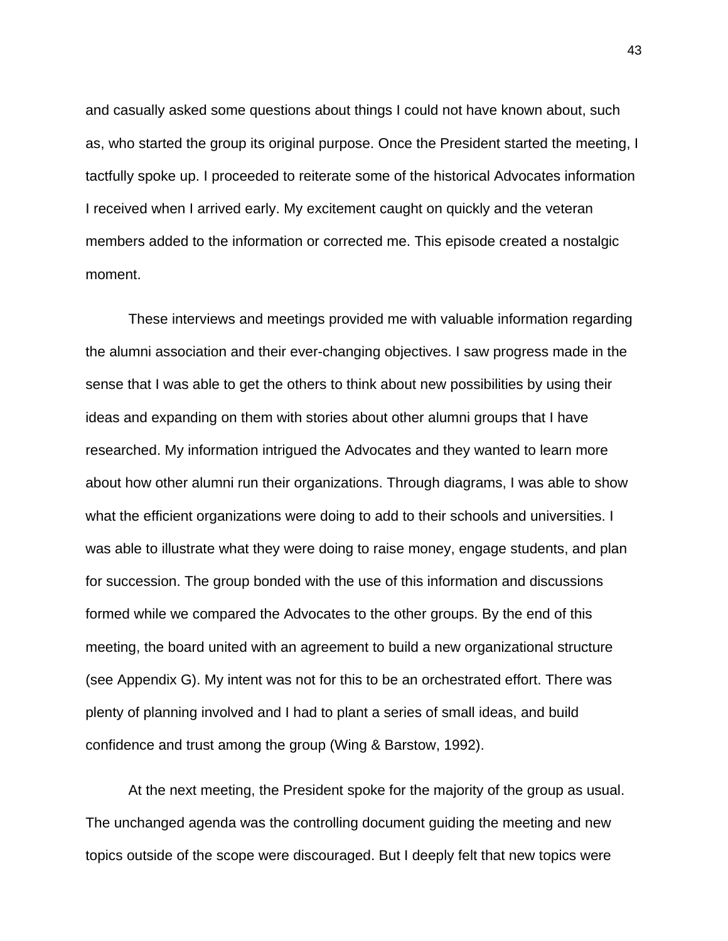and casually asked some questions about things I could not have known about, such as, who started the group its original purpose. Once the President started the meeting, I tactfully spoke up. I proceeded to reiterate some of the historical Advocates information I received when I arrived early. My excitement caught on quickly and the veteran members added to the information or corrected me. This episode created a nostalgic moment.

 These interviews and meetings provided me with valuable information regarding the alumni association and their ever-changing objectives. I saw progress made in the sense that I was able to get the others to think about new possibilities by using their ideas and expanding on them with stories about other alumni groups that I have researched. My information intrigued the Advocates and they wanted to learn more about how other alumni run their organizations. Through diagrams, I was able to show what the efficient organizations were doing to add to their schools and universities. I was able to illustrate what they were doing to raise money, engage students, and plan for succession. The group bonded with the use of this information and discussions formed while we compared the Advocates to the other groups. By the end of this meeting, the board united with an agreement to build a new organizational structure (see Appendix G). My intent was not for this to be an orchestrated effort. There was plenty of planning involved and I had to plant a series of small ideas, and build confidence and trust among the group (Wing & Barstow, 1992).

 At the next meeting, the President spoke for the majority of the group as usual. The unchanged agenda was the controlling document guiding the meeting and new topics outside of the scope were discouraged. But I deeply felt that new topics were

43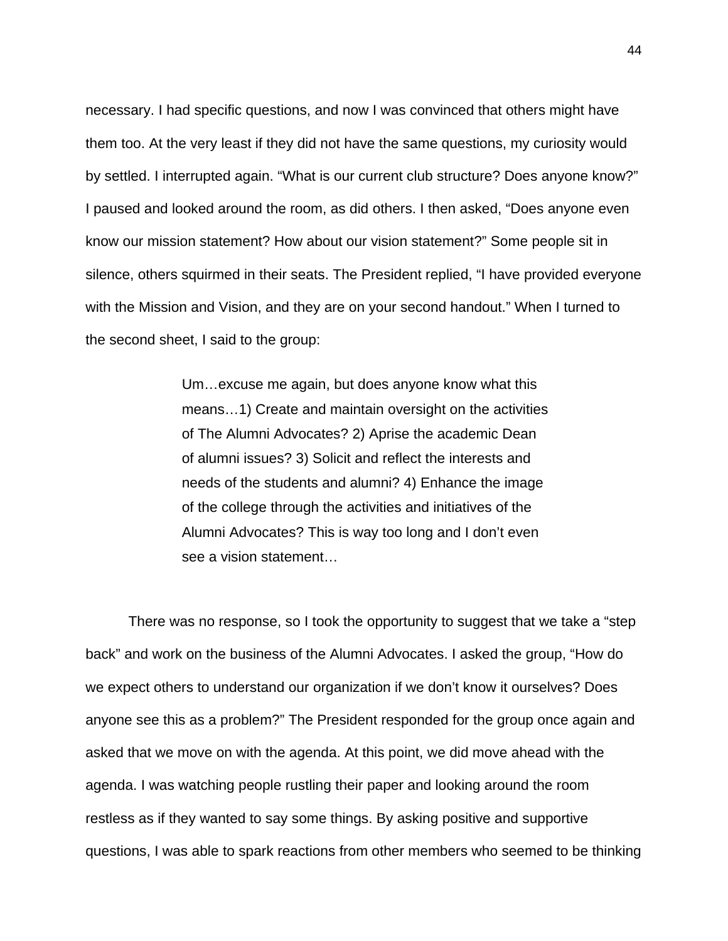necessary. I had specific questions, and now I was convinced that others might have them too. At the very least if they did not have the same questions, my curiosity would by settled. I interrupted again. "What is our current club structure? Does anyone know?" I paused and looked around the room, as did others. I then asked, "Does anyone even know our mission statement? How about our vision statement?" Some people sit in silence, others squirmed in their seats. The President replied, "I have provided everyone with the Mission and Vision, and they are on your second handout." When I turned to the second sheet, I said to the group:

> Um…excuse me again, but does anyone know what this means…1) Create and maintain oversight on the activities of The Alumni Advocates? 2) Aprise the academic Dean of alumni issues? 3) Solicit and reflect the interests and needs of the students and alumni? 4) Enhance the image of the college through the activities and initiatives of the Alumni Advocates? This is way too long and I don't even see a vision statement…

 There was no response, so I took the opportunity to suggest that we take a "step back" and work on the business of the Alumni Advocates. I asked the group, "How do we expect others to understand our organization if we don't know it ourselves? Does anyone see this as a problem?" The President responded for the group once again and asked that we move on with the agenda. At this point, we did move ahead with the agenda. I was watching people rustling their paper and looking around the room restless as if they wanted to say some things. By asking positive and supportive questions, I was able to spark reactions from other members who seemed to be thinking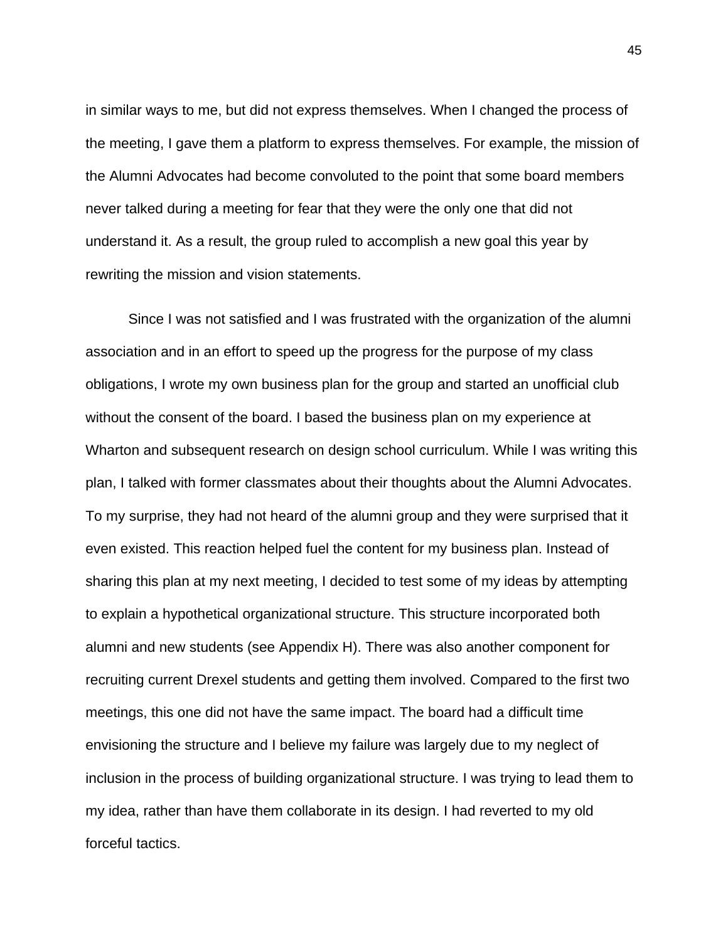in similar ways to me, but did not express themselves. When I changed the process of the meeting, I gave them a platform to express themselves. For example, the mission of the Alumni Advocates had become convoluted to the point that some board members never talked during a meeting for fear that they were the only one that did not understand it. As a result, the group ruled to accomplish a new goal this year by rewriting the mission and vision statements.

 Since I was not satisfied and I was frustrated with the organization of the alumni association and in an effort to speed up the progress for the purpose of my class obligations, I wrote my own business plan for the group and started an unofficial club without the consent of the board. I based the business plan on my experience at Wharton and subsequent research on design school curriculum. While I was writing this plan, I talked with former classmates about their thoughts about the Alumni Advocates. To my surprise, they had not heard of the alumni group and they were surprised that it even existed. This reaction helped fuel the content for my business plan. Instead of sharing this plan at my next meeting, I decided to test some of my ideas by attempting to explain a hypothetical organizational structure. This structure incorporated both alumni and new students (see Appendix H). There was also another component for recruiting current Drexel students and getting them involved. Compared to the first two meetings, this one did not have the same impact. The board had a difficult time envisioning the structure and I believe my failure was largely due to my neglect of inclusion in the process of building organizational structure. I was trying to lead them to my idea, rather than have them collaborate in its design. I had reverted to my old forceful tactics.

45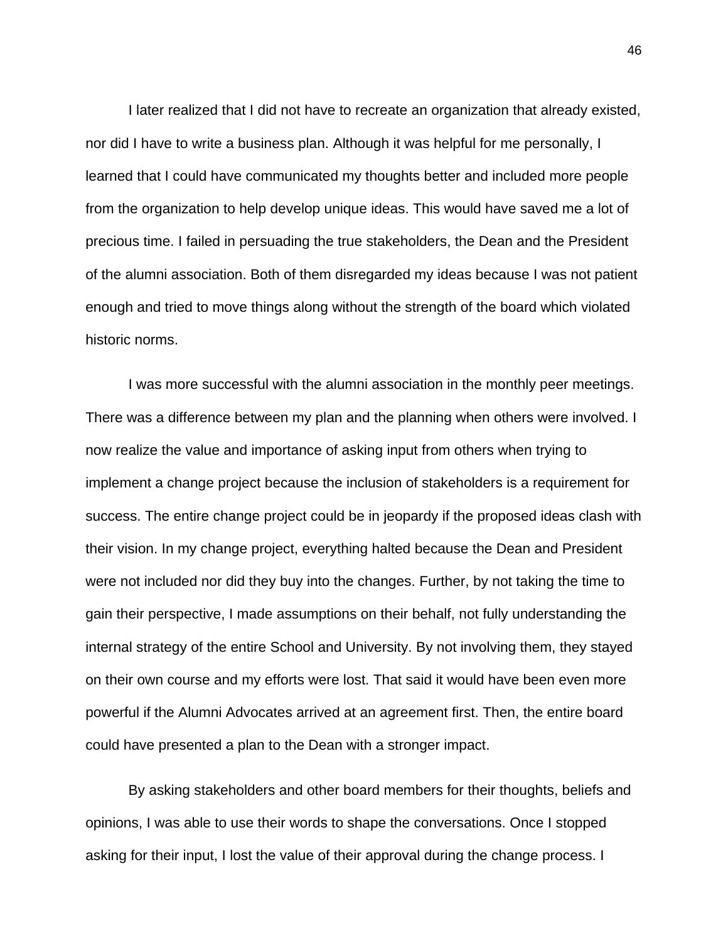I later realized that I did not have to recreate an organization that already existed, nor did I have to write a business plan. Although it was helpful for me personally, I learned that I could have communicated my thoughts better and included more people from the organization to help develop unique ideas. This would have saved me a lot of precious time. I failed in persuading the true stakeholders, the Dean and the President of the alumni association. Both of them disregarded my ideas because I was not patient enough and tried to move things along without the strength of the board which violated historic norms.

 I was more successful with the alumni association in the monthly peer meetings. There was a difference between my plan and the planning when others were involved. I now realize the value and importance of asking input from others when trying to implement a change project because the inclusion of stakeholders is a requirement for success. The entire change project could be in jeopardy if the proposed ideas clash with their vision. In my change project, everything halted because the Dean and President were not included nor did they buy into the changes. Further, by not taking the time to gain their perspective, I made assumptions on their behalf, not fully understanding the internal strategy of the entire School and University. By not involving them, they stayed on their own course and my efforts were lost. That said it would have been even more powerful if the Alumni Advocates arrived at an agreement first. Then, the entire board could have presented a plan to the Dean with a stronger impact.

 By asking stakeholders and other board members for their thoughts, beliefs and opinions, I was able to use their words to shape the conversations. Once I stopped asking for their input, I lost the value of their approval during the change process. I

46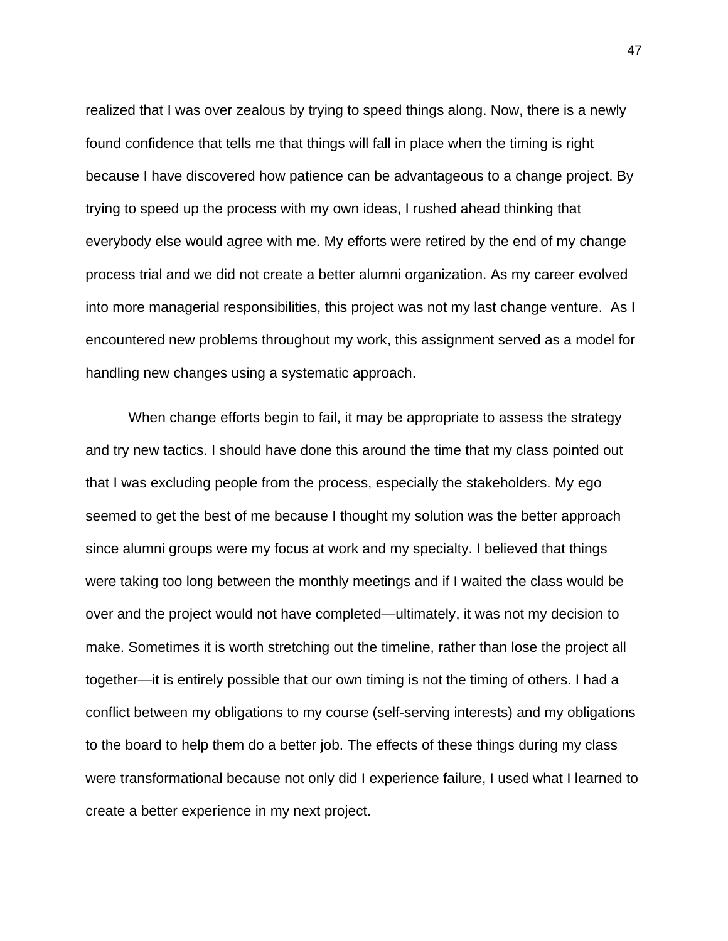realized that I was over zealous by trying to speed things along. Now, there is a newly found confidence that tells me that things will fall in place when the timing is right because I have discovered how patience can be advantageous to a change project. By trying to speed up the process with my own ideas, I rushed ahead thinking that everybody else would agree with me. My efforts were retired by the end of my change process trial and we did not create a better alumni organization. As my career evolved into more managerial responsibilities, this project was not my last change venture. As I encountered new problems throughout my work, this assignment served as a model for handling new changes using a systematic approach.

 When change efforts begin to fail, it may be appropriate to assess the strategy and try new tactics. I should have done this around the time that my class pointed out that I was excluding people from the process, especially the stakeholders. My ego seemed to get the best of me because I thought my solution was the better approach since alumni groups were my focus at work and my specialty. I believed that things were taking too long between the monthly meetings and if I waited the class would be over and the project would not have completed—ultimately, it was not my decision to make. Sometimes it is worth stretching out the timeline, rather than lose the project all together—it is entirely possible that our own timing is not the timing of others. I had a conflict between my obligations to my course (self-serving interests) and my obligations to the board to help them do a better job. The effects of these things during my class were transformational because not only did I experience failure, I used what I learned to create a better experience in my next project.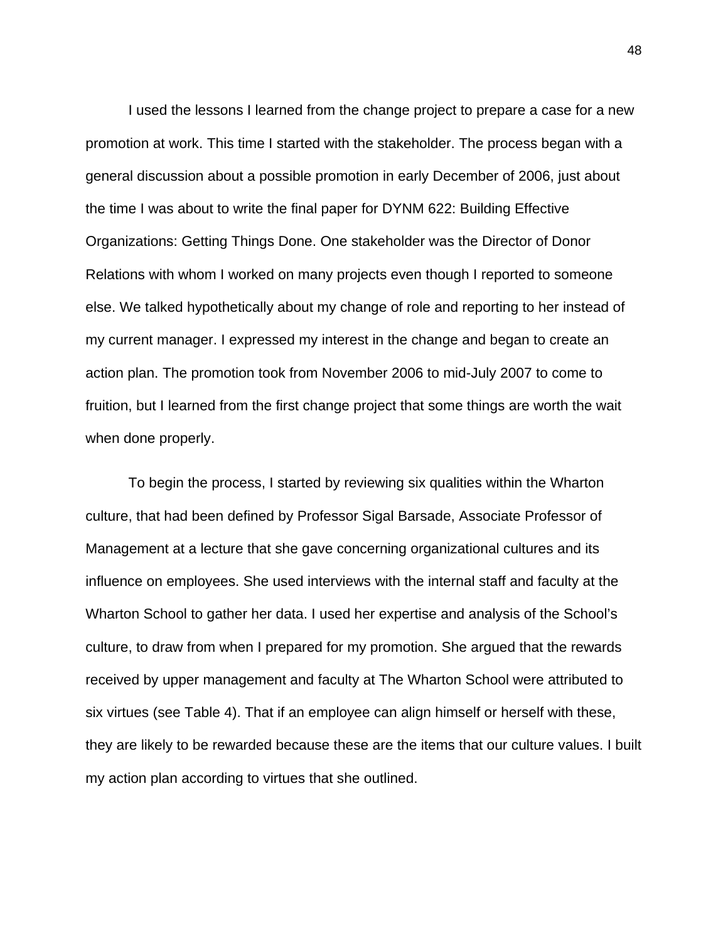I used the lessons I learned from the change project to prepare a case for a new promotion at work. This time I started with the stakeholder. The process began with a general discussion about a possible promotion in early December of 2006, just about the time I was about to write the final paper for DYNM 622: Building Effective Organizations: Getting Things Done. One stakeholder was the Director of Donor Relations with whom I worked on many projects even though I reported to someone else. We talked hypothetically about my change of role and reporting to her instead of my current manager. I expressed my interest in the change and began to create an action plan. The promotion took from November 2006 to mid-July 2007 to come to fruition, but I learned from the first change project that some things are worth the wait when done properly.

 To begin the process, I started by reviewing six qualities within the Wharton culture, that had been defined by Professor Sigal Barsade, Associate Professor of Management at a lecture that she gave concerning organizational cultures and its influence on employees. She used interviews with the internal staff and faculty at the Wharton School to gather her data. I used her expertise and analysis of the School's culture, to draw from when I prepared for my promotion. She argued that the rewards received by upper management and faculty at The Wharton School were attributed to six virtues (see Table 4). That if an employee can align himself or herself with these, they are likely to be rewarded because these are the items that our culture values. I built my action plan according to virtues that she outlined.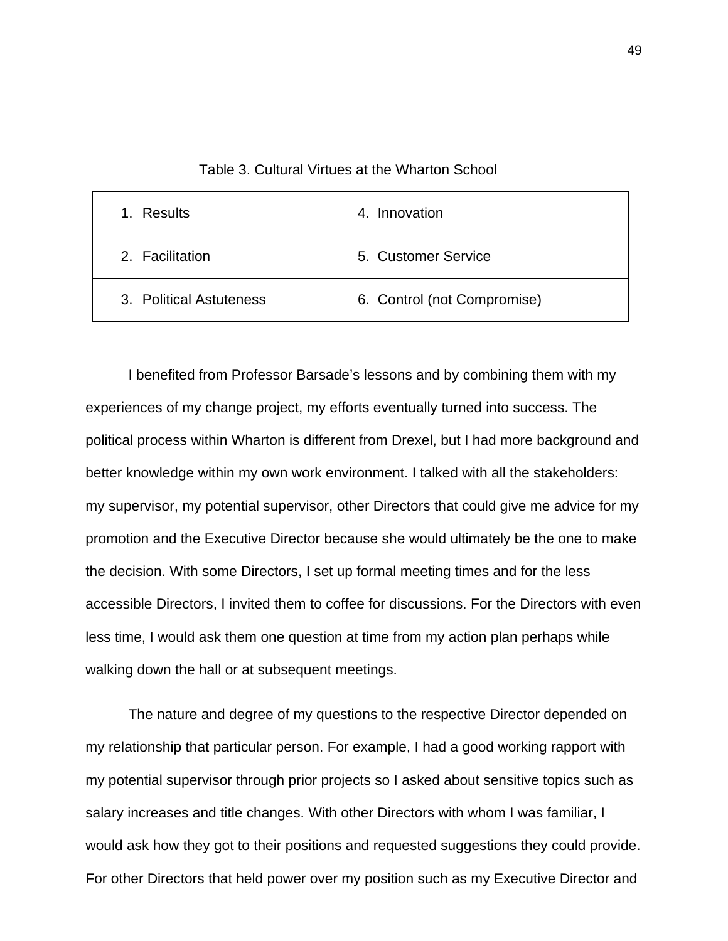| Results<br>1.           | 4. Innovation               |
|-------------------------|-----------------------------|
| 2. Facilitation         | 5. Customer Service         |
| 3. Political Astuteness | 6. Control (not Compromise) |

Table 3. Cultural Virtues at the Wharton School

 I benefited from Professor Barsade's lessons and by combining them with my experiences of my change project, my efforts eventually turned into success. The political process within Wharton is different from Drexel, but I had more background and better knowledge within my own work environment. I talked with all the stakeholders: my supervisor, my potential supervisor, other Directors that could give me advice for my promotion and the Executive Director because she would ultimately be the one to make the decision. With some Directors, I set up formal meeting times and for the less accessible Directors, I invited them to coffee for discussions. For the Directors with even less time, I would ask them one question at time from my action plan perhaps while walking down the hall or at subsequent meetings.

 The nature and degree of my questions to the respective Director depended on my relationship that particular person. For example, I had a good working rapport with my potential supervisor through prior projects so I asked about sensitive topics such as salary increases and title changes. With other Directors with whom I was familiar, I would ask how they got to their positions and requested suggestions they could provide. For other Directors that held power over my position such as my Executive Director and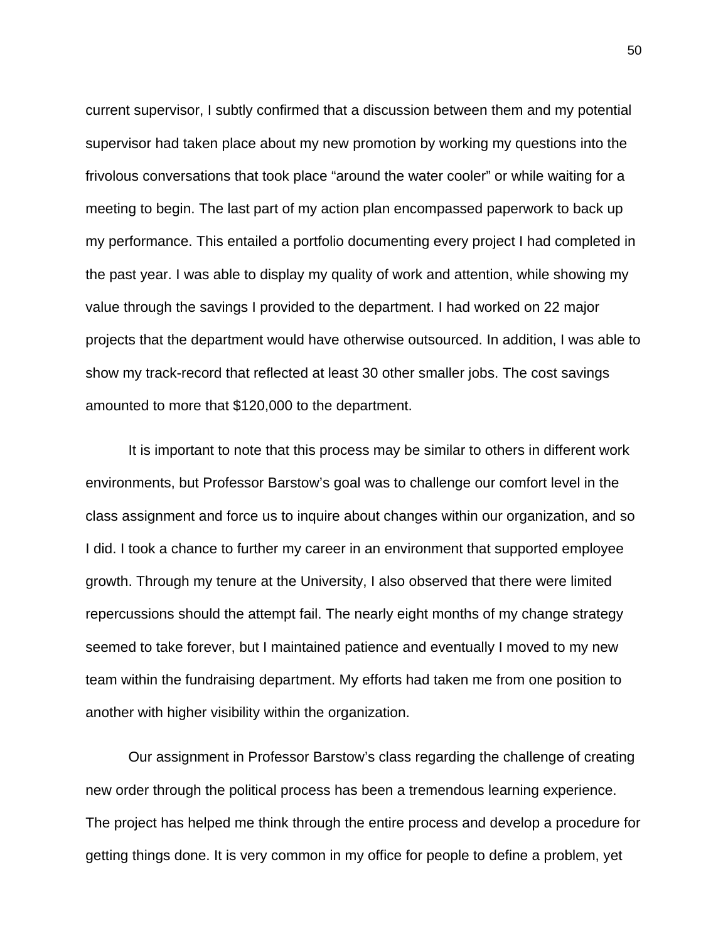current supervisor, I subtly confirmed that a discussion between them and my potential supervisor had taken place about my new promotion by working my questions into the frivolous conversations that took place "around the water cooler" or while waiting for a meeting to begin. The last part of my action plan encompassed paperwork to back up my performance. This entailed a portfolio documenting every project I had completed in the past year. I was able to display my quality of work and attention, while showing my value through the savings I provided to the department. I had worked on 22 major projects that the department would have otherwise outsourced. In addition, I was able to show my track-record that reflected at least 30 other smaller jobs. The cost savings amounted to more that \$120,000 to the department.

 It is important to note that this process may be similar to others in different work environments, but Professor Barstow's goal was to challenge our comfort level in the class assignment and force us to inquire about changes within our organization, and so I did. I took a chance to further my career in an environment that supported employee growth. Through my tenure at the University, I also observed that there were limited repercussions should the attempt fail. The nearly eight months of my change strategy seemed to take forever, but I maintained patience and eventually I moved to my new team within the fundraising department. My efforts had taken me from one position to another with higher visibility within the organization.

 Our assignment in Professor Barstow's class regarding the challenge of creating new order through the political process has been a tremendous learning experience. The project has helped me think through the entire process and develop a procedure for getting things done. It is very common in my office for people to define a problem, yet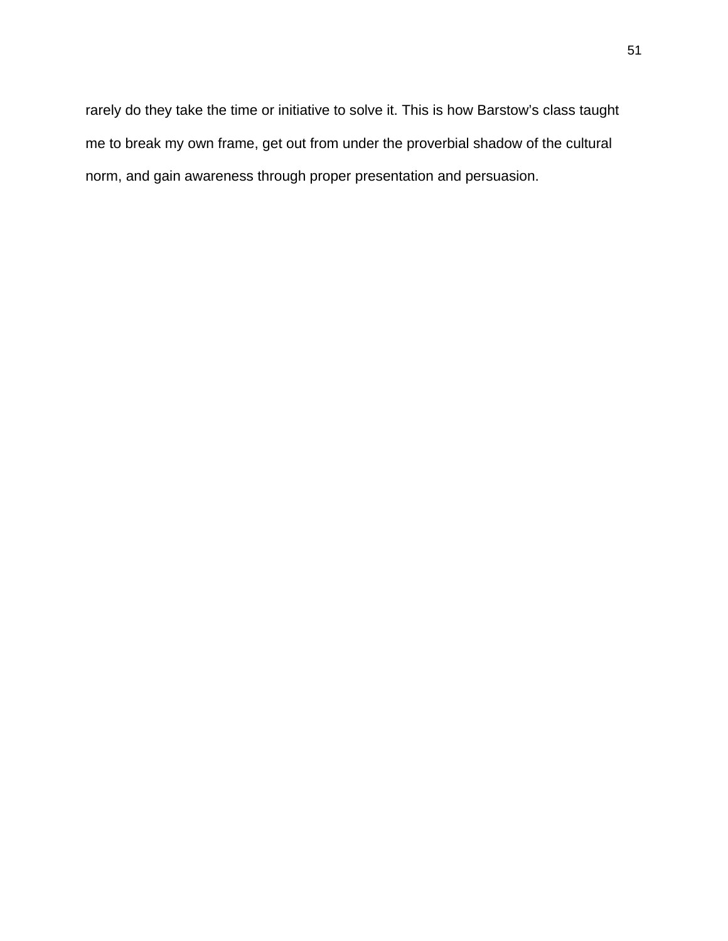rarely do they take the time or initiative to solve it. This is how Barstow's class taught me to break my own frame, get out from under the proverbial shadow of the cultural norm, and gain awareness through proper presentation and persuasion.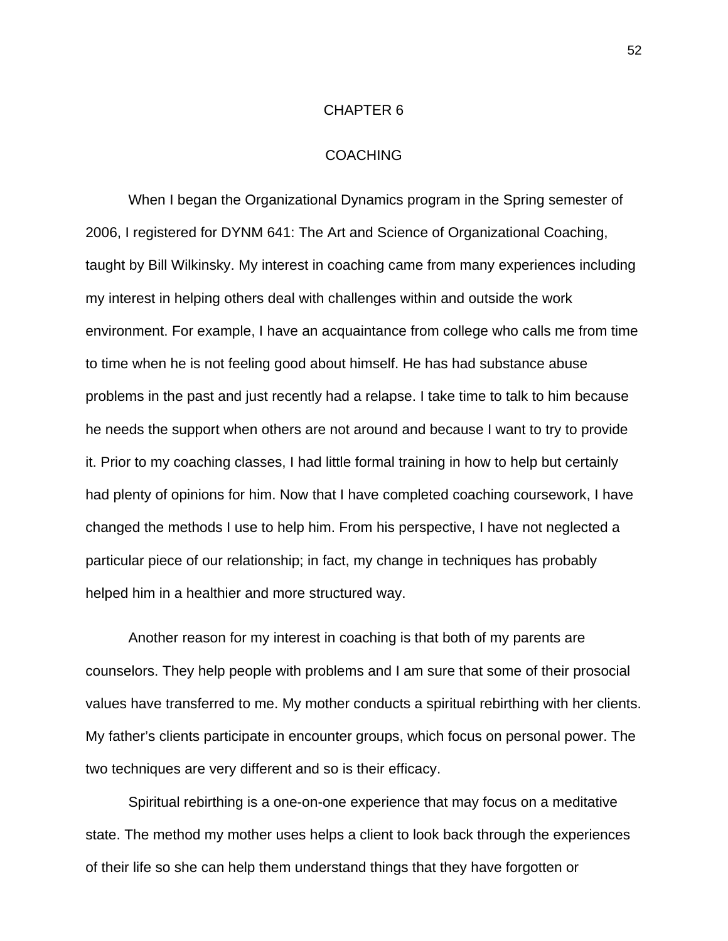#### CHAPTER 6

#### COACHING

 When I began the Organizational Dynamics program in the Spring semester of 2006, I registered for DYNM 641: The Art and Science of Organizational Coaching, taught by Bill Wilkinsky. My interest in coaching came from many experiences including my interest in helping others deal with challenges within and outside the work environment. For example, I have an acquaintance from college who calls me from time to time when he is not feeling good about himself. He has had substance abuse problems in the past and just recently had a relapse. I take time to talk to him because he needs the support when others are not around and because I want to try to provide it. Prior to my coaching classes, I had little formal training in how to help but certainly had plenty of opinions for him. Now that I have completed coaching coursework, I have changed the methods I use to help him. From his perspective, I have not neglected a particular piece of our relationship; in fact, my change in techniques has probably helped him in a healthier and more structured way.

 Another reason for my interest in coaching is that both of my parents are counselors. They help people with problems and I am sure that some of their prosocial values have transferred to me. My mother conducts a spiritual rebirthing with her clients. My father's clients participate in encounter groups, which focus on personal power. The two techniques are very different and so is their efficacy.

 Spiritual rebirthing is a one-on-one experience that may focus on a meditative state. The method my mother uses helps a client to look back through the experiences of their life so she can help them understand things that they have forgotten or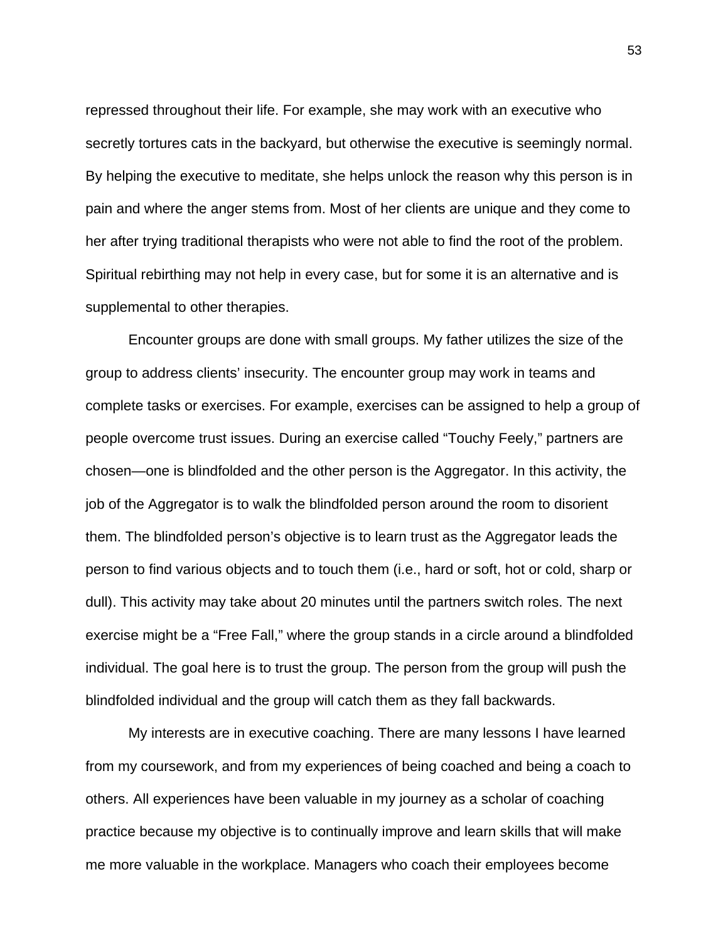repressed throughout their life. For example, she may work with an executive who secretly tortures cats in the backyard, but otherwise the executive is seemingly normal. By helping the executive to meditate, she helps unlock the reason why this person is in pain and where the anger stems from. Most of her clients are unique and they come to her after trying traditional therapists who were not able to find the root of the problem. Spiritual rebirthing may not help in every case, but for some it is an alternative and is supplemental to other therapies.

 Encounter groups are done with small groups. My father utilizes the size of the group to address clients' insecurity. The encounter group may work in teams and complete tasks or exercises. For example, exercises can be assigned to help a group of people overcome trust issues. During an exercise called "Touchy Feely," partners are chosen—one is blindfolded and the other person is the Aggregator. In this activity, the job of the Aggregator is to walk the blindfolded person around the room to disorient them. The blindfolded person's objective is to learn trust as the Aggregator leads the person to find various objects and to touch them (i.e., hard or soft, hot or cold, sharp or dull). This activity may take about 20 minutes until the partners switch roles. The next exercise might be a "Free Fall," where the group stands in a circle around a blindfolded individual. The goal here is to trust the group. The person from the group will push the blindfolded individual and the group will catch them as they fall backwards.

 My interests are in executive coaching. There are many lessons I have learned from my coursework, and from my experiences of being coached and being a coach to others. All experiences have been valuable in my journey as a scholar of coaching practice because my objective is to continually improve and learn skills that will make me more valuable in the workplace. Managers who coach their employees become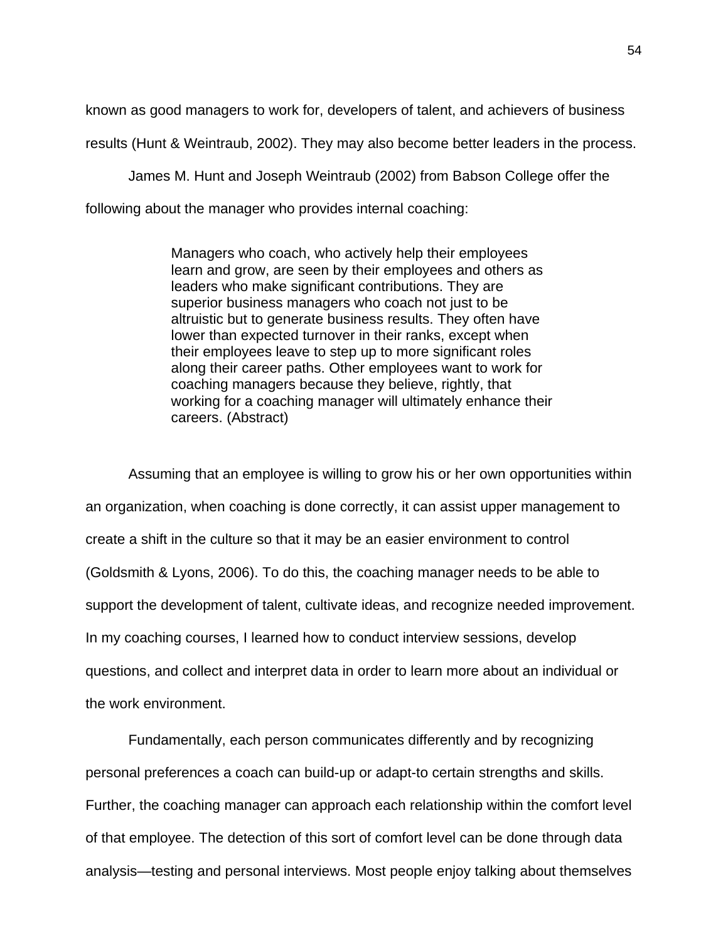known as good managers to work for, developers of talent, and achievers of business

results (Hunt & Weintraub, 2002). They may also become better leaders in the process.

James M. Hunt and Joseph Weintraub (2002) from Babson College offer the

following about the manager who provides internal coaching:

Managers who coach, who actively help their employees learn and grow, are seen by their employees and others as leaders who make significant contributions. They are superior business managers who coach not just to be altruistic but to generate business results. They often have lower than expected turnover in their ranks, except when their employees leave to step up to more significant roles along their career paths. Other employees want to work for coaching managers because they believe, rightly, that working for a coaching manager will ultimately enhance their careers. (Abstract)

 Assuming that an employee is willing to grow his or her own opportunities within an organization, when coaching is done correctly, it can assist upper management to create a shift in the culture so that it may be an easier environment to control (Goldsmith & Lyons, 2006). To do this, the coaching manager needs to be able to support the development of talent, cultivate ideas, and recognize needed improvement. In my coaching courses, I learned how to conduct interview sessions, develop questions, and collect and interpret data in order to learn more about an individual or the work environment.

 Fundamentally, each person communicates differently and by recognizing personal preferences a coach can build-up or adapt-to certain strengths and skills. Further, the coaching manager can approach each relationship within the comfort level of that employee. The detection of this sort of comfort level can be done through data analysis—testing and personal interviews. Most people enjoy talking about themselves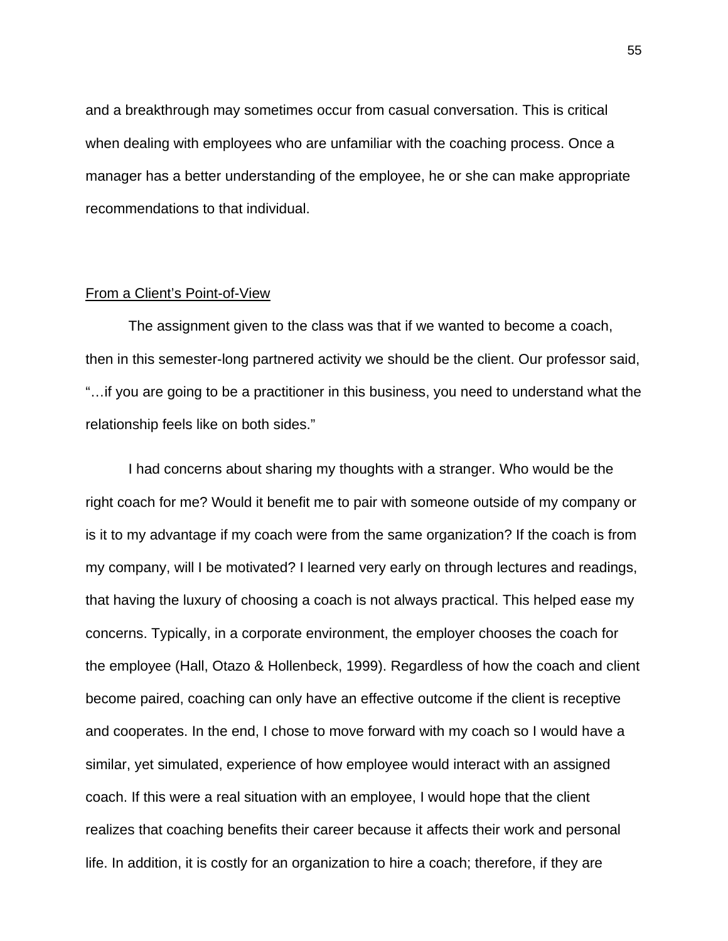and a breakthrough may sometimes occur from casual conversation. This is critical when dealing with employees who are unfamiliar with the coaching process. Once a manager has a better understanding of the employee, he or she can make appropriate recommendations to that individual.

#### From a Client's Point-of-View

 The assignment given to the class was that if we wanted to become a coach, then in this semester-long partnered activity we should be the client. Our professor said, "…if you are going to be a practitioner in this business, you need to understand what the relationship feels like on both sides."

 I had concerns about sharing my thoughts with a stranger. Who would be the right coach for me? Would it benefit me to pair with someone outside of my company or is it to my advantage if my coach were from the same organization? If the coach is from my company, will I be motivated? I learned very early on through lectures and readings, that having the luxury of choosing a coach is not always practical. This helped ease my concerns. Typically, in a corporate environment, the employer chooses the coach for the employee (Hall, Otazo & Hollenbeck, 1999). Regardless of how the coach and client become paired, coaching can only have an effective outcome if the client is receptive and cooperates. In the end, I chose to move forward with my coach so I would have a similar, yet simulated, experience of how employee would interact with an assigned coach. If this were a real situation with an employee, I would hope that the client realizes that coaching benefits their career because it affects their work and personal life. In addition, it is costly for an organization to hire a coach; therefore, if they are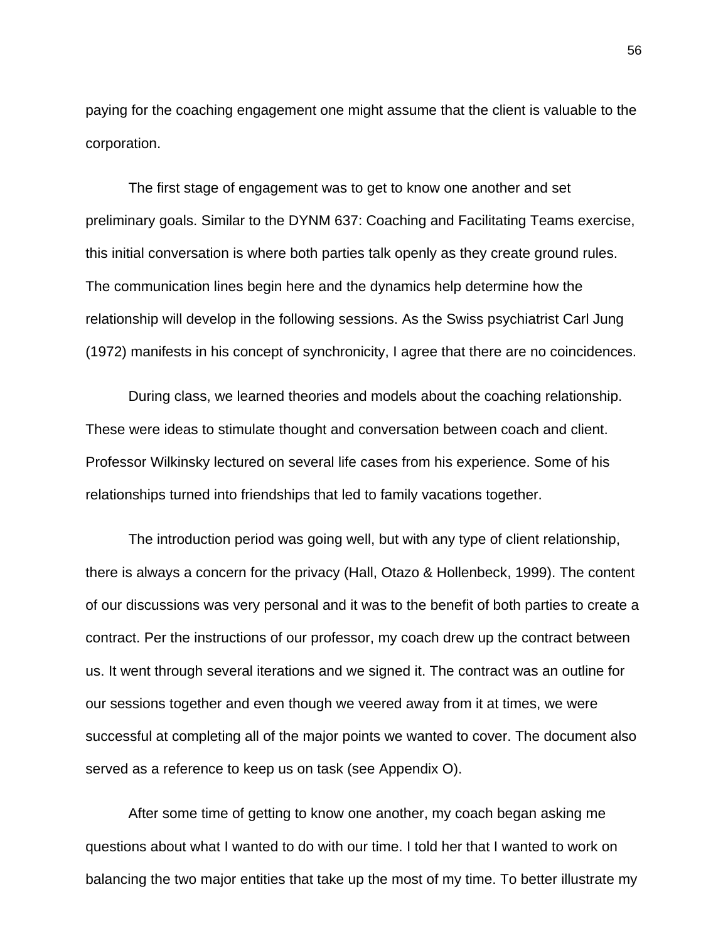paying for the coaching engagement one might assume that the client is valuable to the corporation.

 The first stage of engagement was to get to know one another and set preliminary goals. Similar to the DYNM 637: Coaching and Facilitating Teams exercise, this initial conversation is where both parties talk openly as they create ground rules. The communication lines begin here and the dynamics help determine how the relationship will develop in the following sessions. As the Swiss psychiatrist Carl Jung (1972) manifests in his concept of synchronicity, I agree that there are no coincidences.

 During class, we learned theories and models about the coaching relationship. These were ideas to stimulate thought and conversation between coach and client. Professor Wilkinsky lectured on several life cases from his experience. Some of his relationships turned into friendships that led to family vacations together.

 The introduction period was going well, but with any type of client relationship, there is always a concern for the privacy (Hall, Otazo & Hollenbeck, 1999). The content of our discussions was very personal and it was to the benefit of both parties to create a contract. Per the instructions of our professor, my coach drew up the contract between us. It went through several iterations and we signed it. The contract was an outline for our sessions together and even though we veered away from it at times, we were successful at completing all of the major points we wanted to cover. The document also served as a reference to keep us on task (see Appendix O).

 After some time of getting to know one another, my coach began asking me questions about what I wanted to do with our time. I told her that I wanted to work on balancing the two major entities that take up the most of my time. To better illustrate my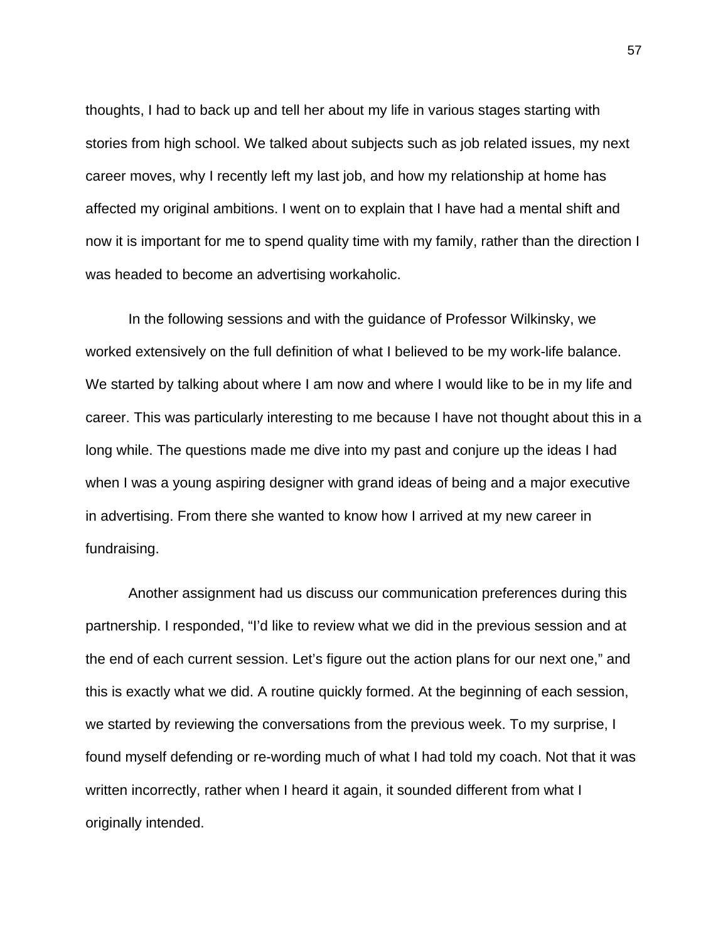thoughts, I had to back up and tell her about my life in various stages starting with stories from high school. We talked about subjects such as job related issues, my next career moves, why I recently left my last job, and how my relationship at home has affected my original ambitions. I went on to explain that I have had a mental shift and now it is important for me to spend quality time with my family, rather than the direction I was headed to become an advertising workaholic.

 In the following sessions and with the guidance of Professor Wilkinsky, we worked extensively on the full definition of what I believed to be my work-life balance. We started by talking about where I am now and where I would like to be in my life and career. This was particularly interesting to me because I have not thought about this in a long while. The questions made me dive into my past and conjure up the ideas I had when I was a young aspiring designer with grand ideas of being and a major executive in advertising. From there she wanted to know how I arrived at my new career in fundraising.

 Another assignment had us discuss our communication preferences during this partnership. I responded, "I'd like to review what we did in the previous session and at the end of each current session. Let's figure out the action plans for our next one," and this is exactly what we did. A routine quickly formed. At the beginning of each session, we started by reviewing the conversations from the previous week. To my surprise, I found myself defending or re-wording much of what I had told my coach. Not that it was written incorrectly, rather when I heard it again, it sounded different from what I originally intended.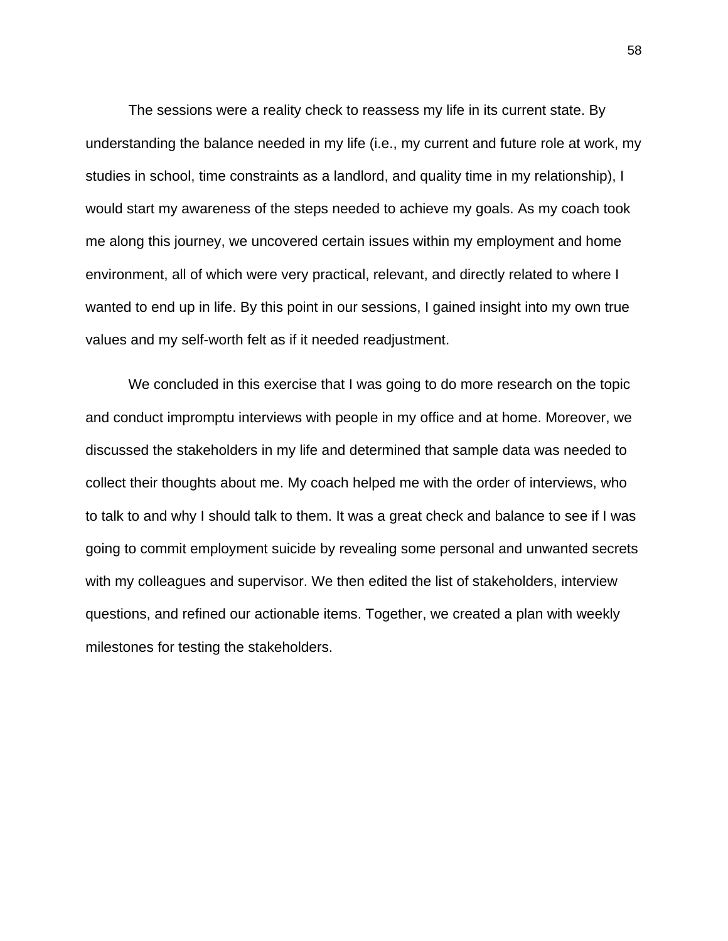The sessions were a reality check to reassess my life in its current state. By understanding the balance needed in my life (i.e., my current and future role at work, my studies in school, time constraints as a landlord, and quality time in my relationship), I would start my awareness of the steps needed to achieve my goals. As my coach took me along this journey, we uncovered certain issues within my employment and home environment, all of which were very practical, relevant, and directly related to where I wanted to end up in life. By this point in our sessions, I gained insight into my own true values and my self-worth felt as if it needed readjustment.

We concluded in this exercise that I was going to do more research on the topic and conduct impromptu interviews with people in my office and at home. Moreover, we discussed the stakeholders in my life and determined that sample data was needed to collect their thoughts about me. My coach helped me with the order of interviews, who to talk to and why I should talk to them. It was a great check and balance to see if I was going to commit employment suicide by revealing some personal and unwanted secrets with my colleagues and supervisor. We then edited the list of stakeholders, interview questions, and refined our actionable items. Together, we created a plan with weekly milestones for testing the stakeholders.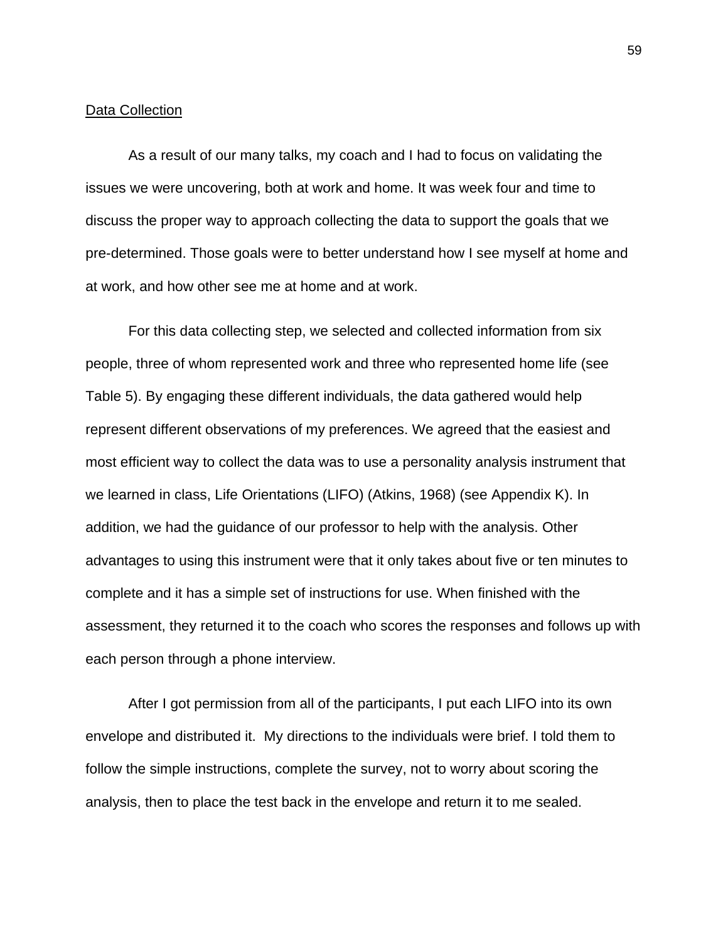#### Data Collection

 As a result of our many talks, my coach and I had to focus on validating the issues we were uncovering, both at work and home. It was week four and time to discuss the proper way to approach collecting the data to support the goals that we pre-determined. Those goals were to better understand how I see myself at home and at work, and how other see me at home and at work.

 For this data collecting step, we selected and collected information from six people, three of whom represented work and three who represented home life (see Table 5). By engaging these different individuals, the data gathered would help represent different observations of my preferences. We agreed that the easiest and most efficient way to collect the data was to use a personality analysis instrument that we learned in class, Life Orientations (LIFO) (Atkins, 1968) (see Appendix K). In addition, we had the guidance of our professor to help with the analysis. Other advantages to using this instrument were that it only takes about five or ten minutes to complete and it has a simple set of instructions for use. When finished with the assessment, they returned it to the coach who scores the responses and follows up with each person through a phone interview.

After I got permission from all of the participants, I put each LIFO into its own envelope and distributed it. My directions to the individuals were brief. I told them to follow the simple instructions, complete the survey, not to worry about scoring the analysis, then to place the test back in the envelope and return it to me sealed.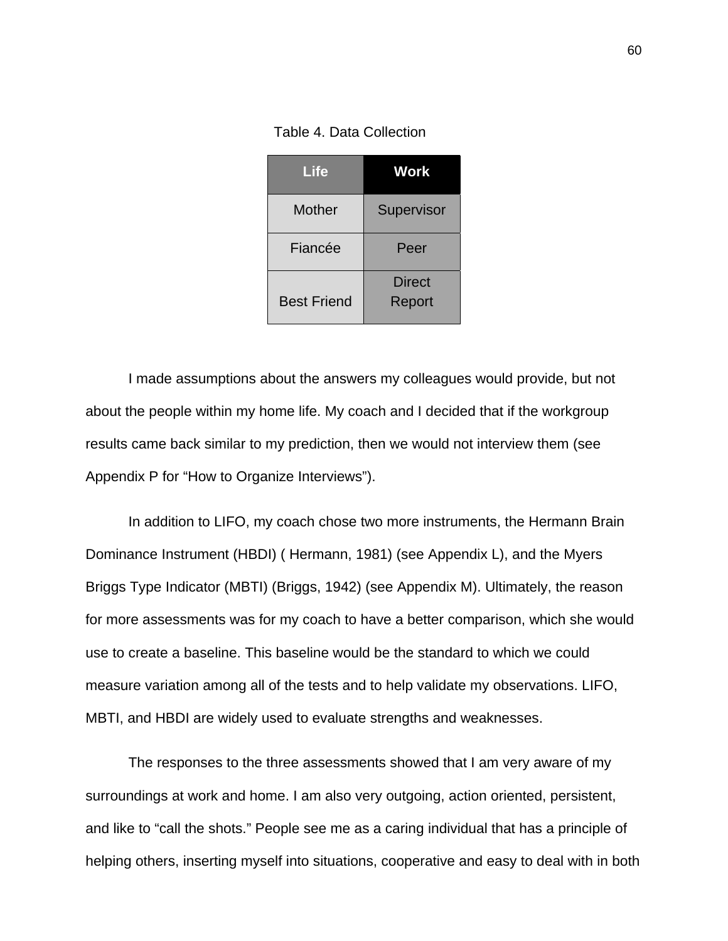Table 4. Data Collection

| Life               | <b>Work</b>      |  |
|--------------------|------------------|--|
| Mother             | Supervisor       |  |
| Fiancée            | Peer             |  |
| <b>Best Friend</b> | Direct<br>Report |  |

 I made assumptions about the answers my colleagues would provide, but not about the people within my home life. My coach and I decided that if the workgroup results came back similar to my prediction, then we would not interview them (see Appendix P for "How to Organize Interviews").

 In addition to LIFO, my coach chose two more instruments, the Hermann Brain Dominance Instrument (HBDI) ( Hermann, 1981) (see Appendix L), and the Myers Briggs Type Indicator (MBTI) (Briggs, 1942) (see Appendix M). Ultimately, the reason for more assessments was for my coach to have a better comparison, which she would use to create a baseline. This baseline would be the standard to which we could measure variation among all of the tests and to help validate my observations. LIFO, MBTI, and HBDI are widely used to evaluate strengths and weaknesses.

 The responses to the three assessments showed that I am very aware of my surroundings at work and home. I am also very outgoing, action oriented, persistent, and like to "call the shots." People see me as a caring individual that has a principle of helping others, inserting myself into situations, cooperative and easy to deal with in both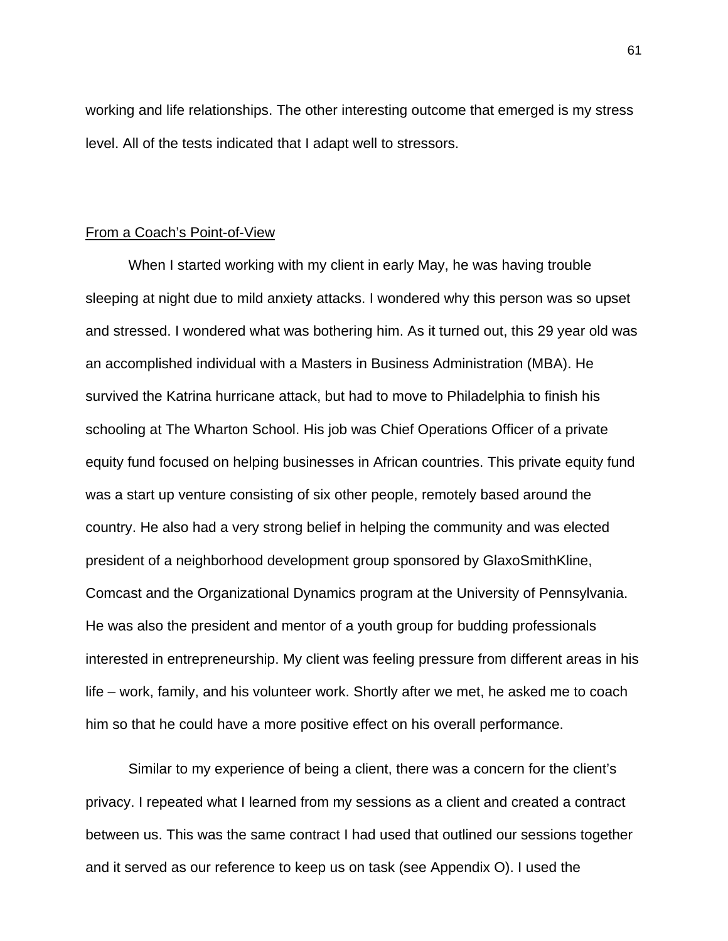working and life relationships. The other interesting outcome that emerged is my stress level. All of the tests indicated that I adapt well to stressors.

## From a Coach's Point-of-View

 When I started working with my client in early May, he was having trouble sleeping at night due to mild anxiety attacks. I wondered why this person was so upset and stressed. I wondered what was bothering him. As it turned out, this 29 year old was an accomplished individual with a Masters in Business Administration (MBA). He survived the Katrina hurricane attack, but had to move to Philadelphia to finish his schooling at The Wharton School. His job was Chief Operations Officer of a private equity fund focused on helping businesses in African countries. This private equity fund was a start up venture consisting of six other people, remotely based around the country. He also had a very strong belief in helping the community and was elected president of a neighborhood development group sponsored by GlaxoSmithKline, Comcast and the Organizational Dynamics program at the University of Pennsylvania. He was also the president and mentor of a youth group for budding professionals interested in entrepreneurship. My client was feeling pressure from different areas in his life – work, family, and his volunteer work. Shortly after we met, he asked me to coach him so that he could have a more positive effect on his overall performance.

 Similar to my experience of being a client, there was a concern for the client's privacy. I repeated what I learned from my sessions as a client and created a contract between us. This was the same contract I had used that outlined our sessions together and it served as our reference to keep us on task (see Appendix O). I used the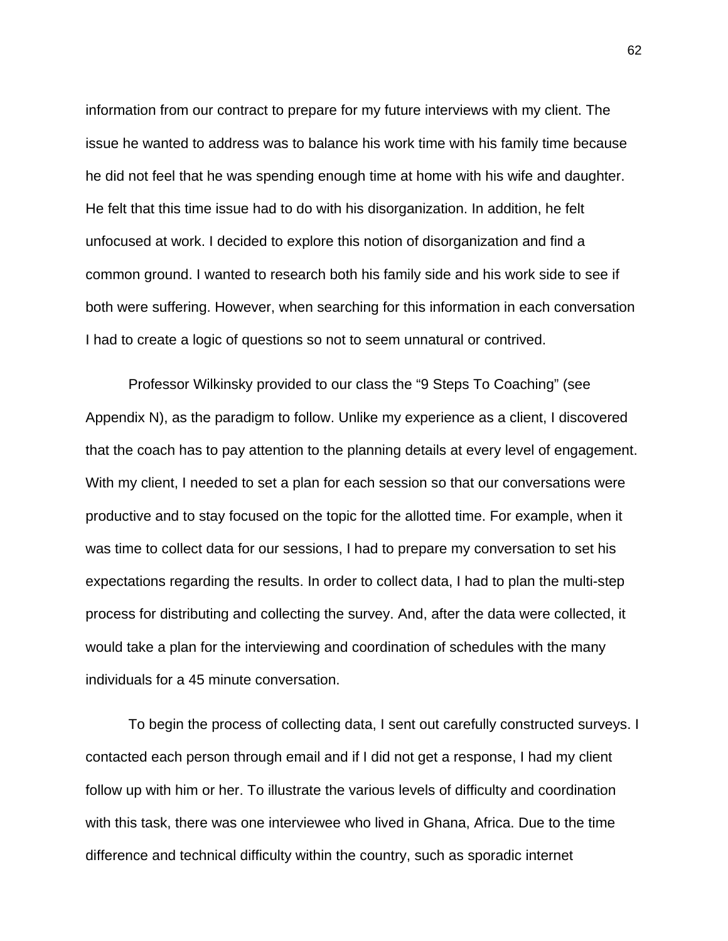information from our contract to prepare for my future interviews with my client. The issue he wanted to address was to balance his work time with his family time because he did not feel that he was spending enough time at home with his wife and daughter. He felt that this time issue had to do with his disorganization. In addition, he felt unfocused at work. I decided to explore this notion of disorganization and find a common ground. I wanted to research both his family side and his work side to see if both were suffering. However, when searching for this information in each conversation I had to create a logic of questions so not to seem unnatural or contrived.

 Professor Wilkinsky provided to our class the "9 Steps To Coaching" (see Appendix N), as the paradigm to follow. Unlike my experience as a client, I discovered that the coach has to pay attention to the planning details at every level of engagement. With my client, I needed to set a plan for each session so that our conversations were productive and to stay focused on the topic for the allotted time. For example, when it was time to collect data for our sessions, I had to prepare my conversation to set his expectations regarding the results. In order to collect data, I had to plan the multi-step process for distributing and collecting the survey. And, after the data were collected, it would take a plan for the interviewing and coordination of schedules with the many individuals for a 45 minute conversation.

 To begin the process of collecting data, I sent out carefully constructed surveys. I contacted each person through email and if I did not get a response, I had my client follow up with him or her. To illustrate the various levels of difficulty and coordination with this task, there was one interviewee who lived in Ghana, Africa. Due to the time difference and technical difficulty within the country, such as sporadic internet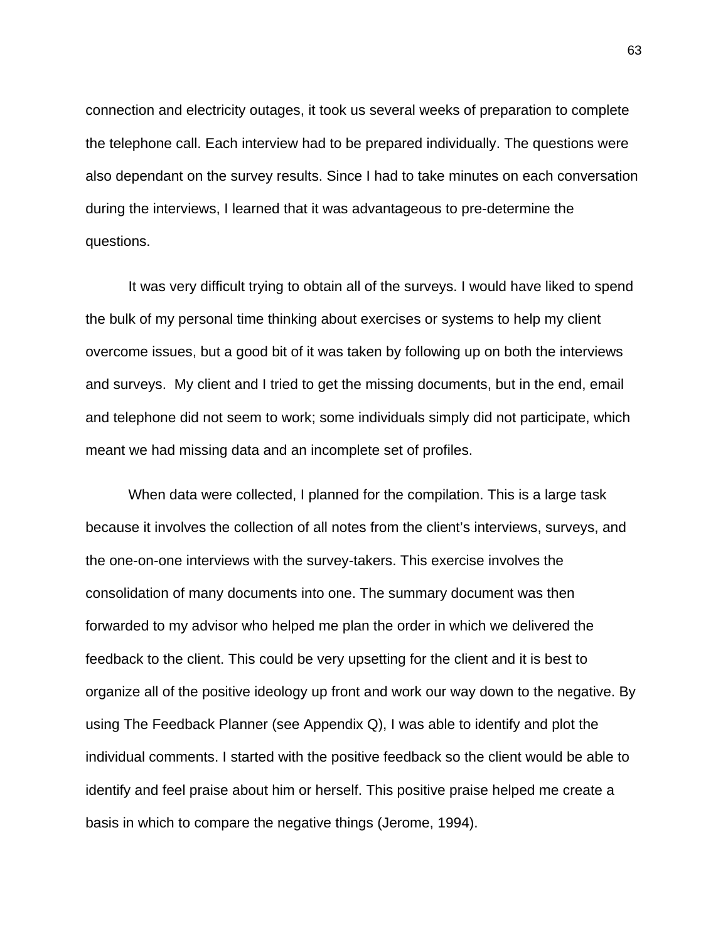connection and electricity outages, it took us several weeks of preparation to complete the telephone call. Each interview had to be prepared individually. The questions were also dependant on the survey results. Since I had to take minutes on each conversation during the interviews, I learned that it was advantageous to pre-determine the questions.

 It was very difficult trying to obtain all of the surveys. I would have liked to spend the bulk of my personal time thinking about exercises or systems to help my client overcome issues, but a good bit of it was taken by following up on both the interviews and surveys. My client and I tried to get the missing documents, but in the end, email and telephone did not seem to work; some individuals simply did not participate, which meant we had missing data and an incomplete set of profiles.

 When data were collected, I planned for the compilation. This is a large task because it involves the collection of all notes from the client's interviews, surveys, and the one-on-one interviews with the survey-takers. This exercise involves the consolidation of many documents into one. The summary document was then forwarded to my advisor who helped me plan the order in which we delivered the feedback to the client. This could be very upsetting for the client and it is best to organize all of the positive ideology up front and work our way down to the negative. By using The Feedback Planner (see Appendix Q), I was able to identify and plot the individual comments. I started with the positive feedback so the client would be able to identify and feel praise about him or herself. This positive praise helped me create a basis in which to compare the negative things (Jerome, 1994).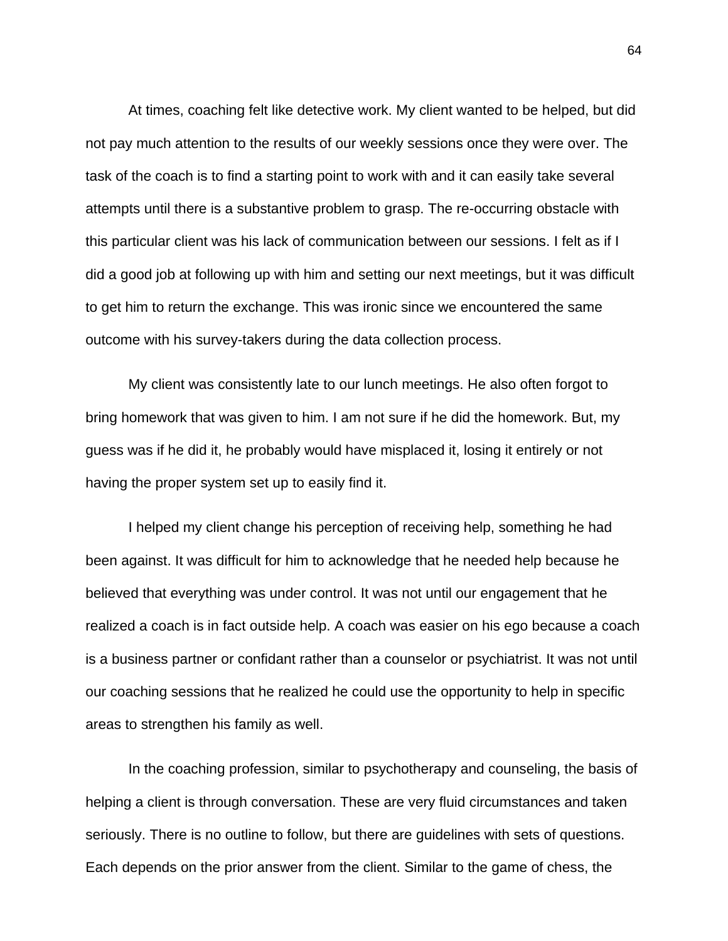At times, coaching felt like detective work. My client wanted to be helped, but did not pay much attention to the results of our weekly sessions once they were over. The task of the coach is to find a starting point to work with and it can easily take several attempts until there is a substantive problem to grasp. The re-occurring obstacle with this particular client was his lack of communication between our sessions. I felt as if I did a good job at following up with him and setting our next meetings, but it was difficult to get him to return the exchange. This was ironic since we encountered the same outcome with his survey-takers during the data collection process.

 My client was consistently late to our lunch meetings. He also often forgot to bring homework that was given to him. I am not sure if he did the homework. But, my guess was if he did it, he probably would have misplaced it, losing it entirely or not having the proper system set up to easily find it.

 I helped my client change his perception of receiving help, something he had been against. It was difficult for him to acknowledge that he needed help because he believed that everything was under control. It was not until our engagement that he realized a coach is in fact outside help. A coach was easier on his ego because a coach is a business partner or confidant rather than a counselor or psychiatrist. It was not until our coaching sessions that he realized he could use the opportunity to help in specific areas to strengthen his family as well.

 In the coaching profession, similar to psychotherapy and counseling, the basis of helping a client is through conversation. These are very fluid circumstances and taken seriously. There is no outline to follow, but there are guidelines with sets of questions. Each depends on the prior answer from the client. Similar to the game of chess, the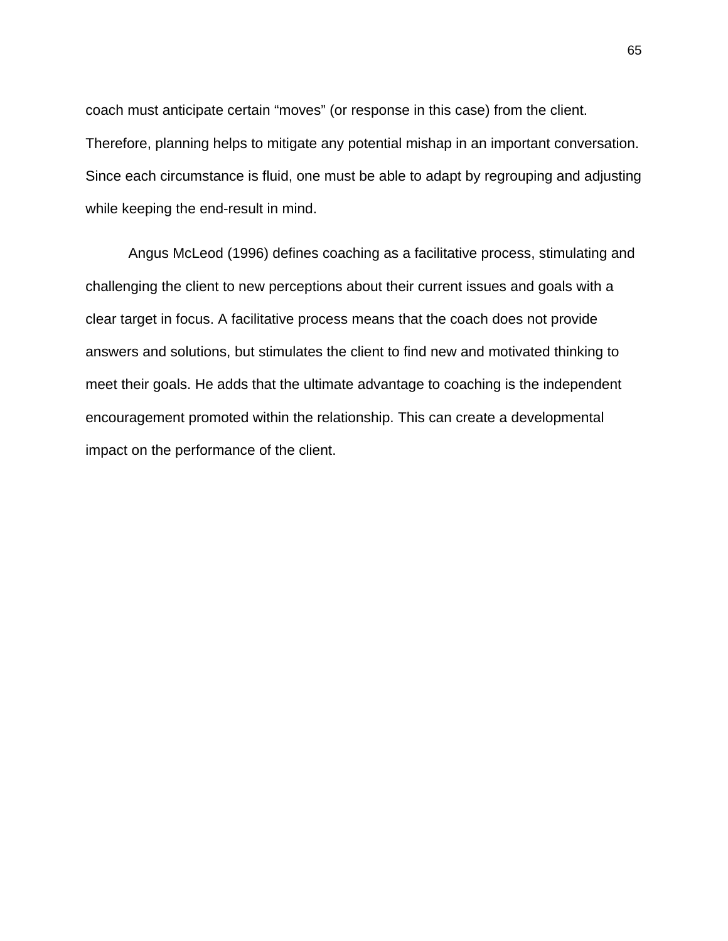coach must anticipate certain "moves" (or response in this case) from the client. Therefore, planning helps to mitigate any potential mishap in an important conversation. Since each circumstance is fluid, one must be able to adapt by regrouping and adjusting while keeping the end-result in mind.

 Angus McLeod (1996) defines coaching as a facilitative process, stimulating and challenging the client to new perceptions about their current issues and goals with a clear target in focus. A facilitative process means that the coach does not provide answers and solutions, but stimulates the client to find new and motivated thinking to meet their goals. He adds that the ultimate advantage to coaching is the independent encouragement promoted within the relationship. This can create a developmental impact on the performance of the client.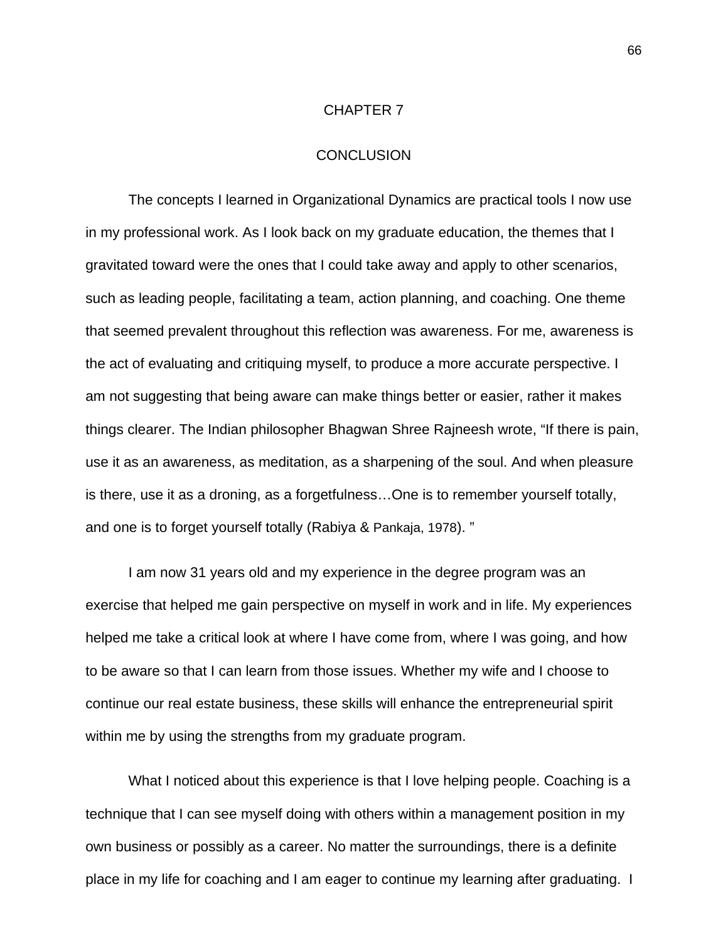#### CHAPTER 7

#### **CONCLUSION**

 The concepts I learned in Organizational Dynamics are practical tools I now use in my professional work. As I look back on my graduate education, the themes that I gravitated toward were the ones that I could take away and apply to other scenarios, such as leading people, facilitating a team, action planning, and coaching. One theme that seemed prevalent throughout this reflection was awareness. For me, awareness is the act of evaluating and critiquing myself, to produce a more accurate perspective. I am not suggesting that being aware can make things better or easier, rather it makes things clearer. The Indian philosopher Bhagwan Shree Rajneesh wrote, "If there is pain, use it as an awareness, as meditation, as a sharpening of the soul. And when pleasure is there, use it as a droning, as a forgetfulness…One is to remember yourself totally, and one is to forget yourself totally (Rabiya & Pankaja, 1978). "

 I am now 31 years old and my experience in the degree program was an exercise that helped me gain perspective on myself in work and in life. My experiences helped me take a critical look at where I have come from, where I was going, and how to be aware so that I can learn from those issues. Whether my wife and I choose to continue our real estate business, these skills will enhance the entrepreneurial spirit within me by using the strengths from my graduate program.

 What I noticed about this experience is that I love helping people. Coaching is a technique that I can see myself doing with others within a management position in my own business or possibly as a career. No matter the surroundings, there is a definite place in my life for coaching and I am eager to continue my learning after graduating. I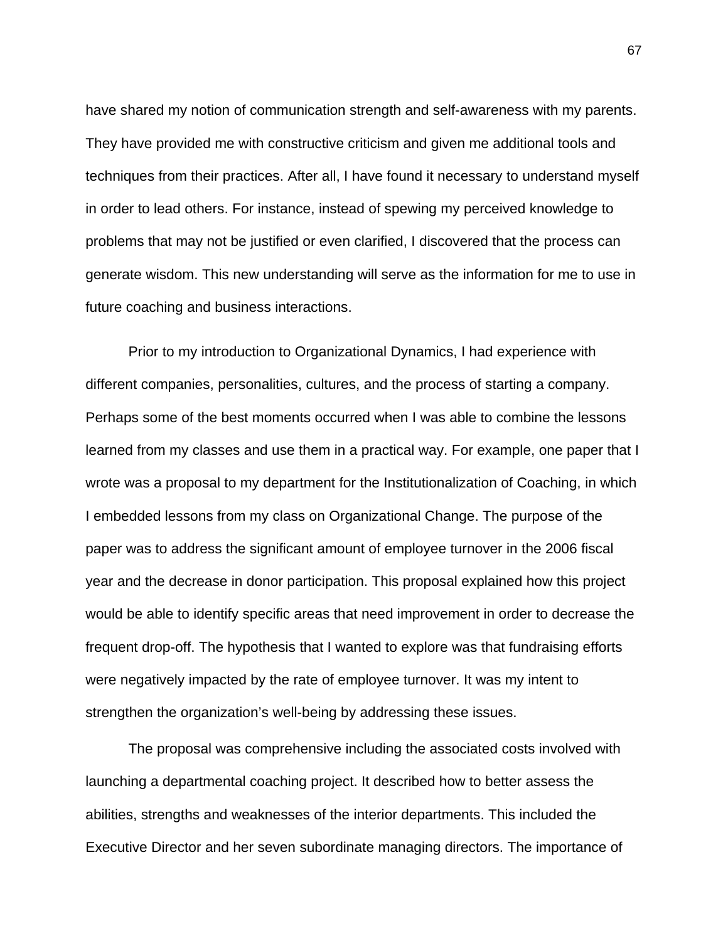have shared my notion of communication strength and self-awareness with my parents. They have provided me with constructive criticism and given me additional tools and techniques from their practices. After all, I have found it necessary to understand myself in order to lead others. For instance, instead of spewing my perceived knowledge to problems that may not be justified or even clarified, I discovered that the process can generate wisdom. This new understanding will serve as the information for me to use in future coaching and business interactions.

 Prior to my introduction to Organizational Dynamics, I had experience with different companies, personalities, cultures, and the process of starting a company. Perhaps some of the best moments occurred when I was able to combine the lessons learned from my classes and use them in a practical way. For example, one paper that I wrote was a proposal to my department for the Institutionalization of Coaching, in which I embedded lessons from my class on Organizational Change. The purpose of the paper was to address the significant amount of employee turnover in the 2006 fiscal year and the decrease in donor participation. This proposal explained how this project would be able to identify specific areas that need improvement in order to decrease the frequent drop-off. The hypothesis that I wanted to explore was that fundraising efforts were negatively impacted by the rate of employee turnover. It was my intent to strengthen the organization's well-being by addressing these issues.

 The proposal was comprehensive including the associated costs involved with launching a departmental coaching project. It described how to better assess the abilities, strengths and weaknesses of the interior departments. This included the Executive Director and her seven subordinate managing directors. The importance of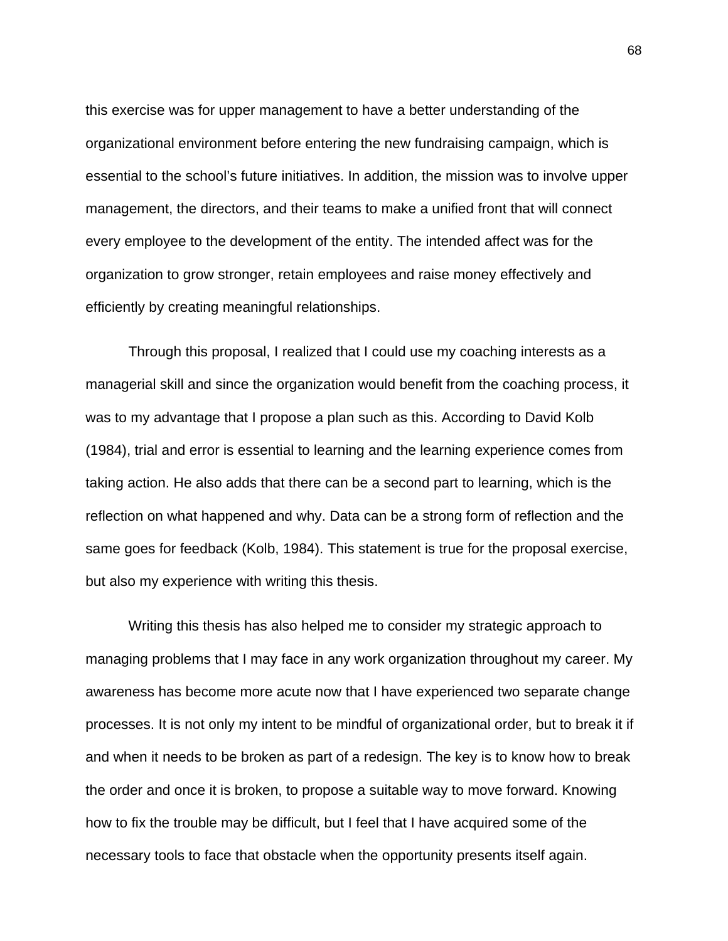this exercise was for upper management to have a better understanding of the organizational environment before entering the new fundraising campaign, which is essential to the school's future initiatives. In addition, the mission was to involve upper management, the directors, and their teams to make a unified front that will connect every employee to the development of the entity. The intended affect was for the organization to grow stronger, retain employees and raise money effectively and efficiently by creating meaningful relationships.

 Through this proposal, I realized that I could use my coaching interests as a managerial skill and since the organization would benefit from the coaching process, it was to my advantage that I propose a plan such as this. According to David Kolb (1984), trial and error is essential to learning and the learning experience comes from taking action. He also adds that there can be a second part to learning, which is the reflection on what happened and why. Data can be a strong form of reflection and the same goes for feedback (Kolb, 1984). This statement is true for the proposal exercise, but also my experience with writing this thesis.

 Writing this thesis has also helped me to consider my strategic approach to managing problems that I may face in any work organization throughout my career. My awareness has become more acute now that I have experienced two separate change processes. It is not only my intent to be mindful of organizational order, but to break it if and when it needs to be broken as part of a redesign. The key is to know how to break the order and once it is broken, to propose a suitable way to move forward. Knowing how to fix the trouble may be difficult, but I feel that I have acquired some of the necessary tools to face that obstacle when the opportunity presents itself again.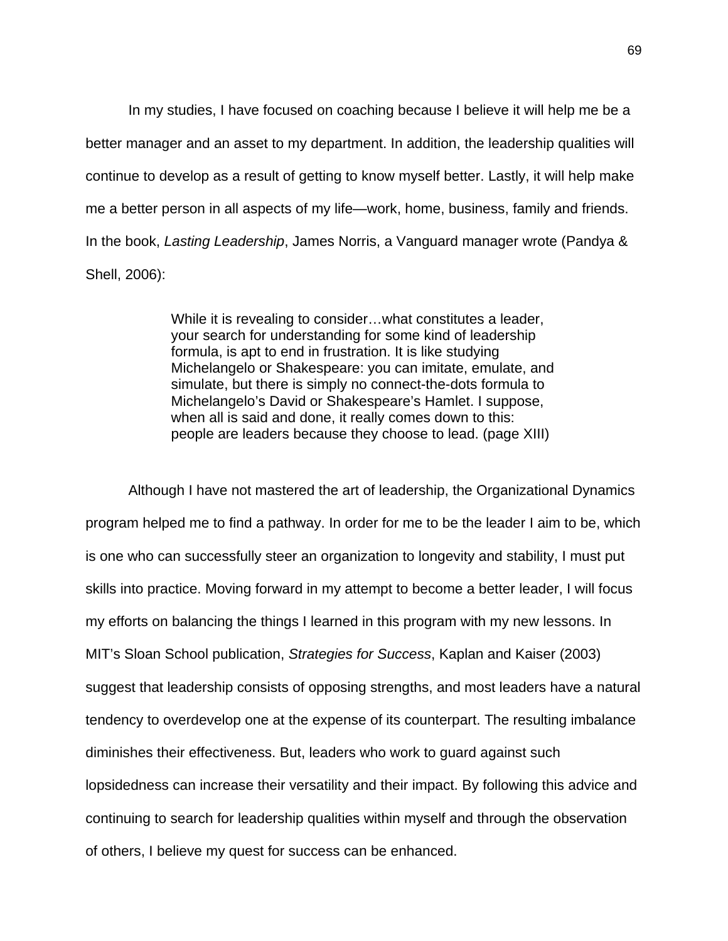In my studies, I have focused on coaching because I believe it will help me be a better manager and an asset to my department. In addition, the leadership qualities will continue to develop as a result of getting to know myself better. Lastly, it will help make me a better person in all aspects of my life—work, home, business, family and friends. In the book, *Lasting Leadership*, James Norris, a Vanguard manager wrote (Pandya & Shell, 2006):

> While it is revealing to consider…what constitutes a leader, your search for understanding for some kind of leadership formula, is apt to end in frustration. It is like studying Michelangelo or Shakespeare: you can imitate, emulate, and simulate, but there is simply no connect-the-dots formula to Michelangelo's David or Shakespeare's Hamlet. I suppose, when all is said and done, it really comes down to this: people are leaders because they choose to lead. (page XIII)

 Although I have not mastered the art of leadership, the Organizational Dynamics program helped me to find a pathway. In order for me to be the leader I aim to be, which is one who can successfully steer an organization to longevity and stability, I must put skills into practice. Moving forward in my attempt to become a better leader, I will focus my efforts on balancing the things I learned in this program with my new lessons. In MIT's Sloan School publication, *Strategies for Success*, Kaplan and Kaiser (2003) suggest that leadership consists of opposing strengths, and most leaders have a natural tendency to overdevelop one at the expense of its counterpart. The resulting imbalance diminishes their effectiveness. But, leaders who work to guard against such lopsidedness can increase their versatility and their impact. By following this advice and continuing to search for leadership qualities within myself and through the observation of others, I believe my quest for success can be enhanced.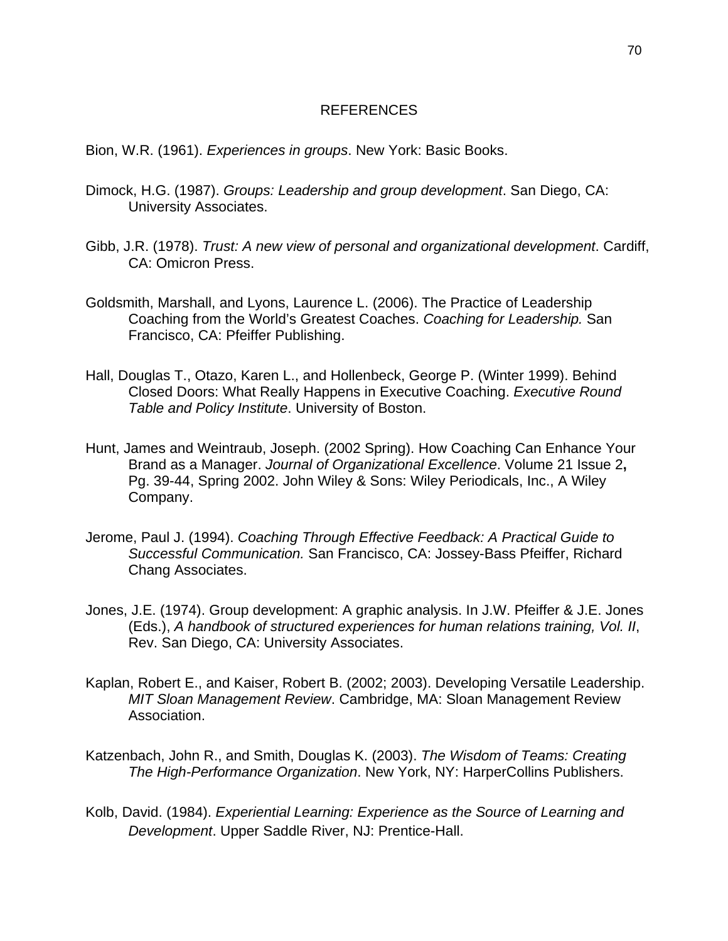#### REFERENCES

Bion, W.R. (1961). *Experiences in groups*. New York: Basic Books.

- Dimock, H.G. (1987). *Groups: Leadership and group development*. San Diego, CA: University Associates.
- Gibb, J.R. (1978). *Trust: A new view of personal and organizational development*. Cardiff, CA: Omicron Press.
- Goldsmith, Marshall, and Lyons, Laurence L. (2006). The Practice of Leadership Coaching from the World's Greatest Coaches. *Coaching for Leadership.* San Francisco, CA: Pfeiffer Publishing.
- Hall, Douglas T., Otazo, Karen L., and Hollenbeck, George P. (Winter 1999). Behind Closed Doors: What Really Happens in Executive Coaching. *Executive Round Table and Policy Institute*. University of Boston.
- Hunt, James and Weintraub, Joseph. (2002 Spring). How Coaching Can Enhance Your Brand as a Manager. *Journal of Organizational Excellence*. Volume 21 Issue 2**,** Pg. 39-44, Spring 2002. John Wiley & Sons: Wiley Periodicals, Inc., A Wiley Company.
- Jerome, Paul J. (1994). *Coaching Through Effective Feedback: A Practical Guide to Successful Communication.* San Francisco, CA: Jossey-Bass Pfeiffer, Richard Chang Associates.
- Jones, J.E. (1974). Group development: A graphic analysis. In J.W. Pfeiffer & J.E. Jones (Eds.), *A handbook of structured experiences for human relations training, Vol. II*, Rev. San Diego, CA: University Associates.
- Kaplan, Robert E., and Kaiser, Robert B. (2002; 2003). Developing Versatile Leadership. *MIT Sloan Management Review*. Cambridge, MA: Sloan Management Review Association.
- Katzenbach, John R., and Smith, Douglas K. (2003). *The Wisdom of Teams: Creating The High-Performance Organization*. New York, NY: HarperCollins Publishers.
- Kolb, David. (1984). *Experiential Learning: Experience as the Source of Learning and Development*. Upper Saddle River, NJ: Prentice-Hall.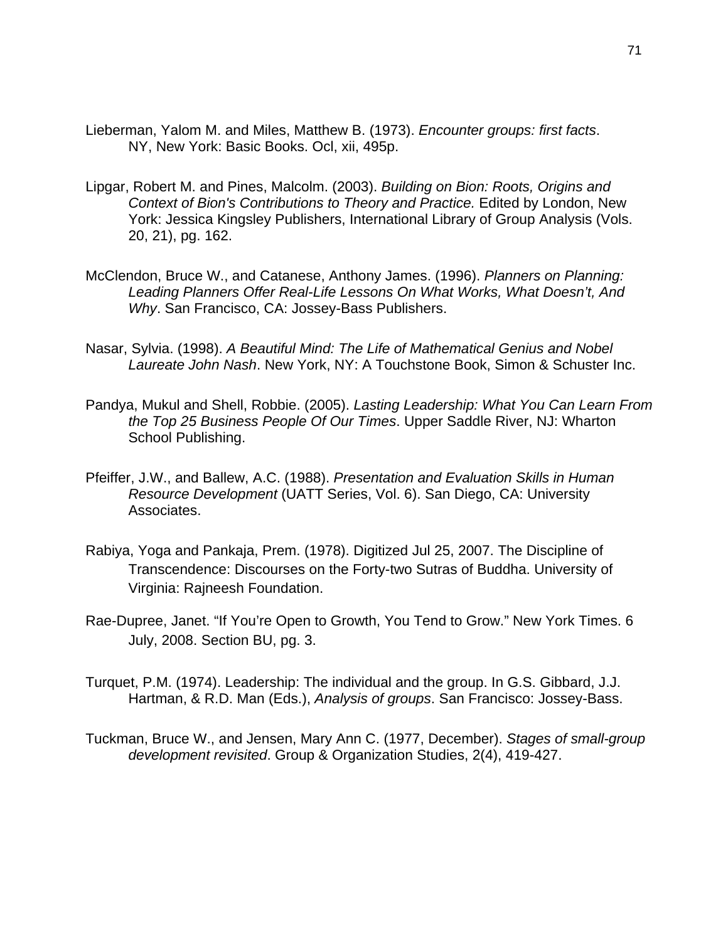- Lieberman, Yalom M. and Miles, Matthew B. (1973). *Encounter groups: first facts*. NY, New York: Basic Books. Ocl, xii, 495p.
- Lipgar, Robert M. and Pines, Malcolm. (2003). *Building on Bion: Roots, Origins and Context of Bion's Contributions to Theory and Practice.* Edited by London, New York: Jessica Kingsley Publishers, International Library of Group Analysis (Vols. 20, 21), pg. 162.
- McClendon, Bruce W., and Catanese, Anthony James. (1996). *Planners on Planning: Leading Planners Offer Real-Life Lessons On What Works, What Doesn't, And Why*. San Francisco, CA: Jossey-Bass Publishers.
- Nasar, Sylvia. (1998). *A Beautiful Mind: The Life of Mathematical Genius and Nobel Laureate John Nash*. New York, NY: A Touchstone Book, Simon & Schuster Inc.
- Pandya, Mukul and Shell, Robbie. (2005). *Lasting Leadership: What You Can Learn From the Top 25 Business People Of Our Times*. Upper Saddle River, NJ: Wharton School Publishing.
- Pfeiffer, J.W., and Ballew, A.C. (1988). *Presentation and Evaluation Skills in Human Resource Development* (UATT Series, Vol. 6). San Diego, CA: University Associates.
- Rabiya, Yoga and Pankaja, Prem. (1978). Digitized Jul 25, 2007. The Discipline of Transcendence: Discourses on the Forty-two Sutras of Buddha. University of Virginia: Rajneesh Foundation.
- Rae-Dupree, Janet. "If You're Open to Growth, You Tend to Grow." New York Times. 6 July, 2008. Section BU, pg. 3.
- Turquet, P.M. (1974). Leadership: The individual and the group. In G.S. Gibbard, J.J. Hartman, & R.D. Man (Eds.), *Analysis of groups*. San Francisco: Jossey-Bass.
- Tuckman, Bruce W., and Jensen, Mary Ann C. (1977, December). *Stages of small-group development revisited*. Group & Organization Studies, 2(4), 419-427.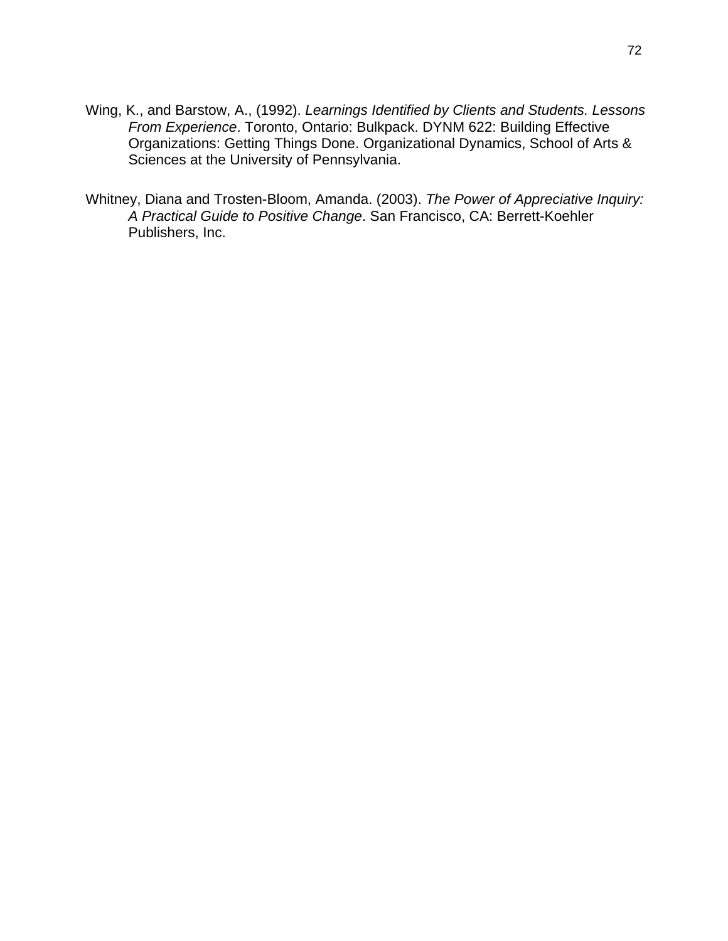- Wing, K., and Barstow, A., (1992). *Learnings Identified by Clients and Students. Lessons From Experience*. Toronto, Ontario: Bulkpack. DYNM 622: Building Effective Organizations: Getting Things Done. Organizational Dynamics, School of Arts & Sciences at the University of Pennsylvania.
- Whitney, Diana and Trosten-Bloom, Amanda. (2003). *The Power of Appreciative Inquiry: A Practical Guide to Positive Change*. San Francisco, CA: Berrett-Koehler Publishers, Inc.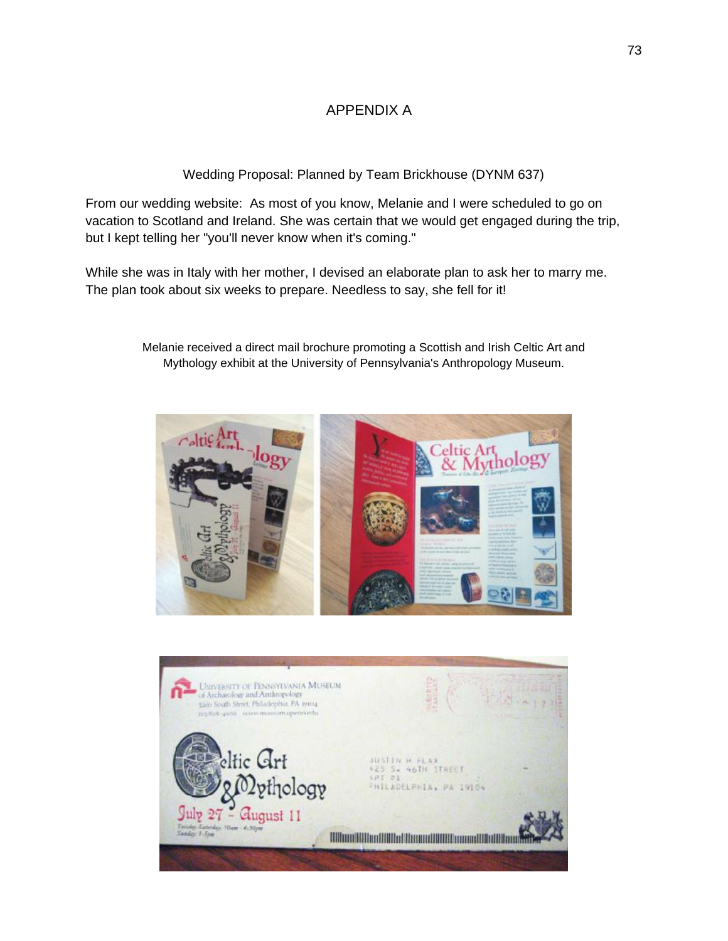### APPENDIX A

Wedding Proposal: Planned by Team Brickhouse (DYNM 637)

From our wedding website: As most of you know, Melanie and I were scheduled to go on vacation to Scotland and Ireland. She was certain that we would get engaged during the trip, but I kept telling her "you'll never know when it's coming."

While she was in Italy with her mother, I devised an elaborate plan to ask her to marry me. The plan took about six weeks to prepare. Needless to say, she fell for it!





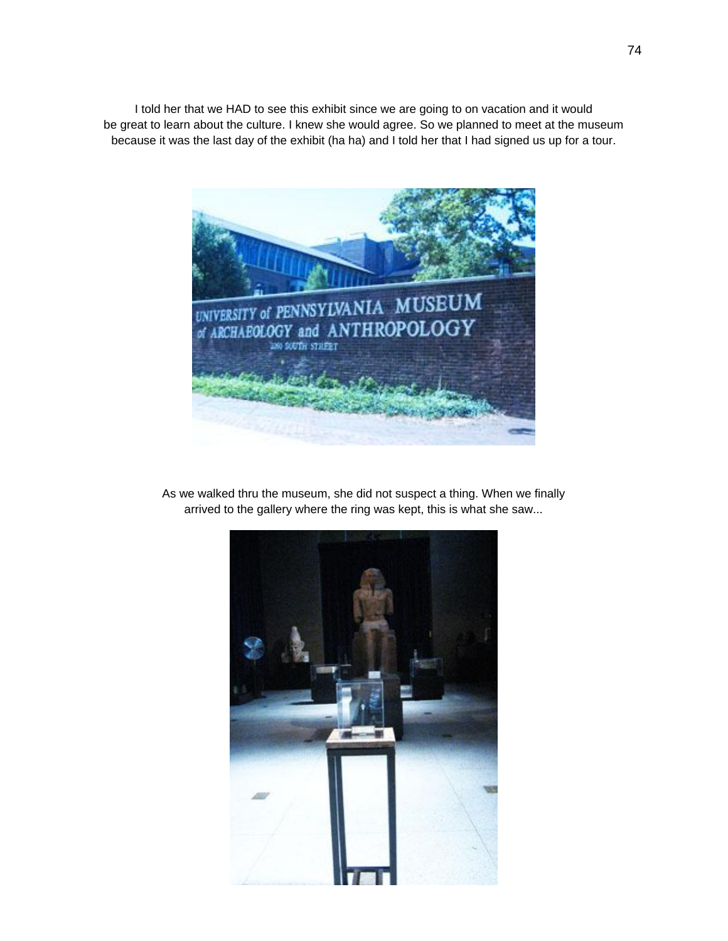I told her that we HAD to see this exhibit since we are going to on vacation and it would be great to learn about the culture. I knew she would agree. So we planned to meet at the museum because it was the last day of the exhibit (ha ha) and I told her that I had signed us up for a tour.



As we walked thru the museum, she did not suspect a thing. When we finally arrived to the gallery where the ring was kept, this is what she saw...

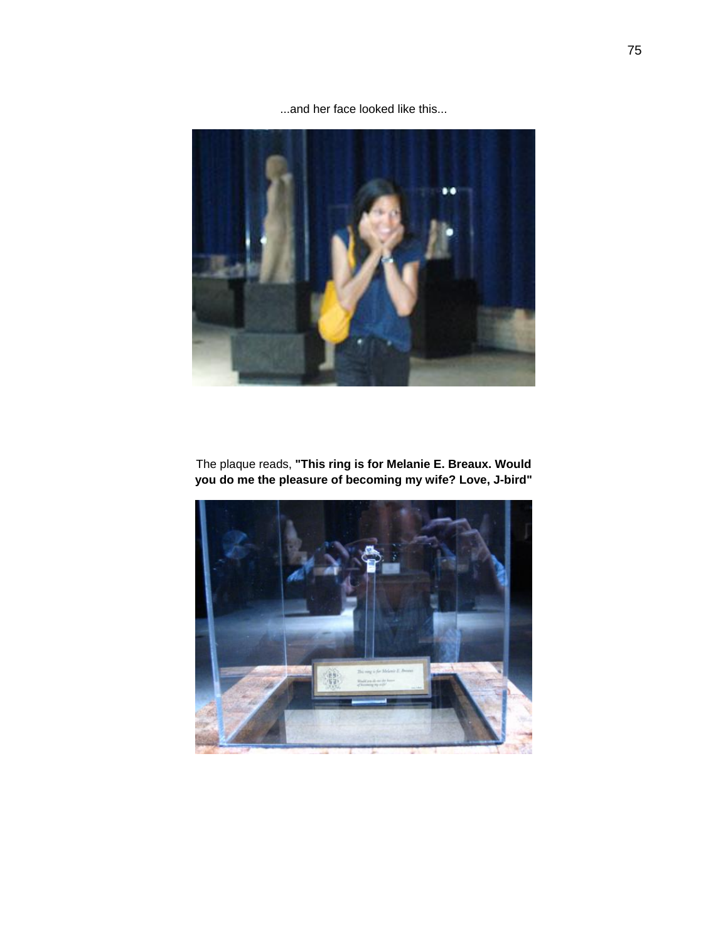...and her face looked like this...



The plaque reads, **"This ring is for Melanie E. Breaux. Would you do me the pleasure of becoming my wife? Love, J-bird"** 

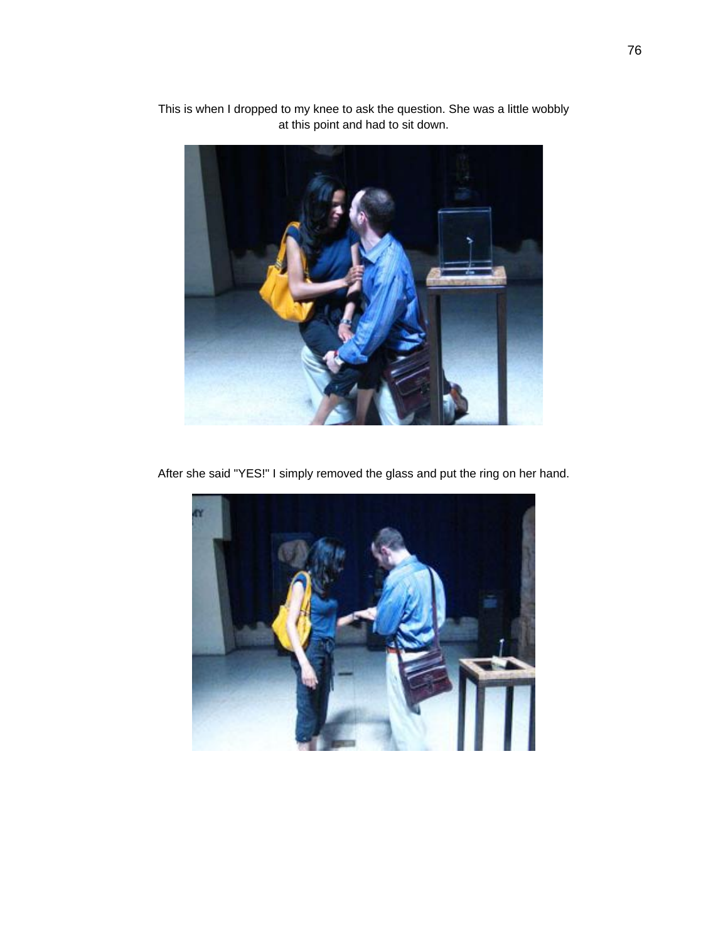

This is when I dropped to my knee to ask the question. She was a little wobbly at this point and had to sit down.

After she said "YES!" I simply removed the glass and put the ring on her hand.

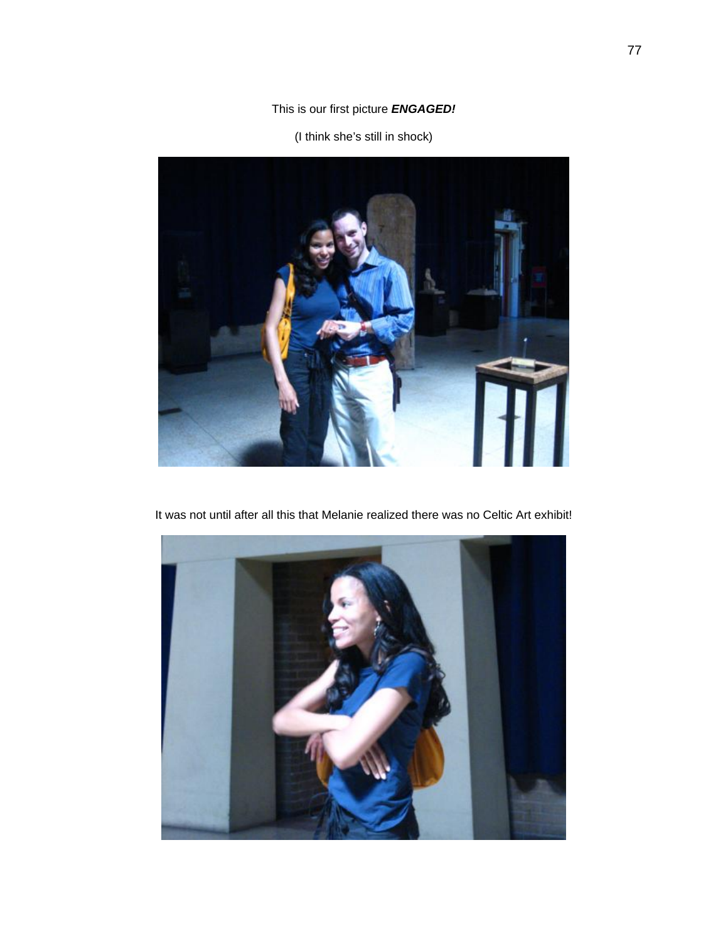### This is our first picture *ENGAGED!*

(I think she's still in shock)



It was not until after all this that Melanie realized there was no Celtic Art exhibit!

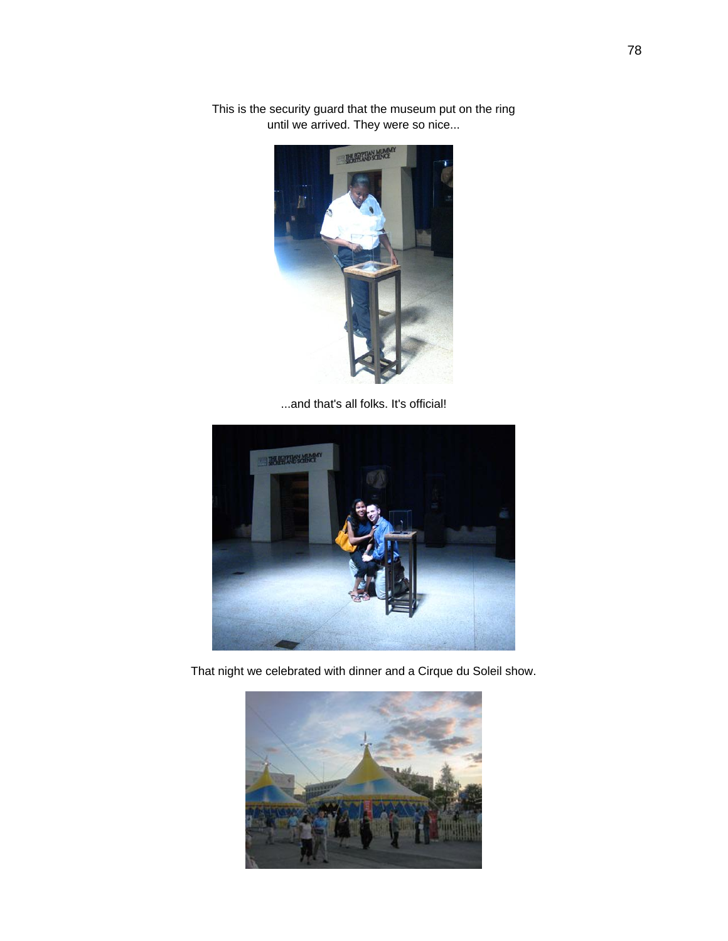

This is the security guard that the museum put on the ring until we arrived. They were so nice...

...and that's all folks. It's official!



That night we celebrated with dinner and a Cirque du Soleil show.

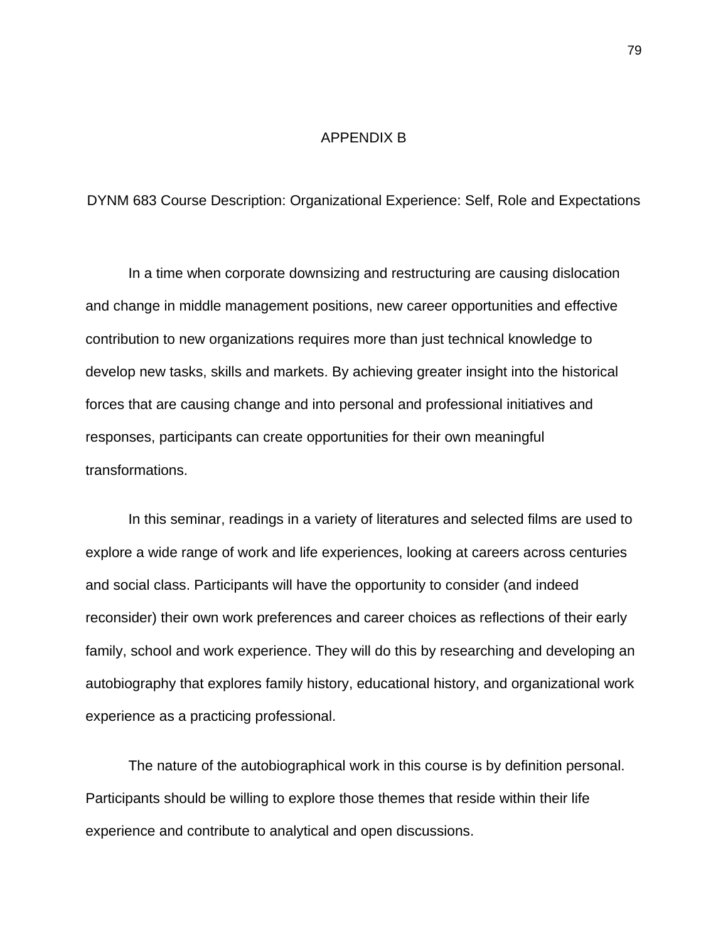#### APPENDIX B

DYNM 683 Course Description: Organizational Experience: Self, Role and Expectations

 In a time when corporate downsizing and restructuring are causing dislocation and change in middle management positions, new career opportunities and effective contribution to new organizations requires more than just technical knowledge to develop new tasks, skills and markets. By achieving greater insight into the historical forces that are causing change and into personal and professional initiatives and responses, participants can create opportunities for their own meaningful transformations.

 In this seminar, readings in a variety of literatures and selected films are used to explore a wide range of work and life experiences, looking at careers across centuries and social class. Participants will have the opportunity to consider (and indeed reconsider) their own work preferences and career choices as reflections of their early family, school and work experience. They will do this by researching and developing an autobiography that explores family history, educational history, and organizational work experience as a practicing professional.

 The nature of the autobiographical work in this course is by definition personal. Participants should be willing to explore those themes that reside within their life experience and contribute to analytical and open discussions.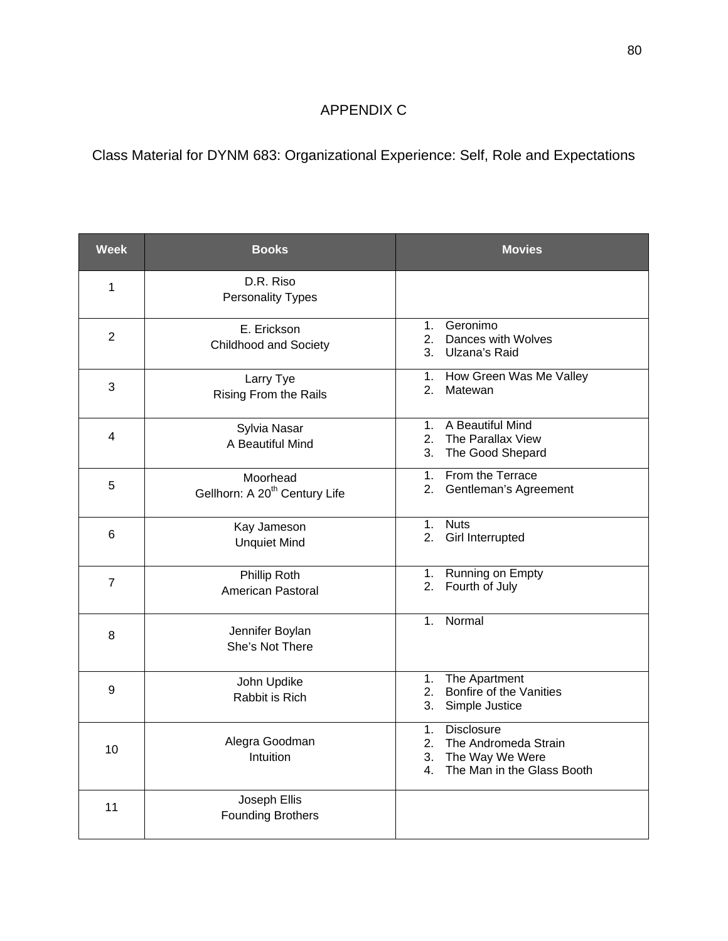## APPENDIX C

Class Material for DYNM 683: Organizational Experience: Self, Role and Expectations

| <b>Week</b>    | <b>Books</b>                                          | <b>Movies</b>                                                                                                               |
|----------------|-------------------------------------------------------|-----------------------------------------------------------------------------------------------------------------------------|
| 1              | D.R. Riso<br>Personality Types                        |                                                                                                                             |
| $\overline{2}$ | E. Erickson<br><b>Childhood and Society</b>           | 1. Geronimo<br>2. Dances with Wolves<br>3. Ulzana's Raid                                                                    |
| 3              | Larry Tye<br><b>Rising From the Rails</b>             | 1. How Green Was Me Valley<br>2.<br>Matewan                                                                                 |
| 4              | Sylvia Nasar<br>A Beautiful Mind                      | 1. A Beautiful Mind<br>The Parallax View<br>$2_{1}$<br>3. The Good Shepard                                                  |
| 5              | Moorhead<br>Gellhorn: A 20 <sup>th</sup> Century Life | From the Terrace<br>$1_{-}$<br>2. Gentleman's Agreement                                                                     |
| 6              | Kay Jameson<br><b>Unquiet Mind</b>                    | <b>Nuts</b><br>$1_{-}$<br>2.<br>Girl Interrupted                                                                            |
| $\overline{7}$ | Phillip Roth<br>American Pastoral                     | Running on Empty<br>1.<br>Fourth of July<br>2.                                                                              |
| 8              | Jennifer Boylan<br>She's Not There                    | Normal<br>1 <sup>1</sup>                                                                                                    |
| 9              | John Updike<br>Rabbit is Rich                         | The Apartment<br>1.<br>Bonfire of the Vanities<br>2.<br>Simple Justice<br>3.                                                |
| 10             | Alegra Goodman<br>Intuition                           | <b>Disclosure</b><br>1 <sub>1</sub><br>The Andromeda Strain<br>2.<br>3.<br>The Way We Were<br>4. The Man in the Glass Booth |
| 11             | Joseph Ellis<br><b>Founding Brothers</b>              |                                                                                                                             |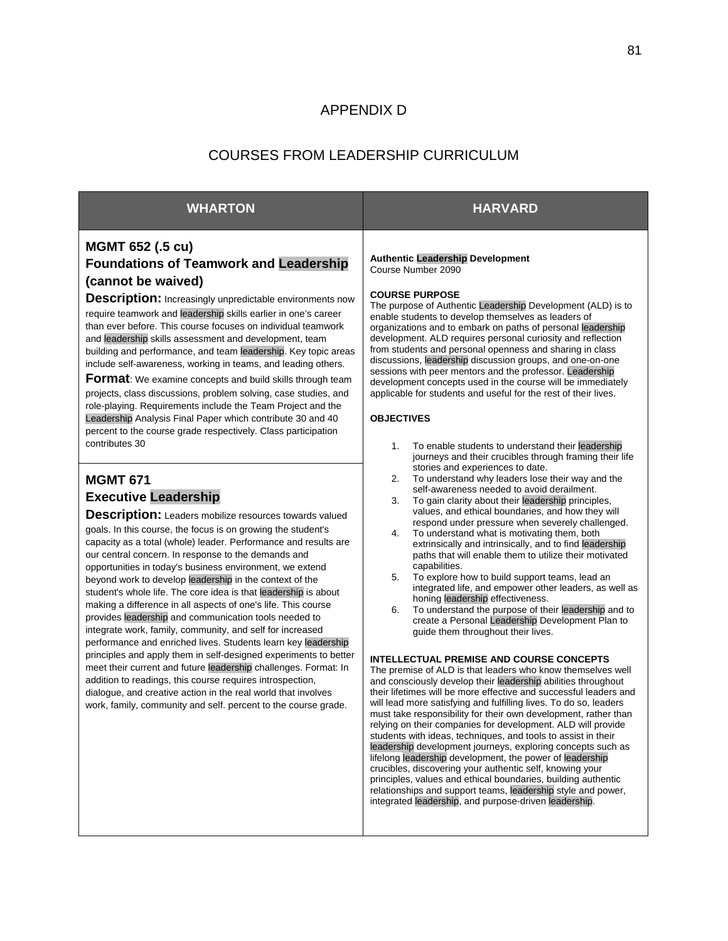#### APPENDIX D

#### COURSES FROM LEADERSHIP CURRICULUM

#### **WHARTON HARVARD**

#### **MGMT 652 (.5 cu) Foundations of Teamwork and Leadership (cannot be waived)**

**Description:** Increasingly unpredictable environments now require teamwork and leadership skills earlier in one's career than ever before. This course focuses on individual teamwork and leadership skills assessment and development, team building and performance, and team leadership. Key topic areas include self-awareness, working in teams, and leading others.

**Format**: We examine concepts and build skills through team

projects, class discussions, problem solving, case studies, and role-playing. Requirements include the Team Project and the Leadership Analysis Final Paper which contribute 30 and 40 percent to the course grade respectively. Class participation contributes 30

#### **MGMT 671 Executive Leadership**

**Description:** Leaders mobilize resources towards valued goals. In this course, the focus is on growing the student's capacity as a total (whole) leader. Performance and results are our central concern. In response to the demands and opportunities in today's business environment, we extend beyond work to develop leadership in the context of the student's whole life. The core idea is that leadership is about making a difference in all aspects of one's life. This course provides leadership and communication tools needed to integrate work, family, community, and self for increased performance and enriched lives. Students learn key leadership principles and apply them in self-designed experiments to better meet their current and future leadership challenges. Format: In addition to readings, this course requires introspection, dialogue, and creative action in the real world that involves work, family, community and self. percent to the course grade.

**Authentic Leadership Development**  Course Number 2090

#### **COURSE PURPOSE**

The purpose of Authentic Leadership Development (ALD) is to enable students to develop themselves as leaders of organizations and to embark on paths of personal leadership development. ALD requires personal curiosity and reflection from students and personal openness and sharing in class discussions, leadership discussion groups, and one-on-one sessions with peer mentors and the professor. Leadership development concepts used in the course will be immediately applicable for students and useful for the rest of their lives.

#### **OBJECTIVES**

- 1. To enable students to understand their leadership journeys and their crucibles through framing their life stories and experiences to date.
- 2. To understand why leaders lose their way and the self-awareness needed to avoid derailment.
- 3. To gain clarity about their leadership principles, values, and ethical boundaries, and how they will respond under pressure when severely challenged.
- 4. To understand what is motivating them, both extrinsically and intrinsically, and to find leadership paths that will enable them to utilize their motivated capabilities.
- 5. To explore how to build support teams, lead an integrated life, and empower other leaders, as well as honing leadership effectiveness.
- 6. To understand the purpose of their leadership and to create a Personal Leadership Development Plan to guide them throughout their lives.

#### **INTELLECTUAL PREMISE AND COURSE CONCEPTS**

The premise of ALD is that leaders who know themselves well and consciously develop their leadership abilities throughout their lifetimes will be more effective and successful leaders and will lead more satisfying and fulfilling lives. To do so, leaders must take responsibility for their own development, rather than relying on their companies for development. ALD will provide students with ideas, techniques, and tools to assist in their leadership development journeys, exploring concepts such as lifelong leadership development, the power of leadership crucibles, discovering your authentic self, knowing your principles, values and ethical boundaries, building authentic relationships and support teams, leadership style and power, integrated leadership, and purpose-driven leadership.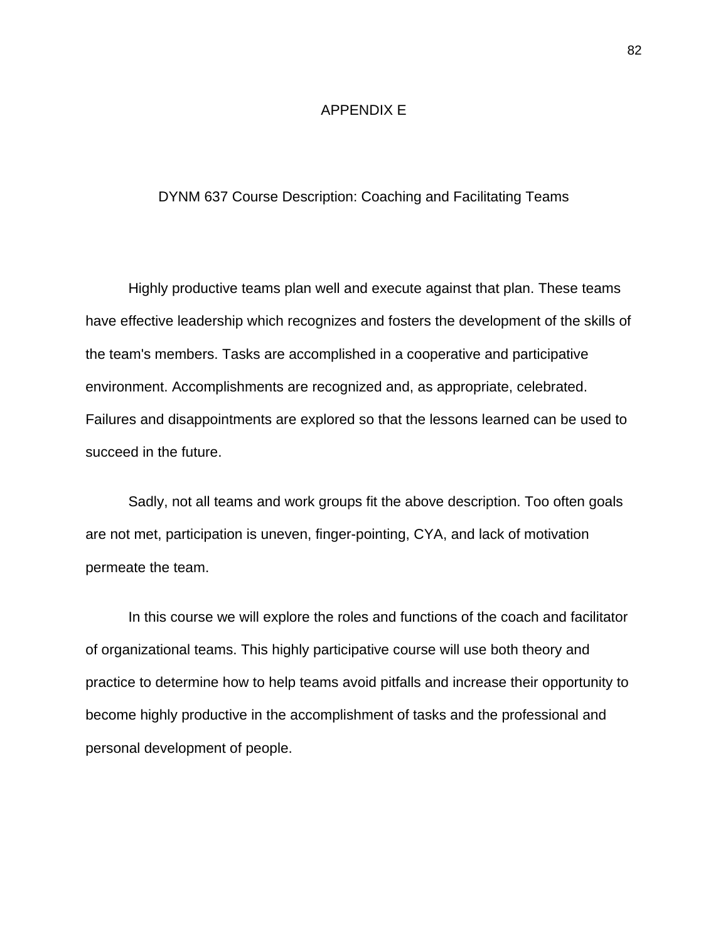#### APPENDIX E

#### DYNM 637 Course Description: Coaching and Facilitating Teams

 Highly productive teams plan well and execute against that plan. These teams have effective leadership which recognizes and fosters the development of the skills of the team's members. Tasks are accomplished in a cooperative and participative environment. Accomplishments are recognized and, as appropriate, celebrated. Failures and disappointments are explored so that the lessons learned can be used to succeed in the future.

 Sadly, not all teams and work groups fit the above description. Too often goals are not met, participation is uneven, finger-pointing, CYA, and lack of motivation permeate the team.

In this course we will explore the roles and functions of the coach and facilitator of organizational teams. This highly participative course will use both theory and practice to determine how to help teams avoid pitfalls and increase their opportunity to become highly productive in the accomplishment of tasks and the professional and personal development of people.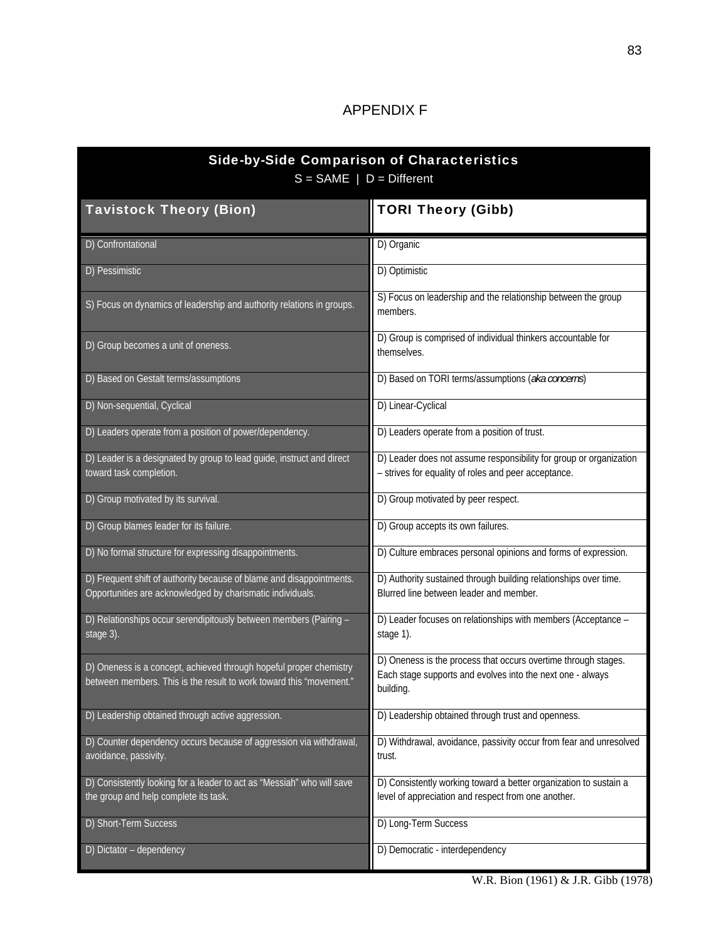## APPENDIX F

| <b>Side-by-Side Comparison of Characteristics</b><br>$S = SAME \mid D = Different$                                                        |                                                                                                                                           |  |  |  |
|-------------------------------------------------------------------------------------------------------------------------------------------|-------------------------------------------------------------------------------------------------------------------------------------------|--|--|--|
| <b>Tavistock Theory (Bion)</b>                                                                                                            | <b>TORI Theory (Gibb)</b>                                                                                                                 |  |  |  |
| D) Confrontational                                                                                                                        | D) Organic                                                                                                                                |  |  |  |
| D) Pessimistic                                                                                                                            | D) Optimistic                                                                                                                             |  |  |  |
| S) Focus on dynamics of leadership and authority relations in groups.                                                                     | S) Focus on leadership and the relationship between the group<br>members.                                                                 |  |  |  |
| D) Group becomes a unit of oneness.                                                                                                       | D) Group is comprised of individual thinkers accountable for<br>themselves.                                                               |  |  |  |
| D) Based on Gestalt terms/assumptions                                                                                                     | D) Based on TORI terms/assumptions (aka concerns)                                                                                         |  |  |  |
| D) Non-sequential, Cyclical                                                                                                               | D) Linear-Cyclical                                                                                                                        |  |  |  |
| D) Leaders operate from a position of power/dependency.                                                                                   | D) Leaders operate from a position of trust.                                                                                              |  |  |  |
| D) Leader is a designated by group to lead guide, instruct and direct<br>toward task completion.                                          | D) Leader does not assume responsibility for group or organization<br>- strives for equality of roles and peer acceptance.                |  |  |  |
| D) Group motivated by its survival.                                                                                                       | D) Group motivated by peer respect.                                                                                                       |  |  |  |
| D) Group blames leader for its failure.                                                                                                   | D) Group accepts its own failures.                                                                                                        |  |  |  |
| D) No formal structure for expressing disappointments.                                                                                    | D) Culture embraces personal opinions and forms of expression.                                                                            |  |  |  |
| D) Frequent shift of authority because of blame and disappointments.<br>Opportunities are acknowledged by charismatic individuals.        | D) Authority sustained through building relationships over time.<br>Blurred line between leader and member.                               |  |  |  |
| D) Relationships occur serendipitously between members (Pairing -<br>stage 3).                                                            | D) Leader focuses on relationships with members (Acceptance -<br>stage 1).                                                                |  |  |  |
| D) Oneness is a concept, achieved through hopeful proper chemistry<br>between members. This is the result to work toward this "movement." | D) Oneness is the process that occurs overtime through stages.<br>Each stage supports and evolves into the next one - always<br>building. |  |  |  |
| D) Leadership obtained through active aggression.                                                                                         | D) Leadership obtained through trust and openness.                                                                                        |  |  |  |
| D) Counter dependency occurs because of aggression via withdrawal,<br>avoidance, passivity.                                               | D) Withdrawal, avoidance, passivity occur from fear and unresolved<br>trust.                                                              |  |  |  |
| D) Consistently looking for a leader to act as "Messiah" who will save<br>the group and help complete its task.                           | D) Consistently working toward a better organization to sustain a<br>level of appreciation and respect from one another.                  |  |  |  |
| D) Short-Term Success                                                                                                                     | D) Long-Term Success                                                                                                                      |  |  |  |
| D) Dictator - dependency                                                                                                                  | D) Democratic - interdependency                                                                                                           |  |  |  |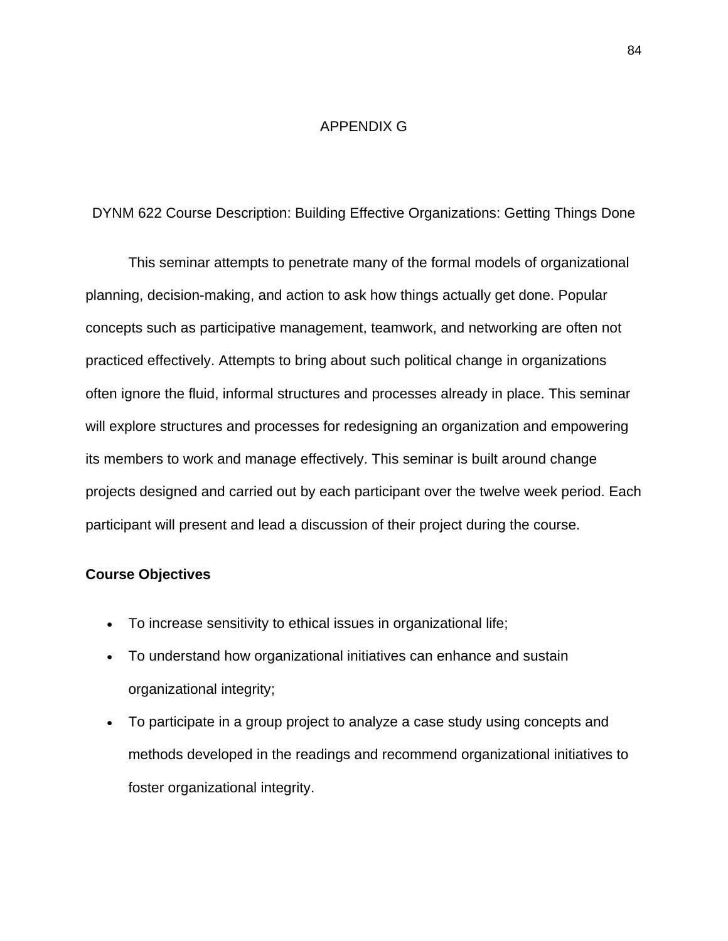#### APPENDIX G

#### DYNM 622 Course Description: Building Effective Organizations: Getting Things Done

 This seminar attempts to penetrate many of the formal models of organizational planning, decision-making, and action to ask how things actually get done. Popular concepts such as participative management, teamwork, and networking are often not practiced effectively. Attempts to bring about such political change in organizations often ignore the fluid, informal structures and processes already in place. This seminar will explore structures and processes for redesigning an organization and empowering its members to work and manage effectively. This seminar is built around change projects designed and carried out by each participant over the twelve week period. Each participant will present and lead a discussion of their project during the course.

#### **Course Objectives**

- To increase sensitivity to ethical issues in organizational life;
- To understand how organizational initiatives can enhance and sustain organizational integrity;
- To participate in a group project to analyze a case study using concepts and methods developed in the readings and recommend organizational initiatives to foster organizational integrity.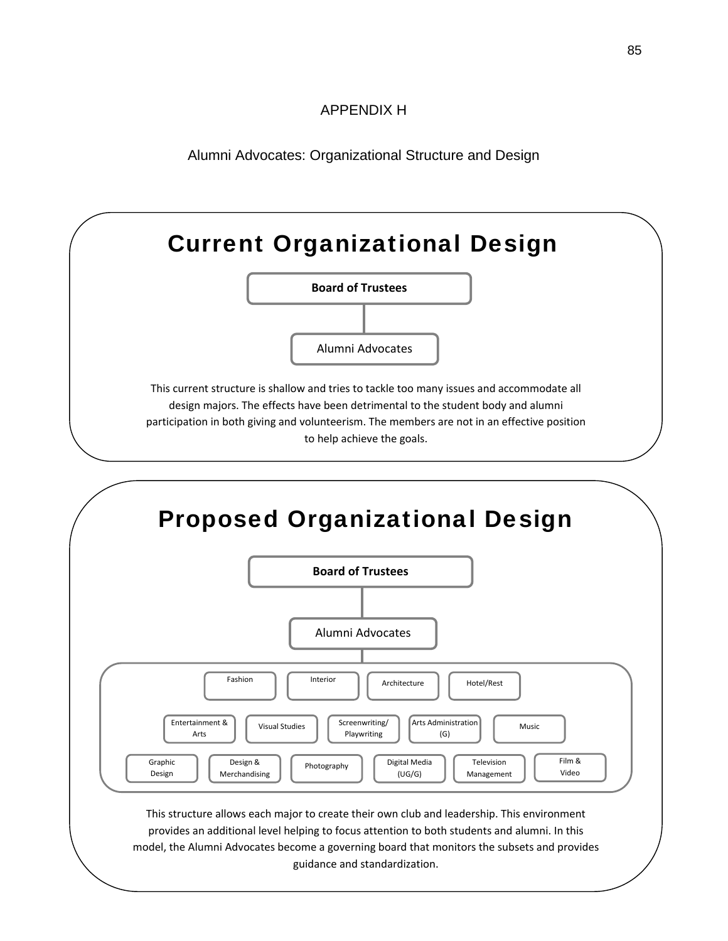### APPENDIX H

Alumni Advocates: Organizational Structure and Design



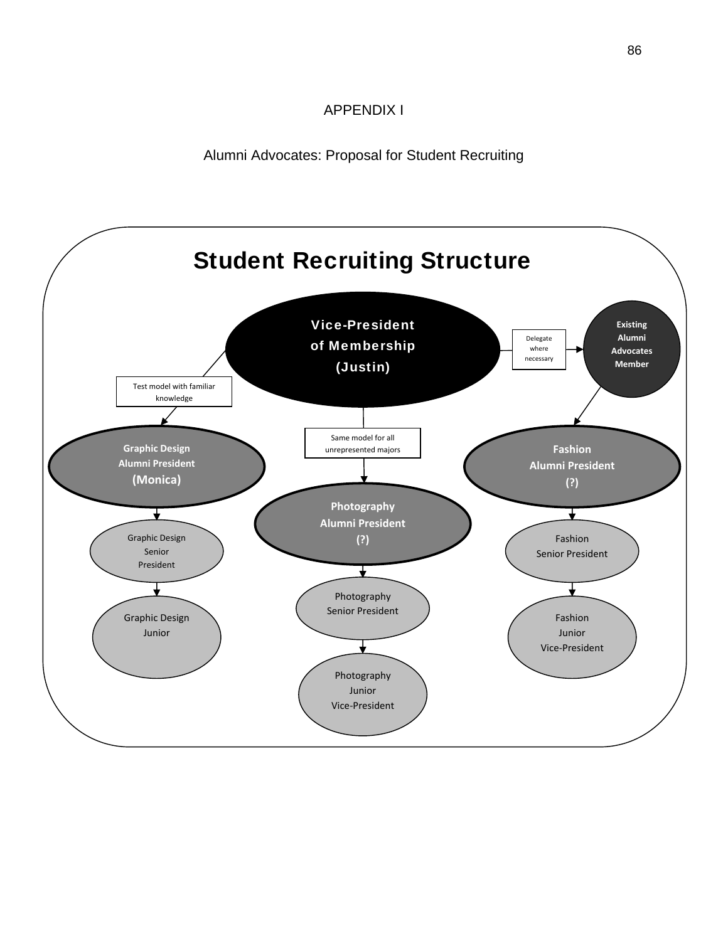### APPENDIX I

Alumni Advocates: Proposal for Student Recruiting

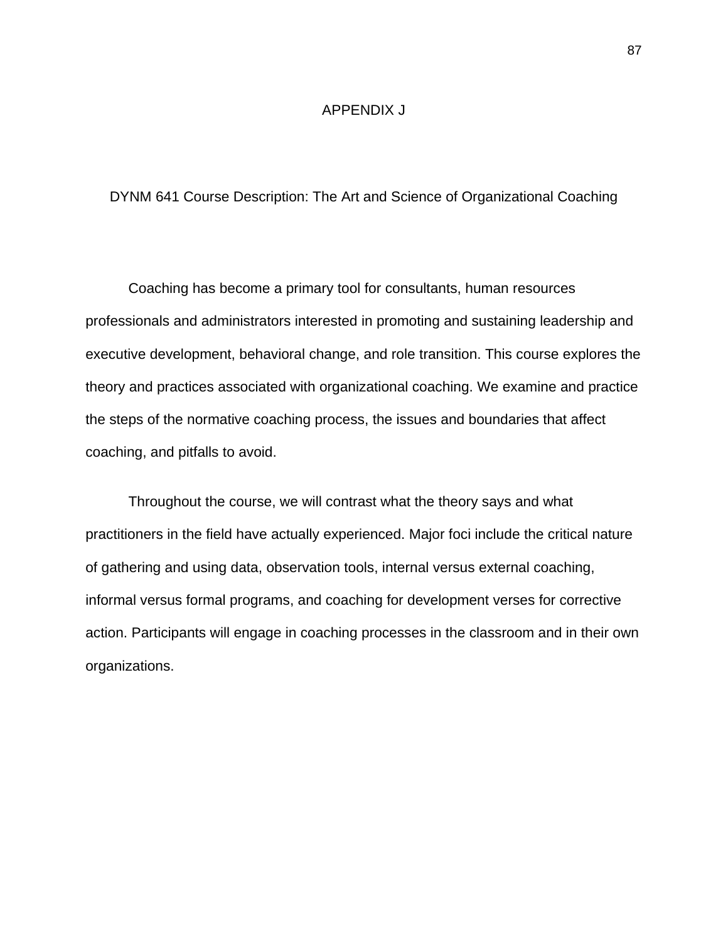#### APPENDIX J

#### DYNM 641 Course Description: The Art and Science of Organizational Coaching

 Coaching has become a primary tool for consultants, human resources professionals and administrators interested in promoting and sustaining leadership and executive development, behavioral change, and role transition. This course explores the theory and practices associated with organizational coaching. We examine and practice the steps of the normative coaching process, the issues and boundaries that affect coaching, and pitfalls to avoid.

 Throughout the course, we will contrast what the theory says and what practitioners in the field have actually experienced. Major foci include the critical nature of gathering and using data, observation tools, internal versus external coaching, informal versus formal programs, and coaching for development verses for corrective action. Participants will engage in coaching processes in the classroom and in their own organizations.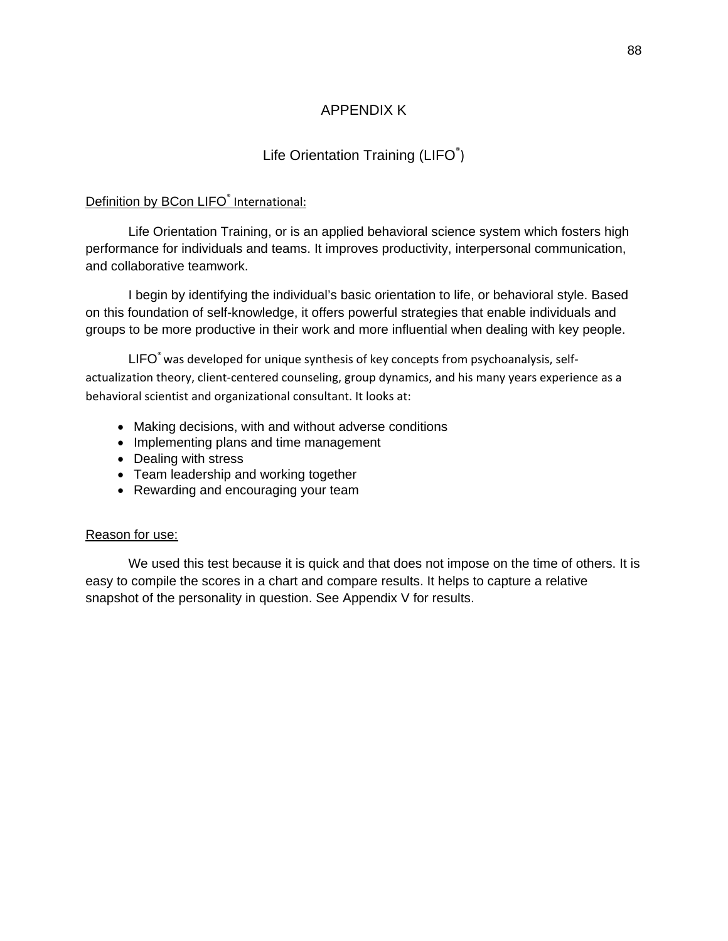### APPENDIX K

## Life Orientation Training (LIFO®)

#### Definition by BCon LIFO® International:

 Life Orientation Training, or is an applied behavioral science system which fosters high performance for individuals and teams. It improves productivity, interpersonal communication, and collaborative teamwork.

 I begin by identifying the individual's basic orientation to life, or behavioral style. Based on this foundation of self-knowledge, it offers powerful strategies that enable individuals and groups to be more productive in their work and more influential when dealing with key people.

LIFO<sup>®</sup> was developed for unique synthesis of key concepts from psychoanalysis, selfactualization theory, client‐centered counseling, group dynamics, and his many years experience as a behavioral scientist and organizational consultant. It looks at:

- Making decisions, with and without adverse conditions
- Implementing plans and time management
- Dealing with stress
- Team leadership and working together
- Rewarding and encouraging your team

#### Reason for use:

 We used this test because it is quick and that does not impose on the time of others. It is easy to compile the scores in a chart and compare results. It helps to capture a relative snapshot of the personality in question. See Appendix V for results.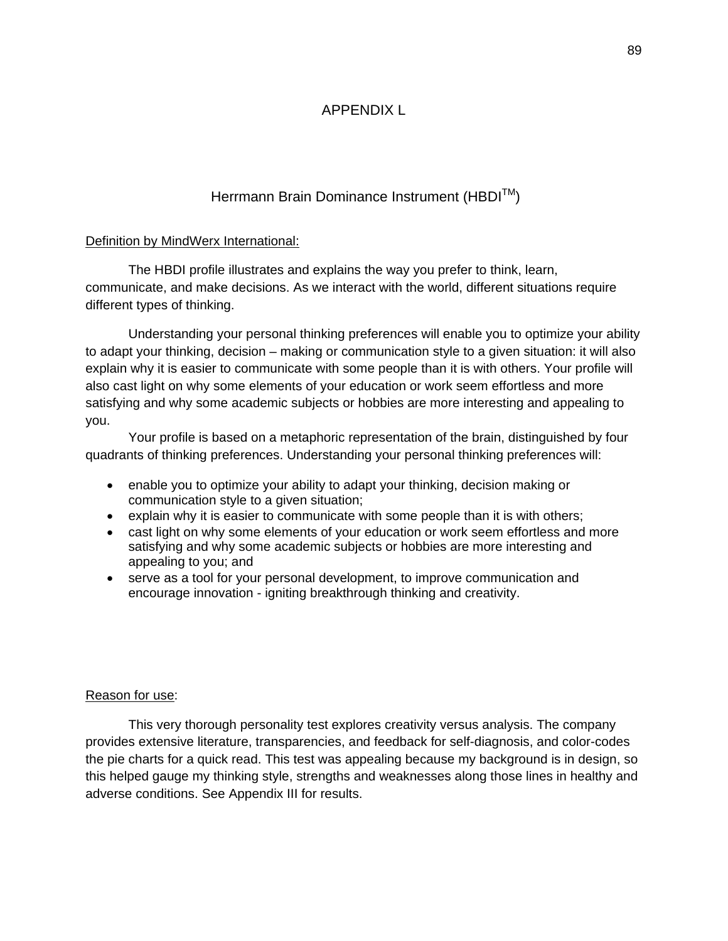### APPENDIX L

### Herrmann Brain Dominance Instrument (HBDI™)

#### Definition by MindWerx International:

 The HBDI profile illustrates and explains the way you prefer to think, learn, communicate, and make decisions. As we interact with the world, different situations require different types of thinking.

 Understanding your personal thinking preferences will enable you to optimize your ability to adapt your thinking, decision – making or communication style to a given situation: it will also explain why it is easier to communicate with some people than it is with others. Your profile will also cast light on why some elements of your education or work seem effortless and more satisfying and why some academic subjects or hobbies are more interesting and appealing to you.

 Your profile is based on a metaphoric representation of the brain, distinguished by four quadrants of thinking preferences. Understanding your personal thinking preferences will:

- enable you to optimize your ability to adapt your thinking, decision making or communication style to a given situation;
- explain why it is easier to communicate with some people than it is with others;
- cast light on why some elements of your education or work seem effortless and more satisfying and why some academic subjects or hobbies are more interesting and appealing to you; and
- serve as a tool for your personal development, to improve communication and encourage innovation - igniting breakthrough thinking and creativity.

#### Reason for use:

 This very thorough personality test explores creativity versus analysis. The company provides extensive literature, transparencies, and feedback for self-diagnosis, and color-codes the pie charts for a quick read. This test was appealing because my background is in design, so this helped gauge my thinking style, strengths and weaknesses along those lines in healthy and adverse conditions. See Appendix III for results.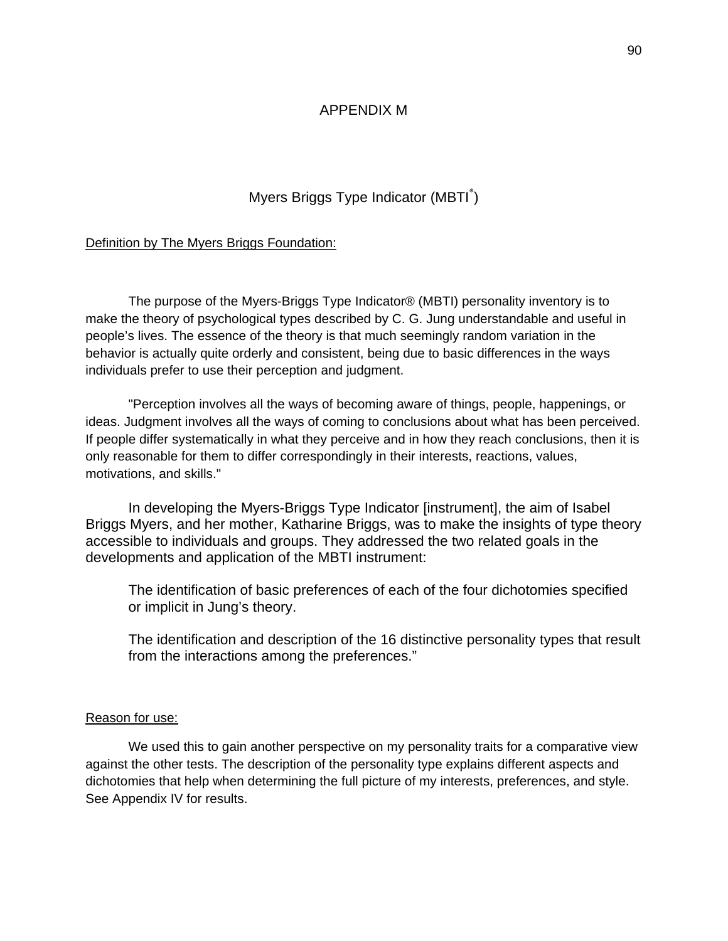#### APPENDIX M

### Myers Briggs Type Indicator (MBTI<sup>®</sup>)

#### Definition by The Myers Briggs Foundation:

The purpose of the Myers-Briggs Type Indicator® (MBTI) personality inventory is to make the theory of psychological types described by C. G. Jung understandable and useful in people's lives. The essence of the theory is that much seemingly random variation in the behavior is actually quite orderly and consistent, being due to basic differences in the ways individuals prefer to use their perception and judgment.

"Perception involves all the ways of becoming aware of things, people, happenings, or ideas. Judgment involves all the ways of coming to conclusions about what has been perceived. If people differ systematically in what they perceive and in how they reach conclusions, then it is only reasonable for them to differ correspondingly in their interests, reactions, values, motivations, and skills."

In developing the Myers-Briggs Type Indicator [instrument], the aim of Isabel Briggs Myers, and her mother, Katharine Briggs, was to make the insights of type theory accessible to individuals and groups. They addressed the two related goals in the developments and application of the MBTI instrument:

The identification of basic preferences of each of the four dichotomies specified or implicit in Jung's theory.

The identification and description of the 16 distinctive personality types that result from the interactions among the preferences."

#### Reason for use:

 We used this to gain another perspective on my personality traits for a comparative view against the other tests. The description of the personality type explains different aspects and dichotomies that help when determining the full picture of my interests, preferences, and style. See Appendix IV for results.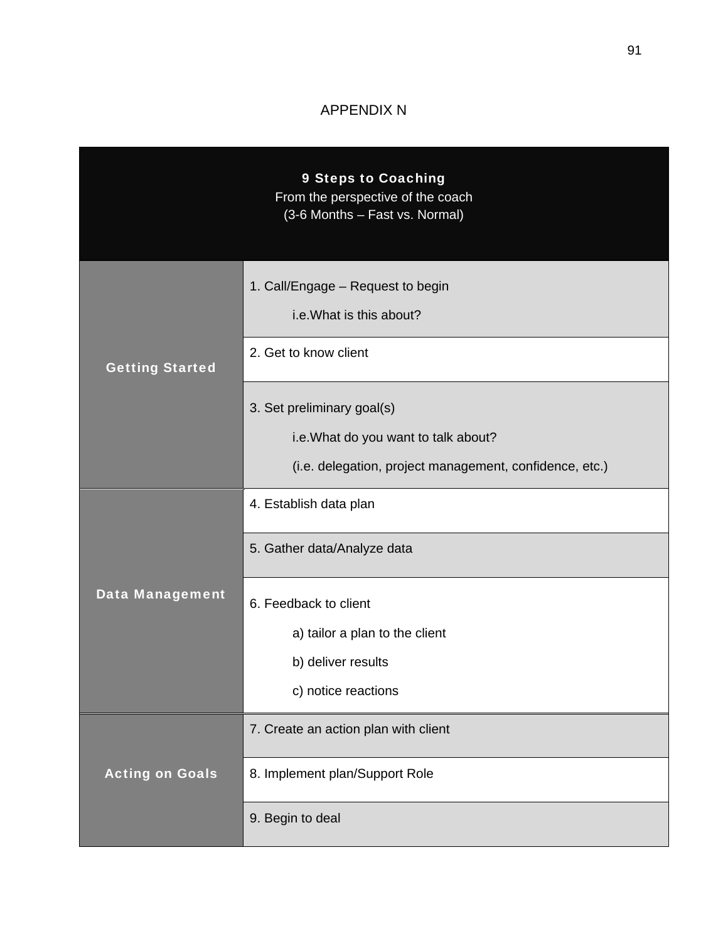### APPENDIX N

|                        | <b>9 Steps to Coaching</b><br>From the perspective of the coach<br>(3-6 Months - Fast vs. Normal) |
|------------------------|---------------------------------------------------------------------------------------------------|
|                        | 1. Call/Engage - Request to begin<br>i.e. What is this about?                                     |
| <b>Getting Started</b> | 2. Get to know client                                                                             |
|                        | 3. Set preliminary goal(s)                                                                        |
|                        | i.e. What do you want to talk about?                                                              |
|                        | (i.e. delegation, project management, confidence, etc.)                                           |
|                        | 4. Establish data plan                                                                            |
|                        | 5. Gather data/Analyze data                                                                       |
| <b>Data Management</b> | 6. Feedback to client                                                                             |
|                        | a) tailor a plan to the client                                                                    |
|                        | b) deliver results                                                                                |
|                        | c) notice reactions                                                                               |
|                        | 7. Create an action plan with client                                                              |
| <b>Acting on Goals</b> | 8. Implement plan/Support Role                                                                    |
|                        | 9. Begin to deal                                                                                  |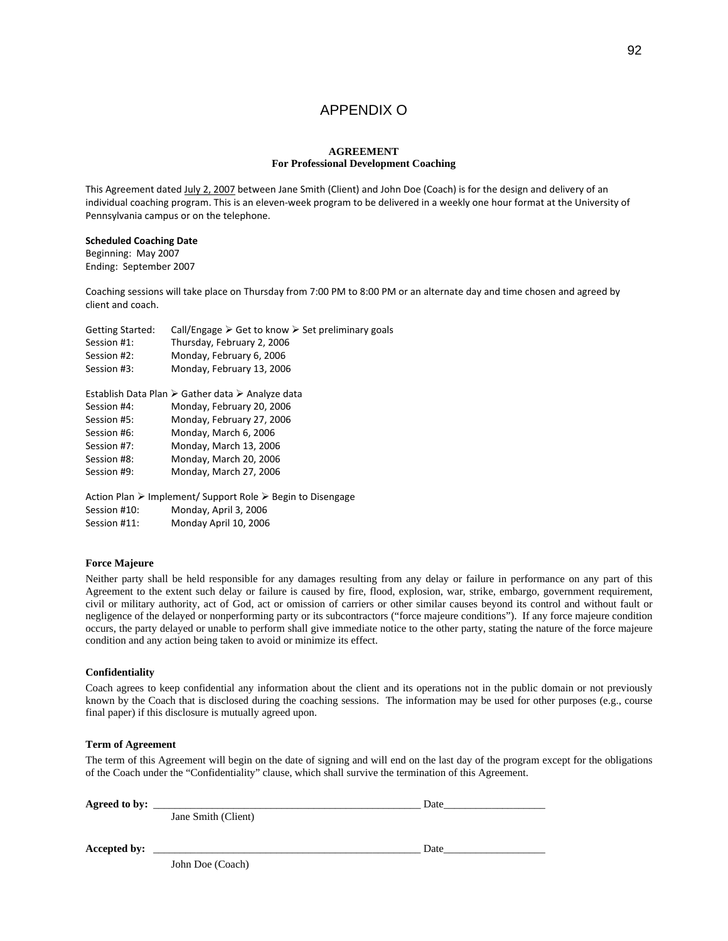#### APPENDIX O

#### **AGREEMENT For Professional Development Coaching**

This Agreement dated July 2, 2007 between Jane Smith (Client) and John Doe (Coach) is for the design and delivery of an individual coaching program. This is an eleven-week program to be delivered in a weekly one hour format at the University of Pennsylvania campus or on the telephone.

#### **Scheduled Coaching Date**

Beginning: May 2007 Ending: September 2007

Coaching sessions will take place on Thursday from 7:00 PM to 8:00 PM or an alternate day and time chosen and agreed by client and coach.

| <b>Getting Started:</b> | Call/Engage $\triangleright$ Get to know $\triangleright$ Set preliminary goals |
|-------------------------|---------------------------------------------------------------------------------|
| Session #1:             | Thursday, February 2, 2006                                                      |
| Session #2:             | Monday, February 6, 2006                                                        |
| Session #3:             | Monday, February 13, 2006                                                       |
|                         | Establish Data Plan > Gather data > Analyze data                                |
| Session #4:             | Monday, February 20, 2006                                                       |
| Session #5:             | Monday, February 27, 2006                                                       |
| Session #6:             | Monday, March 6, 2006                                                           |
| Session #7:             | Monday, March 13, 2006                                                          |
| Session #8:             | Monday, March 20, 2006                                                          |
| Session #9:             | Monday, March 27, 2006                                                          |
|                         | Action Plan ≻ Implement/ Support Role ≻ Begin to Disengage                      |
| Session #10:            | Monday, April 3, 2006                                                           |
| Session #11:            | Monday April 10, 2006                                                           |

#### **Force Majeure**

Neither party shall be held responsible for any damages resulting from any delay or failure in performance on any part of this Agreement to the extent such delay or failure is caused by fire, flood, explosion, war, strike, embargo, government requirement, civil or military authority, act of God, act or omission of carriers or other similar causes beyond its control and without fault or negligence of the delayed or nonperforming party or its subcontractors ("force majeure conditions"). If any force majeure condition occurs, the party delayed or unable to perform shall give immediate notice to the other party, stating the nature of the force majeure condition and any action being taken to avoid or minimize its effect.

#### **Confidentiality**

Coach agrees to keep confidential any information about the client and its operations not in the public domain or not previously known by the Coach that is disclosed during the coaching sessions. The information may be used for other purposes (e.g., course final paper) if this disclosure is mutually agreed upon.

#### **Term of Agreement**

The term of this Agreement will begin on the date of signing and will end on the last day of the program except for the obligations of the Coach under the "Confidentiality" clause, which shall survive the termination of this Agreement.

| Agreed to by: |                     | Date |  |
|---------------|---------------------|------|--|
|               | Jane Smith (Client) |      |  |
| Accepted by:  |                     | Date |  |
|               | John Doe (Coach)    |      |  |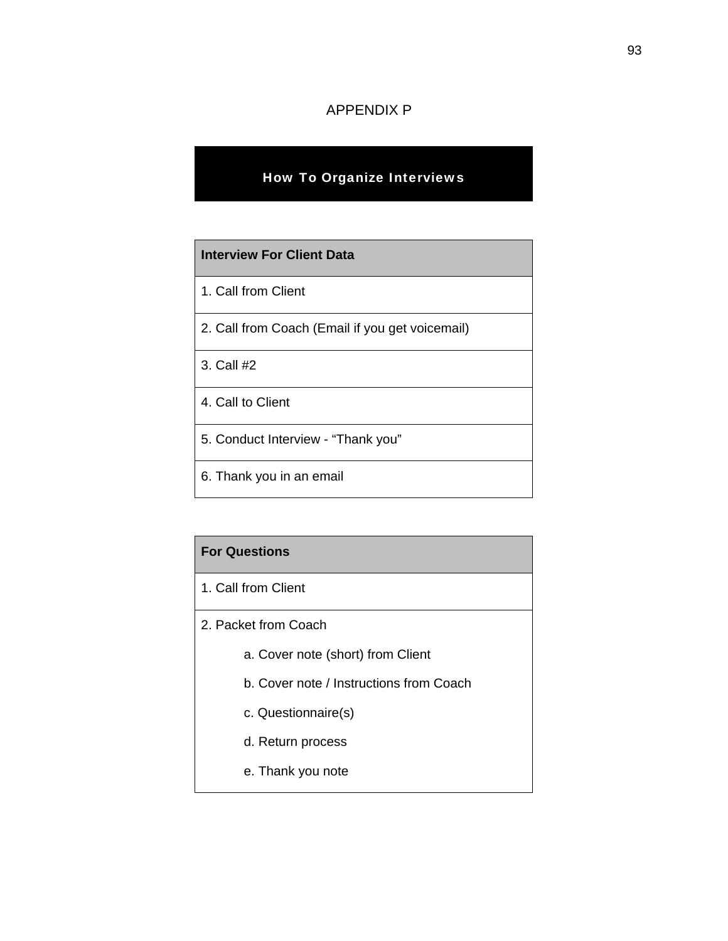### APPENDIX P

### How To Organize Interviews

# **Interview For Client Data** 1. Call from Client

- 2. Call from Coach (Email if you get voicemail)
- 3. Call #2
- 4. Call to Client
- 5. Conduct Interview "Thank you"
- 6. Thank you in an email

### **For Questions**

- 1. Call from Client
- 2. Packet from Coach
	- a. Cover note (short) from Client
	- b. Cover note / Instructions from Coach
	- c. Questionnaire(s)
	- d. Return process
	- e. Thank you note